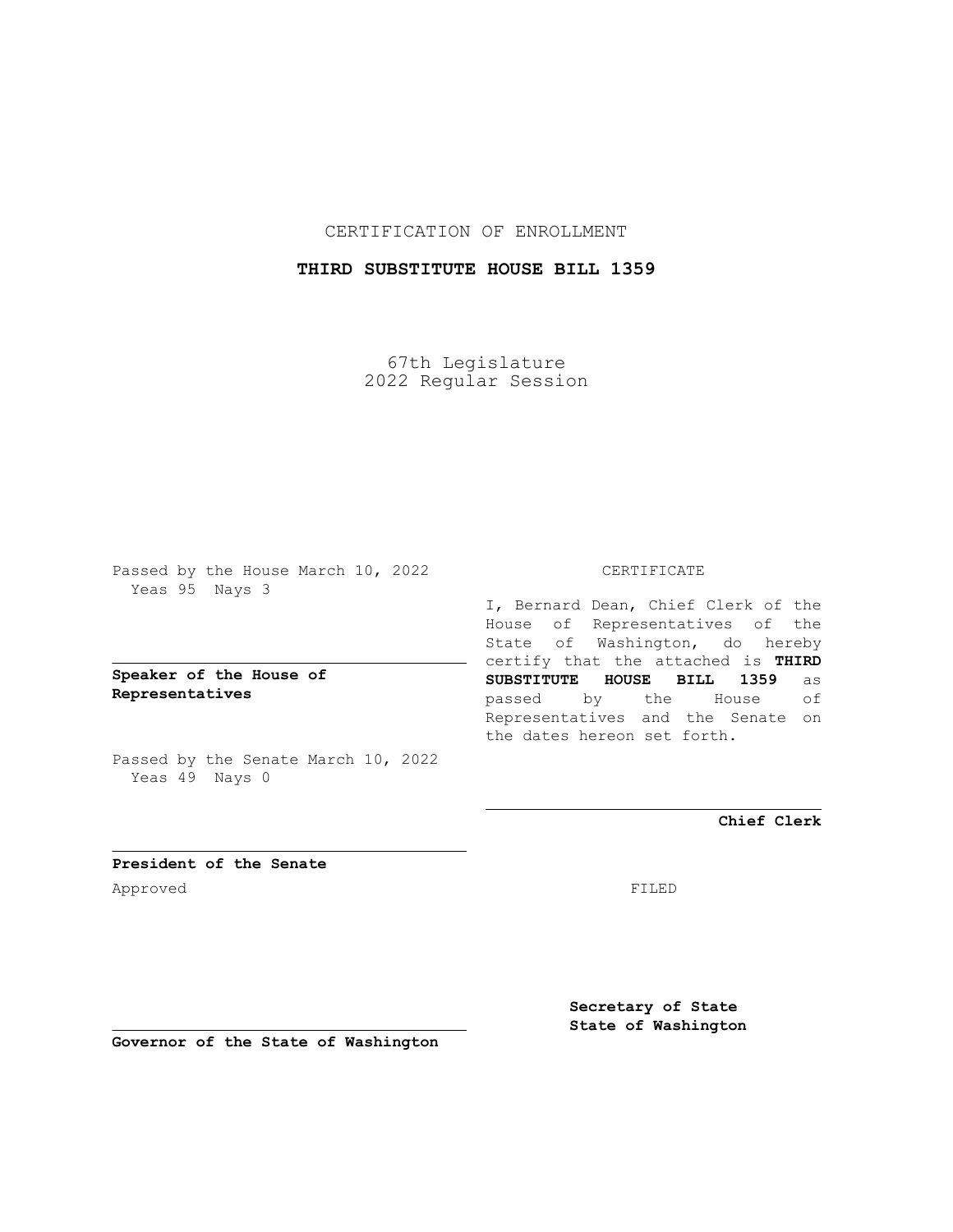## CERTIFICATION OF ENROLLMENT

## **THIRD SUBSTITUTE HOUSE BILL 1359**

67th Legislature 2022 Regular Session

Passed by the House March 10, 2022 Yeas 95 Nays 3

## **Speaker of the House of Representatives**

Passed by the Senate March 10, 2022 Yeas 49 Nays 0

### CERTIFICATE

I, Bernard Dean, Chief Clerk of the House of Representatives of the State of Washington, do hereby certify that the attached is **THIRD SUBSTITUTE HOUSE BILL 1359** as passed by the House of Representatives and the Senate on the dates hereon set forth.

**Chief Clerk**

**President of the Senate** Approved FILED

**Secretary of State State of Washington**

**Governor of the State of Washington**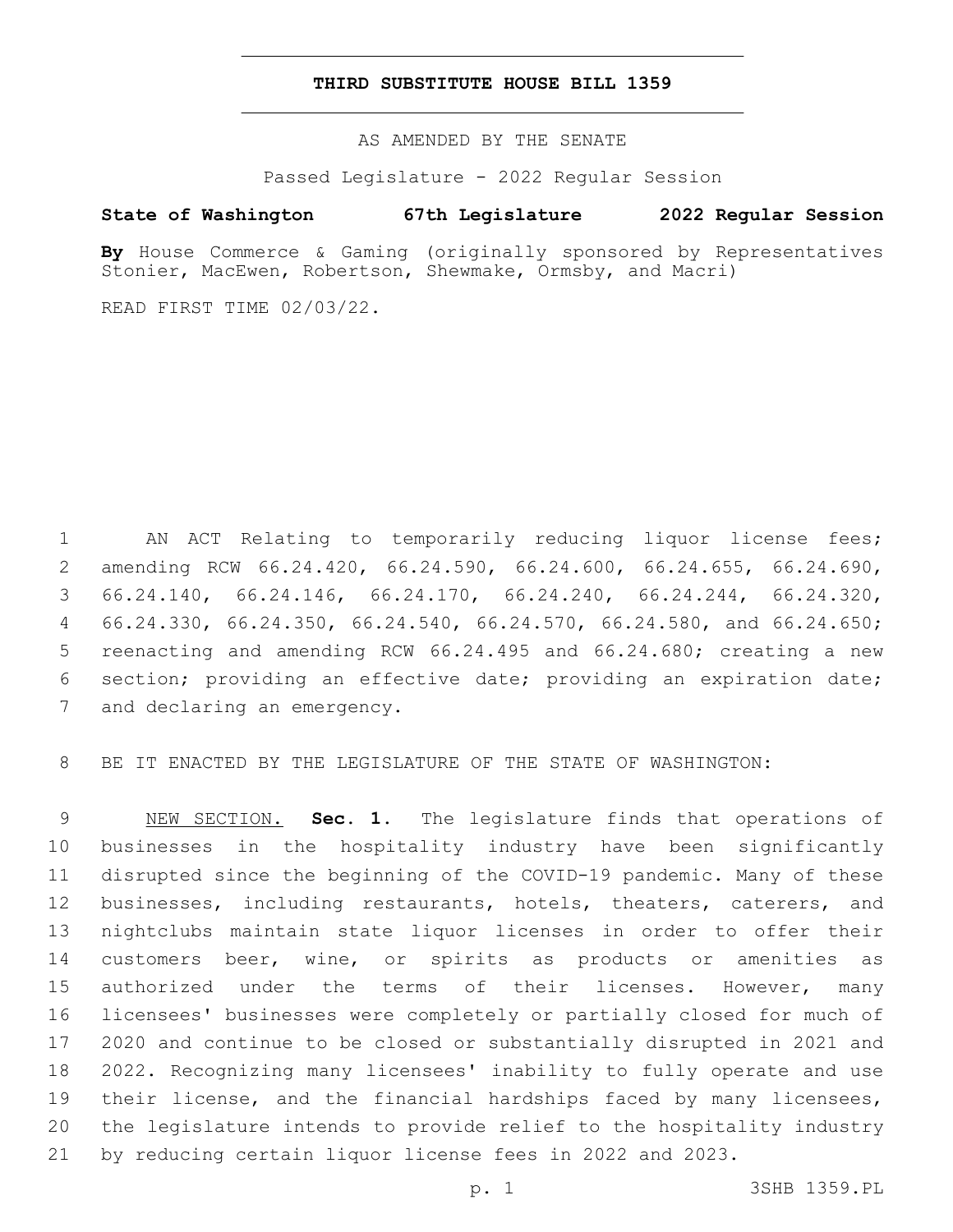#### **THIRD SUBSTITUTE HOUSE BILL 1359**

AS AMENDED BY THE SENATE

Passed Legislature - 2022 Regular Session

# **State of Washington 67th Legislature 2022 Regular Session**

**By** House Commerce & Gaming (originally sponsored by Representatives Stonier, MacEwen, Robertson, Shewmake, Ormsby, and Macri)

READ FIRST TIME 02/03/22.

 AN ACT Relating to temporarily reducing liquor license fees; amending RCW 66.24.420, 66.24.590, 66.24.600, 66.24.655, 66.24.690, 66.24.140, 66.24.146, 66.24.170, 66.24.240, 66.24.244, 66.24.320, 66.24.330, 66.24.350, 66.24.540, 66.24.570, 66.24.580, and 66.24.650; reenacting and amending RCW 66.24.495 and 66.24.680; creating a new section; providing an effective date; providing an expiration date; 7 and declaring an emergency.

BE IT ENACTED BY THE LEGISLATURE OF THE STATE OF WASHINGTON:

 NEW SECTION. **Sec. 1.** The legislature finds that operations of businesses in the hospitality industry have been significantly disrupted since the beginning of the COVID-19 pandemic. Many of these businesses, including restaurants, hotels, theaters, caterers, and nightclubs maintain state liquor licenses in order to offer their customers beer, wine, or spirits as products or amenities as 15 authorized under the terms of their licenses. However, many licensees' businesses were completely or partially closed for much of 2020 and continue to be closed or substantially disrupted in 2021 and 2022. Recognizing many licensees' inability to fully operate and use their license, and the financial hardships faced by many licensees, the legislature intends to provide relief to the hospitality industry by reducing certain liquor license fees in 2022 and 2023.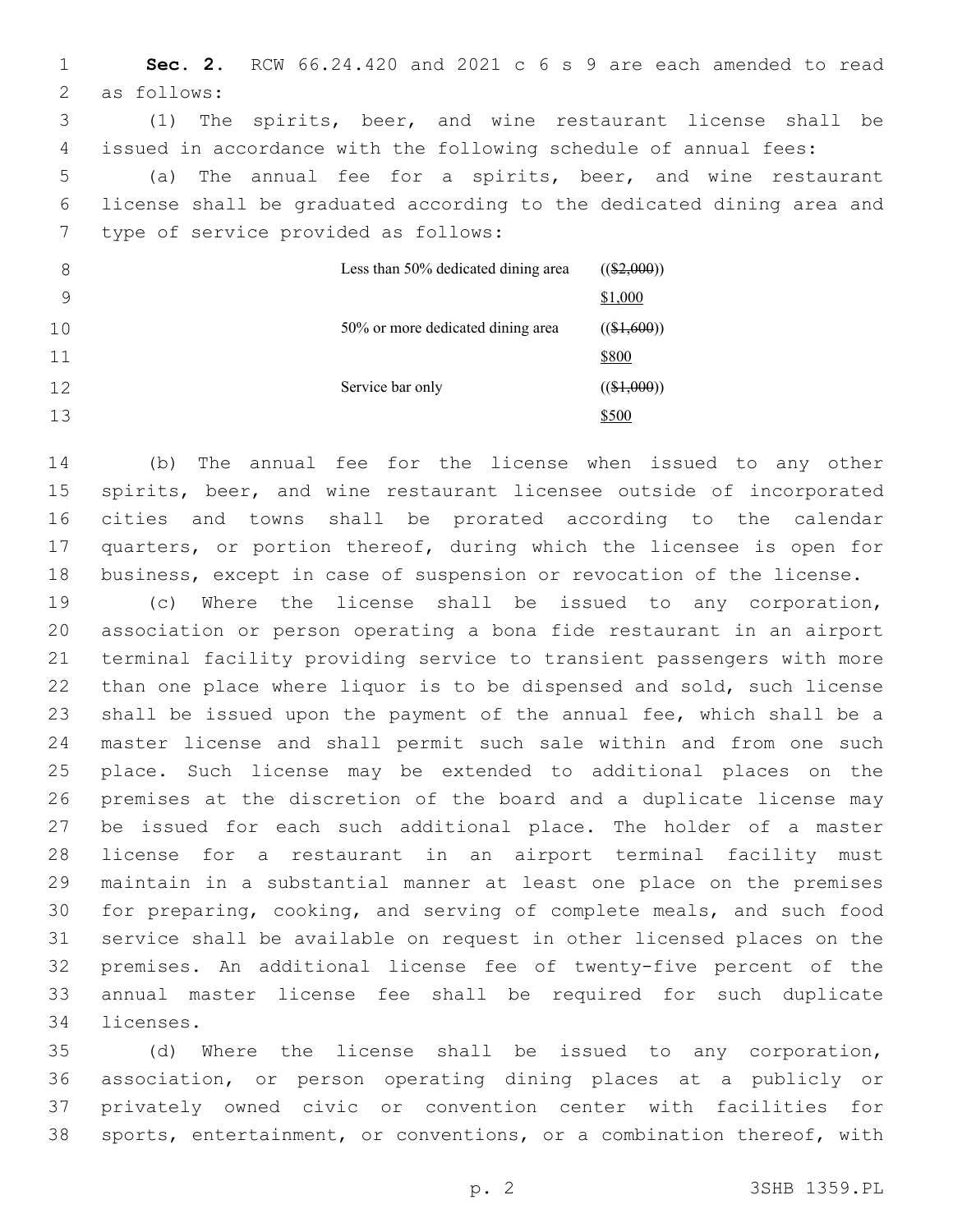**Sec. 2.** RCW 66.24.420 and 2021 c 6 s 9 are each amended to read 2 as follows: (1) The spirits, beer, and wine restaurant license shall be issued in accordance with the following schedule of annual fees: (a) The annual fee for a spirits, beer, and wine restaurant license shall be graduated according to the dedicated dining area and 7 type of service provided as follows: Less than 50% dedicated dining area  $((\$2,000))$ \$1,000 50% or more dedicated dining area  $((\$1,600))$ \$800 Service bar only  $((\$1,000))$ \$500

 (b) The annual fee for the license when issued to any other spirits, beer, and wine restaurant licensee outside of incorporated cities and towns shall be prorated according to the calendar quarters, or portion thereof, during which the licensee is open for business, except in case of suspension or revocation of the license.

 (c) Where the license shall be issued to any corporation, association or person operating a bona fide restaurant in an airport terminal facility providing service to transient passengers with more than one place where liquor is to be dispensed and sold, such license shall be issued upon the payment of the annual fee, which shall be a master license and shall permit such sale within and from one such place. Such license may be extended to additional places on the premises at the discretion of the board and a duplicate license may be issued for each such additional place. The holder of a master license for a restaurant in an airport terminal facility must maintain in a substantial manner at least one place on the premises for preparing, cooking, and serving of complete meals, and such food service shall be available on request in other licensed places on the premises. An additional license fee of twenty-five percent of the annual master license fee shall be required for such duplicate 34 licenses.

 (d) Where the license shall be issued to any corporation, association, or person operating dining places at a publicly or privately owned civic or convention center with facilities for sports, entertainment, or conventions, or a combination thereof, with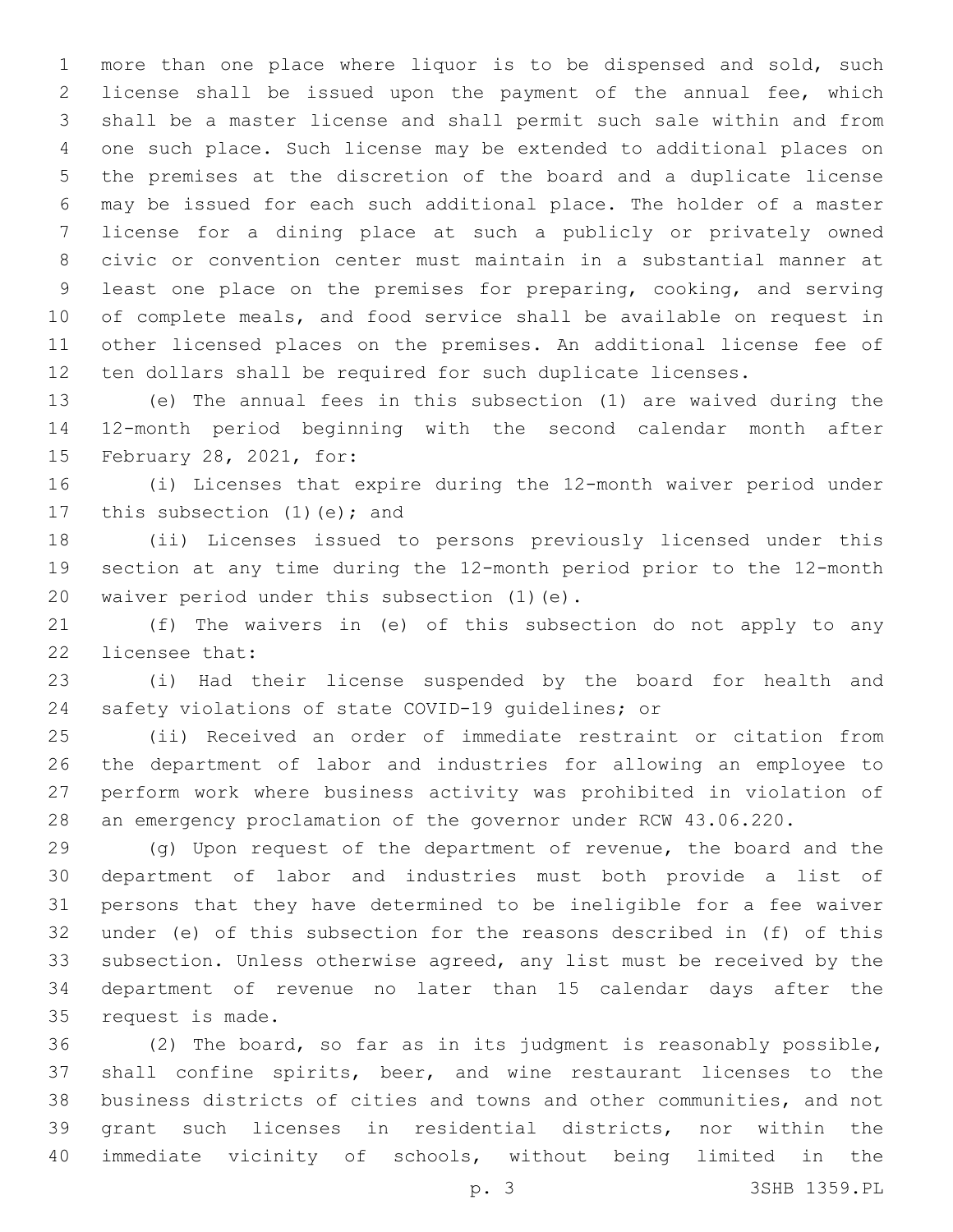more than one place where liquor is to be dispensed and sold, such license shall be issued upon the payment of the annual fee, which shall be a master license and shall permit such sale within and from one such place. Such license may be extended to additional places on the premises at the discretion of the board and a duplicate license may be issued for each such additional place. The holder of a master license for a dining place at such a publicly or privately owned civic or convention center must maintain in a substantial manner at least one place on the premises for preparing, cooking, and serving of complete meals, and food service shall be available on request in other licensed places on the premises. An additional license fee of ten dollars shall be required for such duplicate licenses.

 (e) The annual fees in this subsection (1) are waived during the 12-month period beginning with the second calendar month after 15 February 28, 2021, for:

 (i) Licenses that expire during the 12-month waiver period under 17 this subsection (1)(e); and

 (ii) Licenses issued to persons previously licensed under this section at any time during the 12-month period prior to the 12-month 20 waiver period under this subsection (1)(e).

 (f) The waivers in (e) of this subsection do not apply to any 22 licensee that:

 (i) Had their license suspended by the board for health and safety violations of state COVID-19 guidelines; or

 (ii) Received an order of immediate restraint or citation from the department of labor and industries for allowing an employee to perform work where business activity was prohibited in violation of an emergency proclamation of the governor under RCW 43.06.220.

 (g) Upon request of the department of revenue, the board and the department of labor and industries must both provide a list of persons that they have determined to be ineligible for a fee waiver under (e) of this subsection for the reasons described in (f) of this subsection. Unless otherwise agreed, any list must be received by the department of revenue no later than 15 calendar days after the 35 request is made.

 (2) The board, so far as in its judgment is reasonably possible, shall confine spirits, beer, and wine restaurant licenses to the business districts of cities and towns and other communities, and not grant such licenses in residential districts, nor within the immediate vicinity of schools, without being limited in the

p. 3 3SHB 1359.PL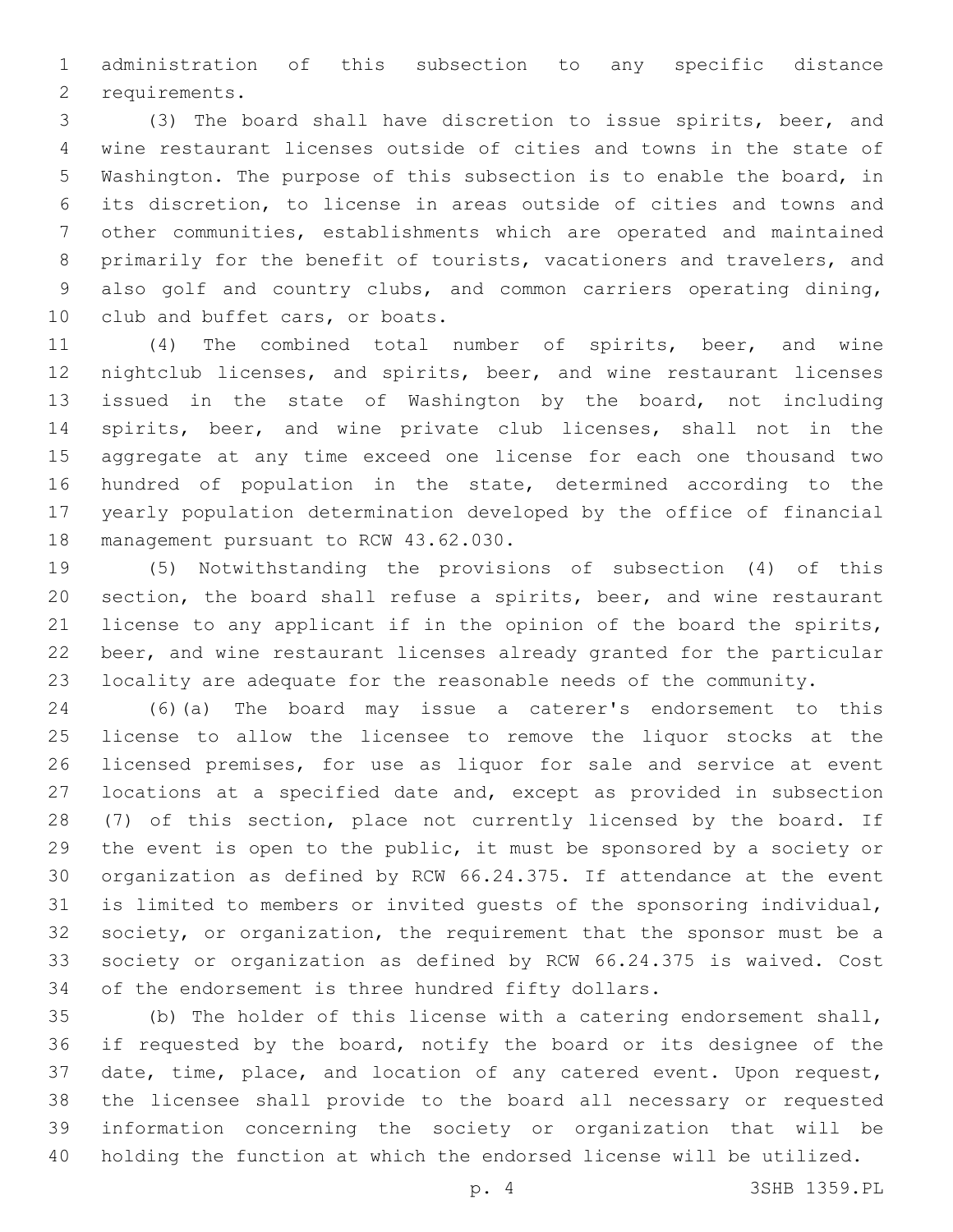administration of this subsection to any specific distance 2 requirements.

 (3) The board shall have discretion to issue spirits, beer, and wine restaurant licenses outside of cities and towns in the state of Washington. The purpose of this subsection is to enable the board, in its discretion, to license in areas outside of cities and towns and other communities, establishments which are operated and maintained primarily for the benefit of tourists, vacationers and travelers, and also golf and country clubs, and common carriers operating dining, 10 club and buffet cars, or boats.

 (4) The combined total number of spirits, beer, and wine nightclub licenses, and spirits, beer, and wine restaurant licenses issued in the state of Washington by the board, not including spirits, beer, and wine private club licenses, shall not in the aggregate at any time exceed one license for each one thousand two hundred of population in the state, determined according to the yearly population determination developed by the office of financial 18 management pursuant to RCW 43.62.030.

 (5) Notwithstanding the provisions of subsection (4) of this section, the board shall refuse a spirits, beer, and wine restaurant license to any applicant if in the opinion of the board the spirits, beer, and wine restaurant licenses already granted for the particular locality are adequate for the reasonable needs of the community.

 (6)(a) The board may issue a caterer's endorsement to this license to allow the licensee to remove the liquor stocks at the licensed premises, for use as liquor for sale and service at event locations at a specified date and, except as provided in subsection (7) of this section, place not currently licensed by the board. If the event is open to the public, it must be sponsored by a society or organization as defined by RCW 66.24.375. If attendance at the event is limited to members or invited guests of the sponsoring individual, society, or organization, the requirement that the sponsor must be a society or organization as defined by RCW 66.24.375 is waived. Cost of the endorsement is three hundred fifty dollars.

 (b) The holder of this license with a catering endorsement shall, if requested by the board, notify the board or its designee of the date, time, place, and location of any catered event. Upon request, the licensee shall provide to the board all necessary or requested information concerning the society or organization that will be holding the function at which the endorsed license will be utilized.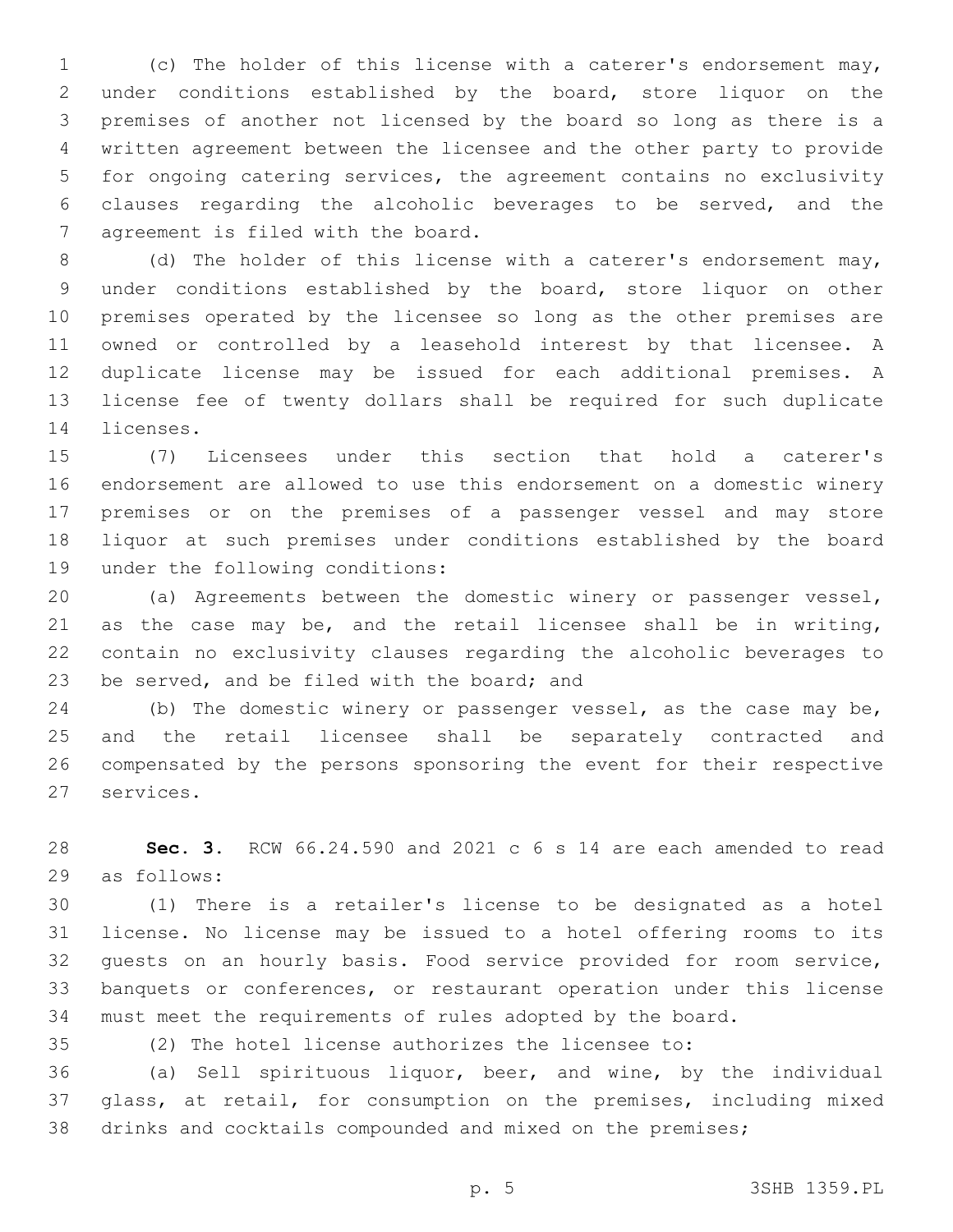(c) The holder of this license with a caterer's endorsement may, under conditions established by the board, store liquor on the premises of another not licensed by the board so long as there is a written agreement between the licensee and the other party to provide for ongoing catering services, the agreement contains no exclusivity clauses regarding the alcoholic beverages to be served, and the 7 agreement is filed with the board.

 (d) The holder of this license with a caterer's endorsement may, under conditions established by the board, store liquor on other premises operated by the licensee so long as the other premises are owned or controlled by a leasehold interest by that licensee. A duplicate license may be issued for each additional premises. A license fee of twenty dollars shall be required for such duplicate 14 licenses.

 (7) Licensees under this section that hold a caterer's endorsement are allowed to use this endorsement on a domestic winery premises or on the premises of a passenger vessel and may store liquor at such premises under conditions established by the board 19 under the following conditions:

 (a) Agreements between the domestic winery or passenger vessel, as the case may be, and the retail licensee shall be in writing, contain no exclusivity clauses regarding the alcoholic beverages to 23 be served, and be filed with the board; and

 (b) The domestic winery or passenger vessel, as the case may be, and the retail licensee shall be separately contracted and compensated by the persons sponsoring the event for their respective 27 services.

 **Sec. 3.** RCW 66.24.590 and 2021 c 6 s 14 are each amended to read 29 as follows:

 (1) There is a retailer's license to be designated as a hotel license. No license may be issued to a hotel offering rooms to its guests on an hourly basis. Food service provided for room service, banquets or conferences, or restaurant operation under this license must meet the requirements of rules adopted by the board.

(2) The hotel license authorizes the licensee to:

 (a) Sell spirituous liquor, beer, and wine, by the individual glass, at retail, for consumption on the premises, including mixed drinks and cocktails compounded and mixed on the premises;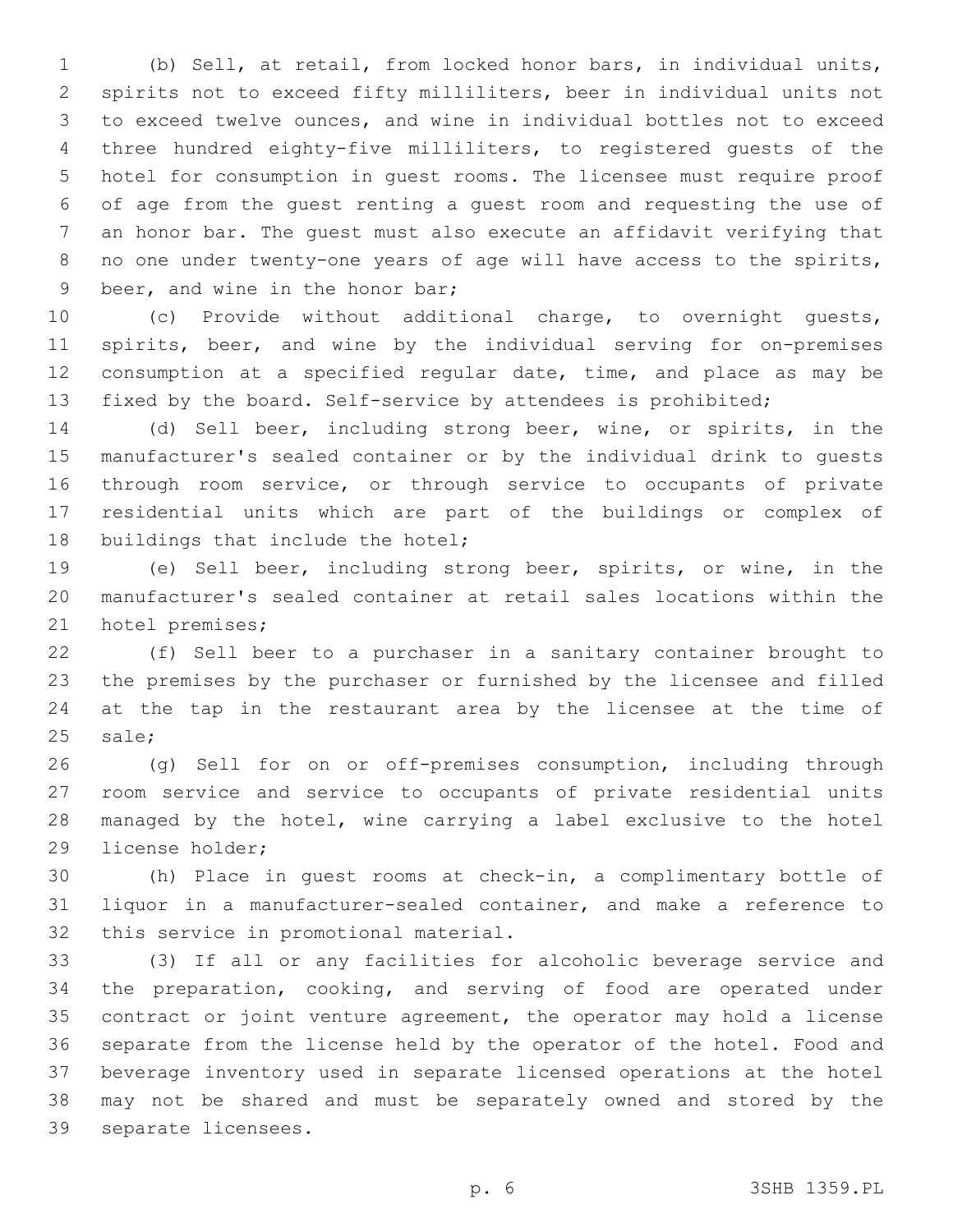(b) Sell, at retail, from locked honor bars, in individual units, spirits not to exceed fifty milliliters, beer in individual units not to exceed twelve ounces, and wine in individual bottles not to exceed three hundred eighty-five milliliters, to registered guests of the hotel for consumption in guest rooms. The licensee must require proof of age from the guest renting a guest room and requesting the use of an honor bar. The guest must also execute an affidavit verifying that no one under twenty-one years of age will have access to the spirits, 9 beer, and wine in the honor bar;

 (c) Provide without additional charge, to overnight guests, spirits, beer, and wine by the individual serving for on-premises consumption at a specified regular date, time, and place as may be fixed by the board. Self-service by attendees is prohibited;

 (d) Sell beer, including strong beer, wine, or spirits, in the manufacturer's sealed container or by the individual drink to guests through room service, or through service to occupants of private residential units which are part of the buildings or complex of 18 buildings that include the hotel;

 (e) Sell beer, including strong beer, spirits, or wine, in the manufacturer's sealed container at retail sales locations within the 21 hotel premises;

 (f) Sell beer to a purchaser in a sanitary container brought to the premises by the purchaser or furnished by the licensee and filled at the tap in the restaurant area by the licensee at the time of 25 sale;

 (g) Sell for on or off-premises consumption, including through room service and service to occupants of private residential units managed by the hotel, wine carrying a label exclusive to the hotel 29 license holder;

 (h) Place in guest rooms at check-in, a complimentary bottle of liquor in a manufacturer-sealed container, and make a reference to 32 this service in promotional material.

 (3) If all or any facilities for alcoholic beverage service and the preparation, cooking, and serving of food are operated under contract or joint venture agreement, the operator may hold a license separate from the license held by the operator of the hotel. Food and beverage inventory used in separate licensed operations at the hotel may not be shared and must be separately owned and stored by the 39 separate licensees.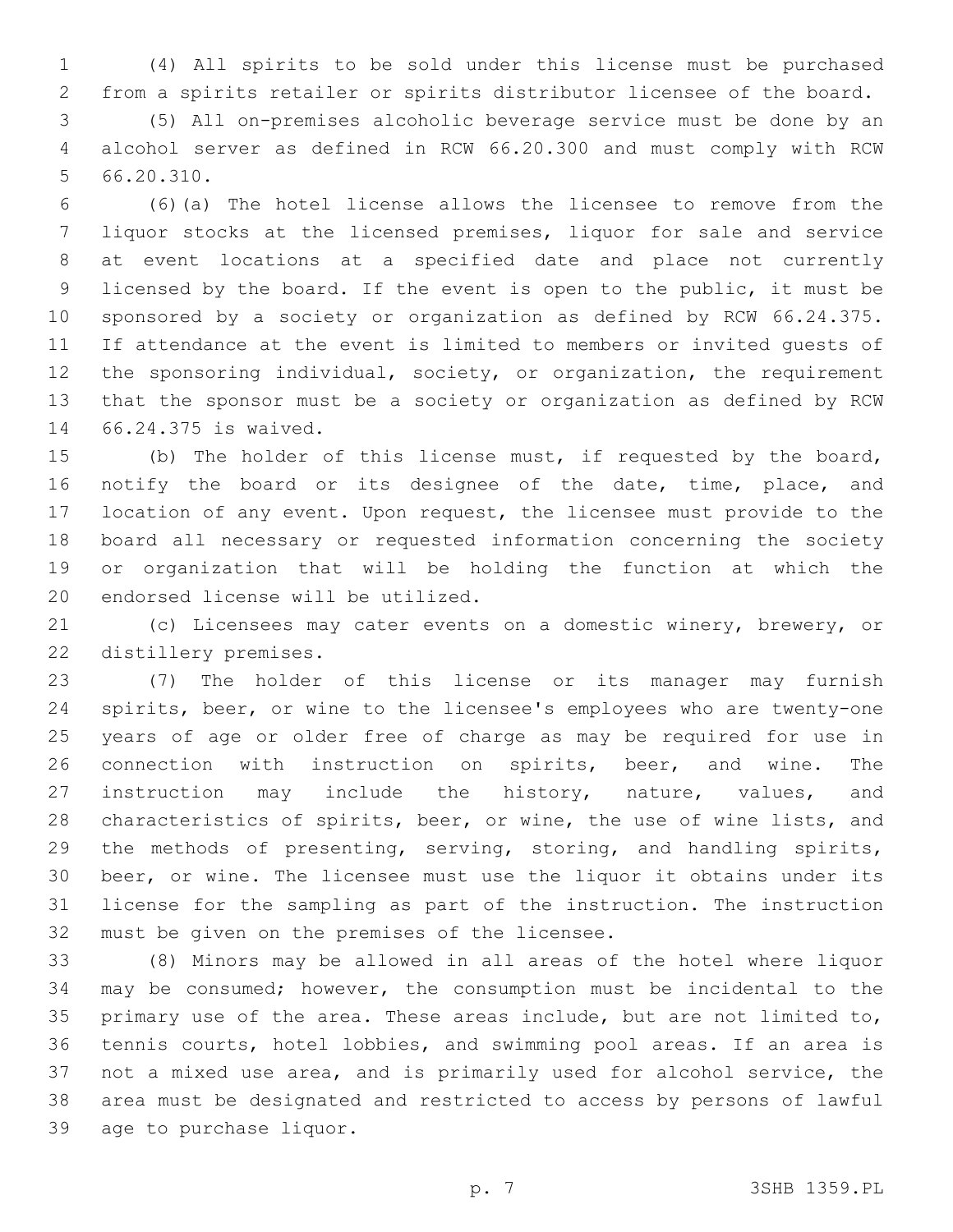(4) All spirits to be sold under this license must be purchased from a spirits retailer or spirits distributor licensee of the board.

 (5) All on-premises alcoholic beverage service must be done by an alcohol server as defined in RCW 66.20.300 and must comply with RCW  $56.20.310.$ 

 (6)(a) The hotel license allows the licensee to remove from the liquor stocks at the licensed premises, liquor for sale and service at event locations at a specified date and place not currently licensed by the board. If the event is open to the public, it must be sponsored by a society or organization as defined by RCW 66.24.375. If attendance at the event is limited to members or invited guests of the sponsoring individual, society, or organization, the requirement that the sponsor must be a society or organization as defined by RCW 66.24.375 is waived.14

 (b) The holder of this license must, if requested by the board, notify the board or its designee of the date, time, place, and location of any event. Upon request, the licensee must provide to the board all necessary or requested information concerning the society or organization that will be holding the function at which the 20 endorsed license will be utilized.

 (c) Licensees may cater events on a domestic winery, brewery, or 22 distillery premises.

 (7) The holder of this license or its manager may furnish spirits, beer, or wine to the licensee's employees who are twenty-one years of age or older free of charge as may be required for use in connection with instruction on spirits, beer, and wine. The instruction may include the history, nature, values, and 28 characteristics of spirits, beer, or wine, the use of wine lists, and the methods of presenting, serving, storing, and handling spirits, beer, or wine. The licensee must use the liquor it obtains under its license for the sampling as part of the instruction. The instruction 32 must be given on the premises of the licensee.

 (8) Minors may be allowed in all areas of the hotel where liquor may be consumed; however, the consumption must be incidental to the primary use of the area. These areas include, but are not limited to, tennis courts, hotel lobbies, and swimming pool areas. If an area is not a mixed use area, and is primarily used for alcohol service, the area must be designated and restricted to access by persons of lawful 39 age to purchase liquor.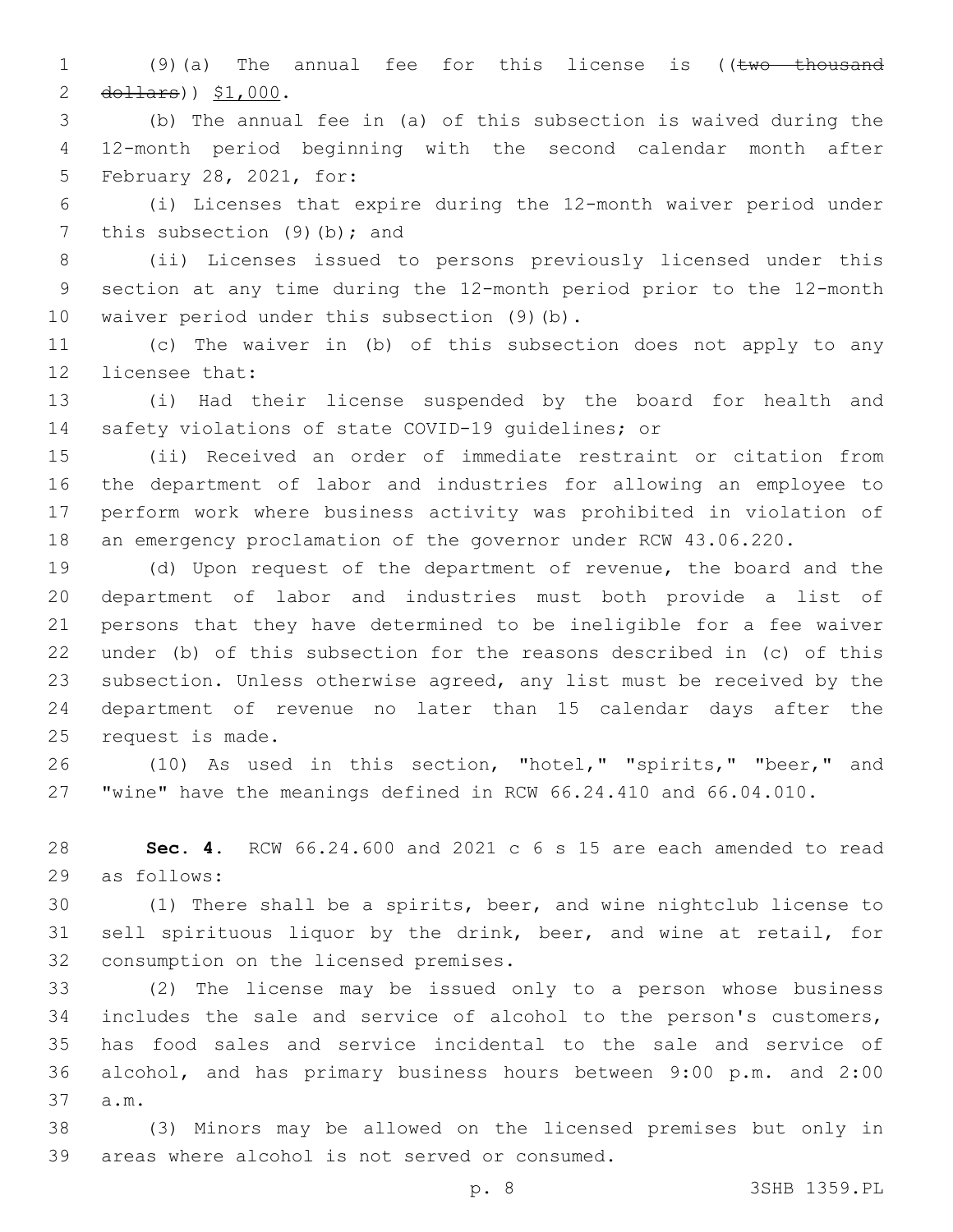1 (9)(a) The annual fee for this license is ((two thousand dollars)  $$1,000$ .

 (b) The annual fee in (a) of this subsection is waived during the 12-month period beginning with the second calendar month after 5 February 28, 2021, for:

 (i) Licenses that expire during the 12-month waiver period under 7 this subsection  $(9)(b)$ ; and

 (ii) Licenses issued to persons previously licensed under this section at any time during the 12-month period prior to the 12-month 10 waiver period under this subsection (9)(b).

 (c) The waiver in (b) of this subsection does not apply to any 12 licensee that:

 (i) Had their license suspended by the board for health and safety violations of state COVID-19 guidelines; or

 (ii) Received an order of immediate restraint or citation from the department of labor and industries for allowing an employee to perform work where business activity was prohibited in violation of an emergency proclamation of the governor under RCW 43.06.220.

 (d) Upon request of the department of revenue, the board and the department of labor and industries must both provide a list of persons that they have determined to be ineligible for a fee waiver under (b) of this subsection for the reasons described in (c) of this subsection. Unless otherwise agreed, any list must be received by the department of revenue no later than 15 calendar days after the 25 request is made.

 (10) As used in this section, "hotel," "spirits," "beer," and "wine" have the meanings defined in RCW 66.24.410 and 66.04.010.

 **Sec. 4.** RCW 66.24.600 and 2021 c 6 s 15 are each amended to read 29 as follows:

 (1) There shall be a spirits, beer, and wine nightclub license to sell spirituous liquor by the drink, beer, and wine at retail, for 32 consumption on the licensed premises.

 (2) The license may be issued only to a person whose business includes the sale and service of alcohol to the person's customers, has food sales and service incidental to the sale and service of alcohol, and has primary business hours between 9:00 p.m. and 2:00 37 a.m.

 (3) Minors may be allowed on the licensed premises but only in 39 areas where alcohol is not served or consumed.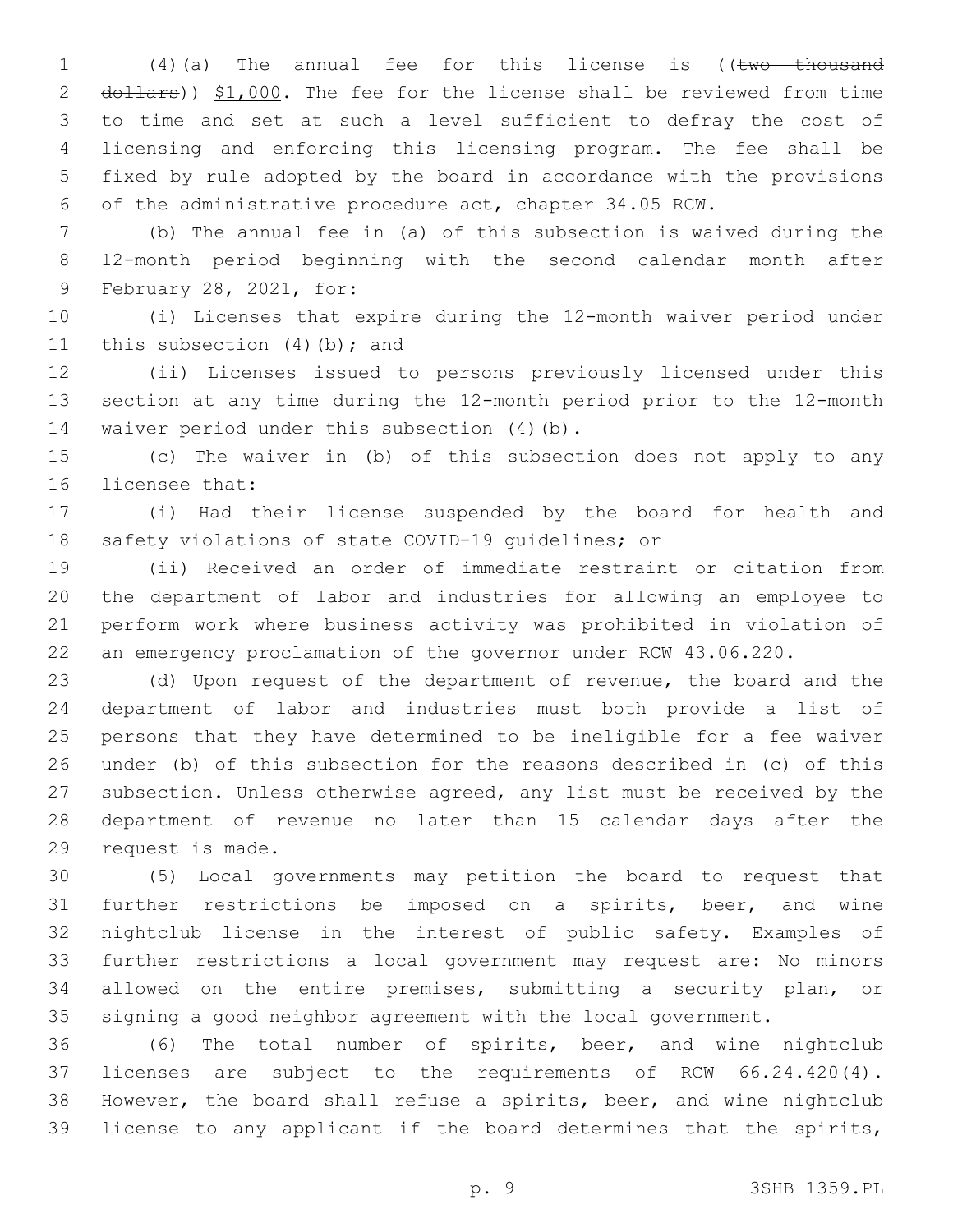1 (4)(a) The annual fee for this license is ((two thousand 2 dollars)) \$1,000. The fee for the license shall be reviewed from time to time and set at such a level sufficient to defray the cost of licensing and enforcing this licensing program. The fee shall be fixed by rule adopted by the board in accordance with the provisions of the administrative procedure act, chapter 34.05 RCW.

 (b) The annual fee in (a) of this subsection is waived during the 12-month period beginning with the second calendar month after 9 February 28, 2021, for:

 (i) Licenses that expire during the 12-month waiver period under 11 this subsection  $(4)(b)$ ; and

 (ii) Licenses issued to persons previously licensed under this section at any time during the 12-month period prior to the 12-month 14 waiver period under this subsection (4)(b).

 (c) The waiver in (b) of this subsection does not apply to any 16 licensee that:

 (i) Had their license suspended by the board for health and safety violations of state COVID-19 guidelines; or

 (ii) Received an order of immediate restraint or citation from the department of labor and industries for allowing an employee to perform work where business activity was prohibited in violation of an emergency proclamation of the governor under RCW 43.06.220.

 (d) Upon request of the department of revenue, the board and the department of labor and industries must both provide a list of persons that they have determined to be ineligible for a fee waiver under (b) of this subsection for the reasons described in (c) of this subsection. Unless otherwise agreed, any list must be received by the department of revenue no later than 15 calendar days after the 29 request is made.

 (5) Local governments may petition the board to request that further restrictions be imposed on a spirits, beer, and wine nightclub license in the interest of public safety. Examples of further restrictions a local government may request are: No minors allowed on the entire premises, submitting a security plan, or signing a good neighbor agreement with the local government.

 (6) The total number of spirits, beer, and wine nightclub licenses are subject to the requirements of RCW 66.24.420(4). However, the board shall refuse a spirits, beer, and wine nightclub license to any applicant if the board determines that the spirits,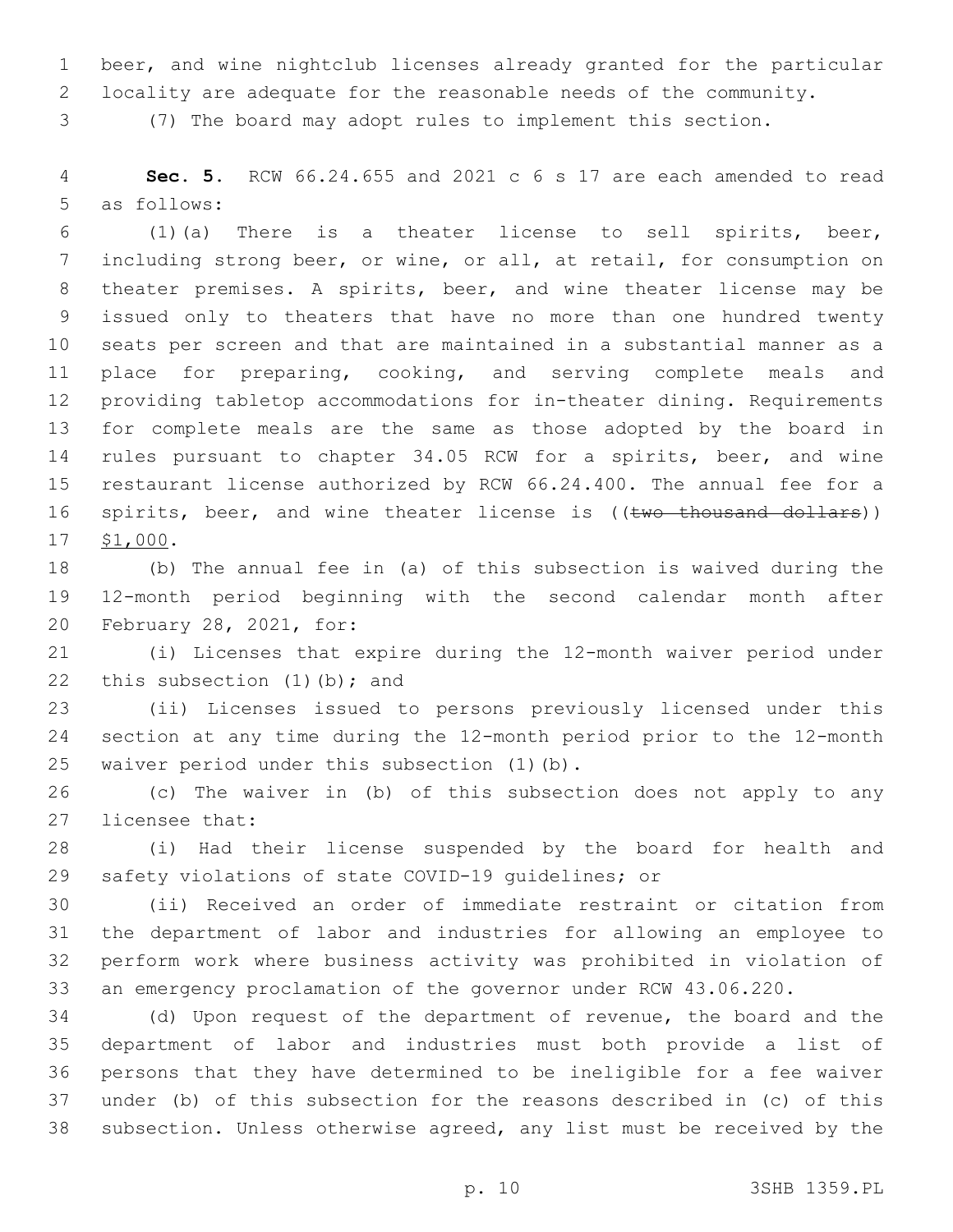beer, and wine nightclub licenses already granted for the particular

locality are adequate for the reasonable needs of the community.

(7) The board may adopt rules to implement this section.

 **Sec. 5.** RCW 66.24.655 and 2021 c 6 s 17 are each amended to read 5 as follows:

 (1)(a) There is a theater license to sell spirits, beer, including strong beer, or wine, or all, at retail, for consumption on theater premises. A spirits, beer, and wine theater license may be issued only to theaters that have no more than one hundred twenty seats per screen and that are maintained in a substantial manner as a place for preparing, cooking, and serving complete meals and providing tabletop accommodations for in-theater dining. Requirements for complete meals are the same as those adopted by the board in rules pursuant to chapter 34.05 RCW for a spirits, beer, and wine restaurant license authorized by RCW 66.24.400. The annual fee for a 16 spirits, beer, and wine theater license is ((two thousand dollars)) 17 \$1,000.

 (b) The annual fee in (a) of this subsection is waived during the 12-month period beginning with the second calendar month after 20 February 28, 2021, for:

 (i) Licenses that expire during the 12-month waiver period under 22 this subsection  $(1)$   $(b)$ ; and

 (ii) Licenses issued to persons previously licensed under this section at any time during the 12-month period prior to the 12-month 25 waiver period under this subsection (1)(b).

 (c) The waiver in (b) of this subsection does not apply to any 27 licensee that:

 (i) Had their license suspended by the board for health and safety violations of state COVID-19 guidelines; or

 (ii) Received an order of immediate restraint or citation from the department of labor and industries for allowing an employee to perform work where business activity was prohibited in violation of an emergency proclamation of the governor under RCW 43.06.220.

 (d) Upon request of the department of revenue, the board and the department of labor and industries must both provide a list of persons that they have determined to be ineligible for a fee waiver under (b) of this subsection for the reasons described in (c) of this subsection. Unless otherwise agreed, any list must be received by the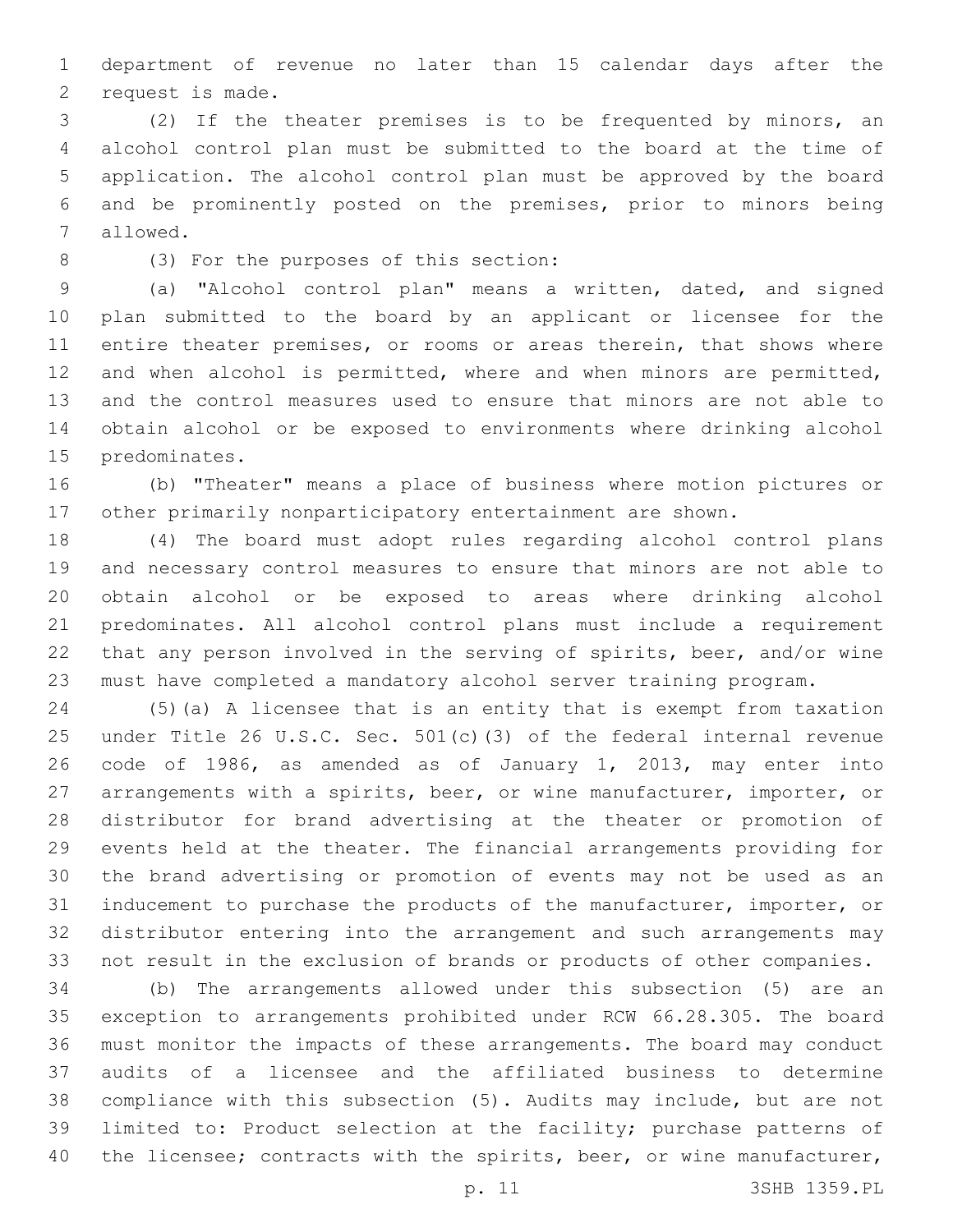department of revenue no later than 15 calendar days after the 2 request is made.

 (2) If the theater premises is to be frequented by minors, an alcohol control plan must be submitted to the board at the time of application. The alcohol control plan must be approved by the board and be prominently posted on the premises, prior to minors being 7 allowed.

(3) For the purposes of this section:8

 (a) "Alcohol control plan" means a written, dated, and signed plan submitted to the board by an applicant or licensee for the 11 entire theater premises, or rooms or areas therein, that shows where and when alcohol is permitted, where and when minors are permitted, and the control measures used to ensure that minors are not able to obtain alcohol or be exposed to environments where drinking alcohol 15 predominates.

 (b) "Theater" means a place of business where motion pictures or other primarily nonparticipatory entertainment are shown.

 (4) The board must adopt rules regarding alcohol control plans and necessary control measures to ensure that minors are not able to obtain alcohol or be exposed to areas where drinking alcohol predominates. All alcohol control plans must include a requirement that any person involved in the serving of spirits, beer, and/or wine must have completed a mandatory alcohol server training program.

 (5)(a) A licensee that is an entity that is exempt from taxation under Title 26 U.S.C. Sec. 501(c)(3) of the federal internal revenue code of 1986, as amended as of January 1, 2013, may enter into arrangements with a spirits, beer, or wine manufacturer, importer, or distributor for brand advertising at the theater or promotion of events held at the theater. The financial arrangements providing for the brand advertising or promotion of events may not be used as an inducement to purchase the products of the manufacturer, importer, or distributor entering into the arrangement and such arrangements may not result in the exclusion of brands or products of other companies.

 (b) The arrangements allowed under this subsection (5) are an exception to arrangements prohibited under RCW 66.28.305. The board must monitor the impacts of these arrangements. The board may conduct audits of a licensee and the affiliated business to determine compliance with this subsection (5). Audits may include, but are not limited to: Product selection at the facility; purchase patterns of 40 the licensee; contracts with the spirits, beer, or wine manufacturer,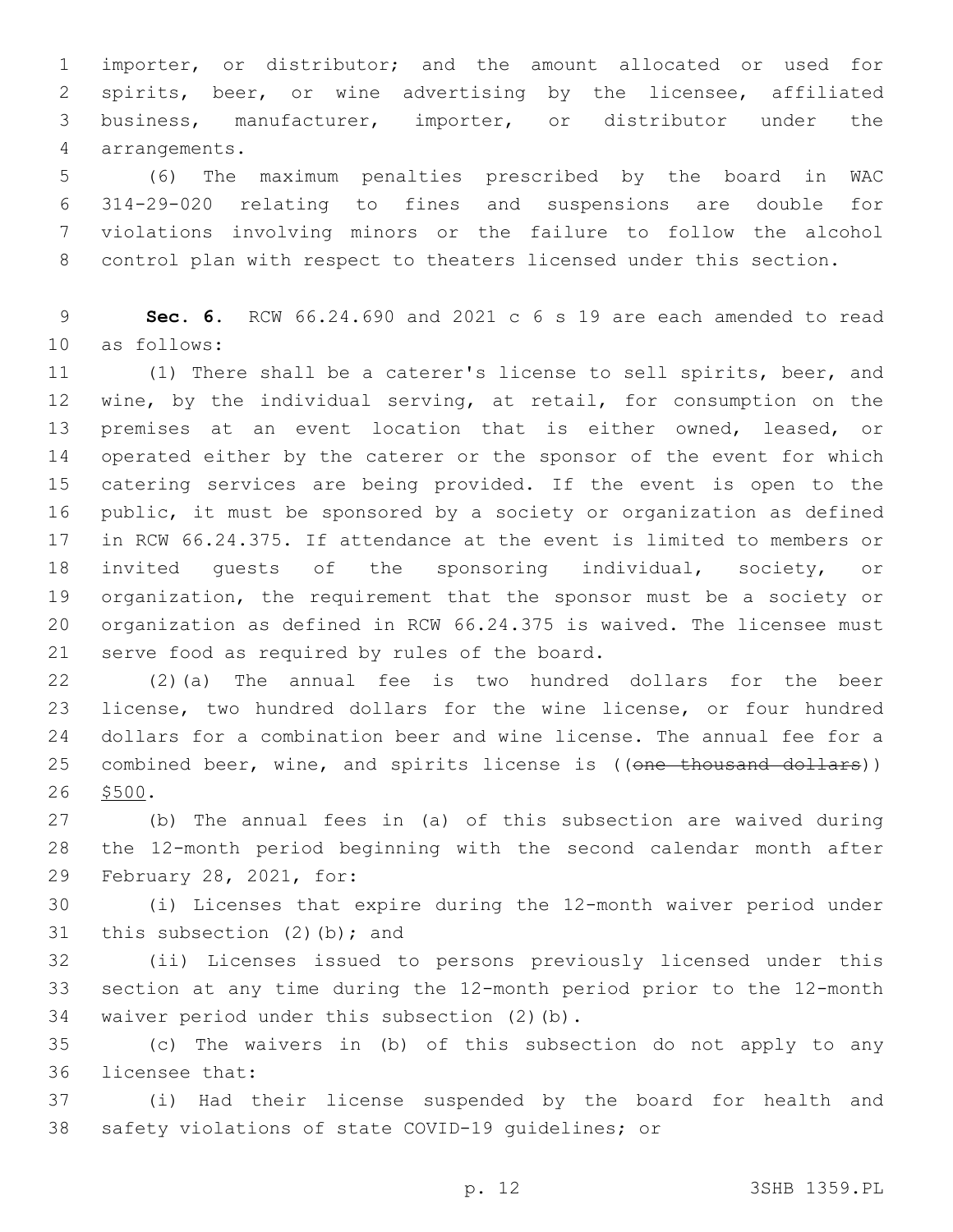importer, or distributor; and the amount allocated or used for spirits, beer, or wine advertising by the licensee, affiliated business, manufacturer, importer, or distributor under the arrangements.4

 (6) The maximum penalties prescribed by the board in WAC 314-29-020 relating to fines and suspensions are double for violations involving minors or the failure to follow the alcohol control plan with respect to theaters licensed under this section.

 **Sec. 6.** RCW 66.24.690 and 2021 c 6 s 19 are each amended to read 10 as follows:

 (1) There shall be a caterer's license to sell spirits, beer, and wine, by the individual serving, at retail, for consumption on the premises at an event location that is either owned, leased, or operated either by the caterer or the sponsor of the event for which catering services are being provided. If the event is open to the public, it must be sponsored by a society or organization as defined in RCW 66.24.375. If attendance at the event is limited to members or invited guests of the sponsoring individual, society, or organization, the requirement that the sponsor must be a society or organization as defined in RCW 66.24.375 is waived. The licensee must 21 serve food as required by rules of the board.

 (2)(a) The annual fee is two hundred dollars for the beer license, two hundred dollars for the wine license, or four hundred dollars for a combination beer and wine license. The annual fee for a 25 combined beer, wine, and spirits license is ((one thousand dollars)) 26 \$500.

 (b) The annual fees in (a) of this subsection are waived during the 12-month period beginning with the second calendar month after 29 February 28, 2021, for:

 (i) Licenses that expire during the 12-month waiver period under 31 this subsection  $(2)$  (b); and

 (ii) Licenses issued to persons previously licensed under this section at any time during the 12-month period prior to the 12-month 34 waiver period under this subsection (2)(b).

 (c) The waivers in (b) of this subsection do not apply to any 36 licensee that:

 (i) Had their license suspended by the board for health and safety violations of state COVID-19 guidelines; or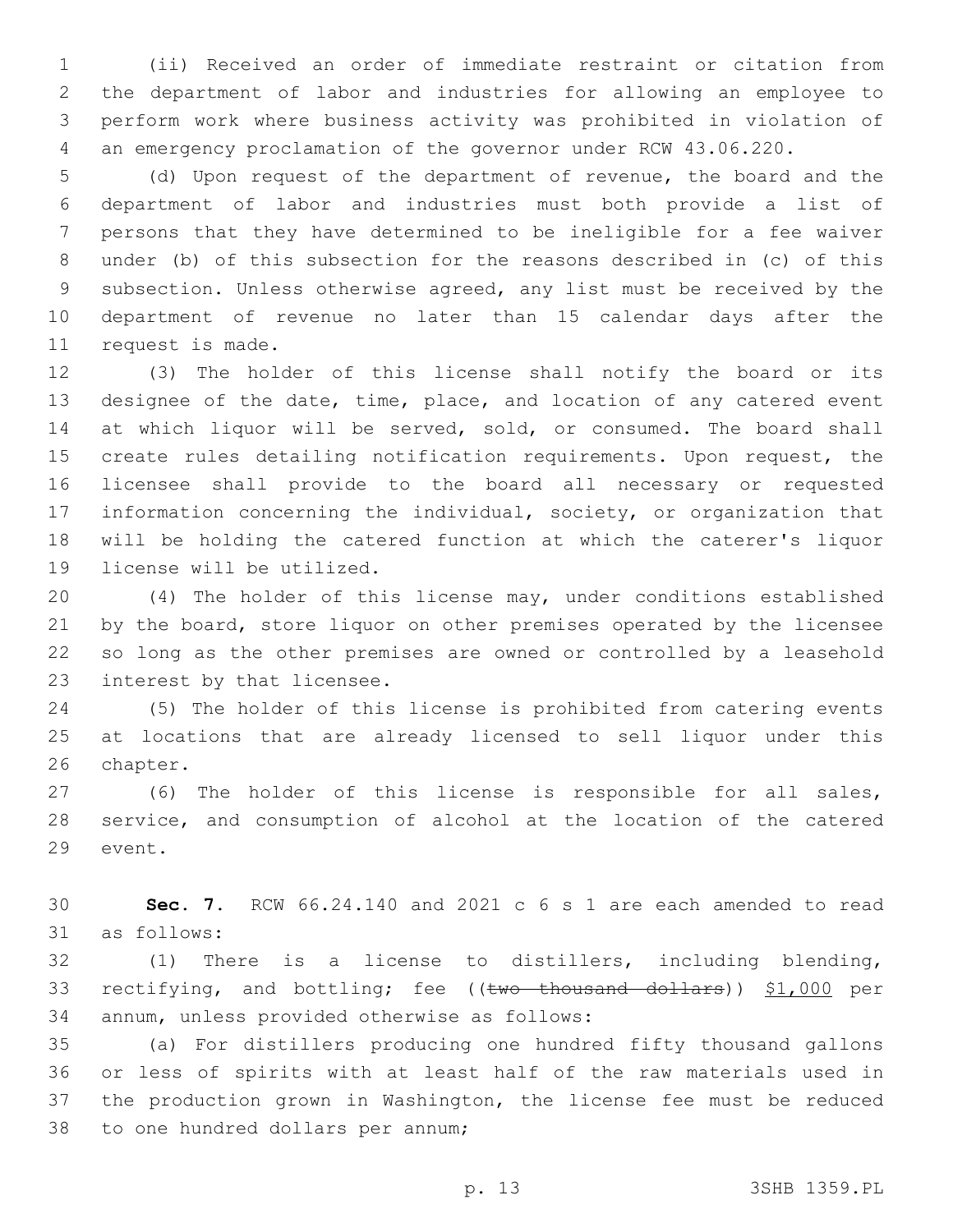(ii) Received an order of immediate restraint or citation from the department of labor and industries for allowing an employee to perform work where business activity was prohibited in violation of an emergency proclamation of the governor under RCW 43.06.220.

 (d) Upon request of the department of revenue, the board and the department of labor and industries must both provide a list of persons that they have determined to be ineligible for a fee waiver under (b) of this subsection for the reasons described in (c) of this subsection. Unless otherwise agreed, any list must be received by the department of revenue no later than 15 calendar days after the 11 request is made.

 (3) The holder of this license shall notify the board or its designee of the date, time, place, and location of any catered event 14 at which liquor will be served, sold, or consumed. The board shall create rules detailing notification requirements. Upon request, the licensee shall provide to the board all necessary or requested information concerning the individual, society, or organization that will be holding the catered function at which the caterer's liquor 19 license will be utilized.

 (4) The holder of this license may, under conditions established 21 by the board, store liquor on other premises operated by the licensee so long as the other premises are owned or controlled by a leasehold 23 interest by that licensee.

 (5) The holder of this license is prohibited from catering events at locations that are already licensed to sell liquor under this 26 chapter.

 (6) The holder of this license is responsible for all sales, service, and consumption of alcohol at the location of the catered 29 event.

 **Sec. 7.** RCW 66.24.140 and 2021 c 6 s 1 are each amended to read 31 as follows:

 (1) There is a license to distillers, including blending, 33 rectifying, and bottling; fee ((two thousand dollars)) \$1,000 per 34 annum, unless provided otherwise as follows:

 (a) For distillers producing one hundred fifty thousand gallons or less of spirits with at least half of the raw materials used in the production grown in Washington, the license fee must be reduced 38 to one hundred dollars per annum;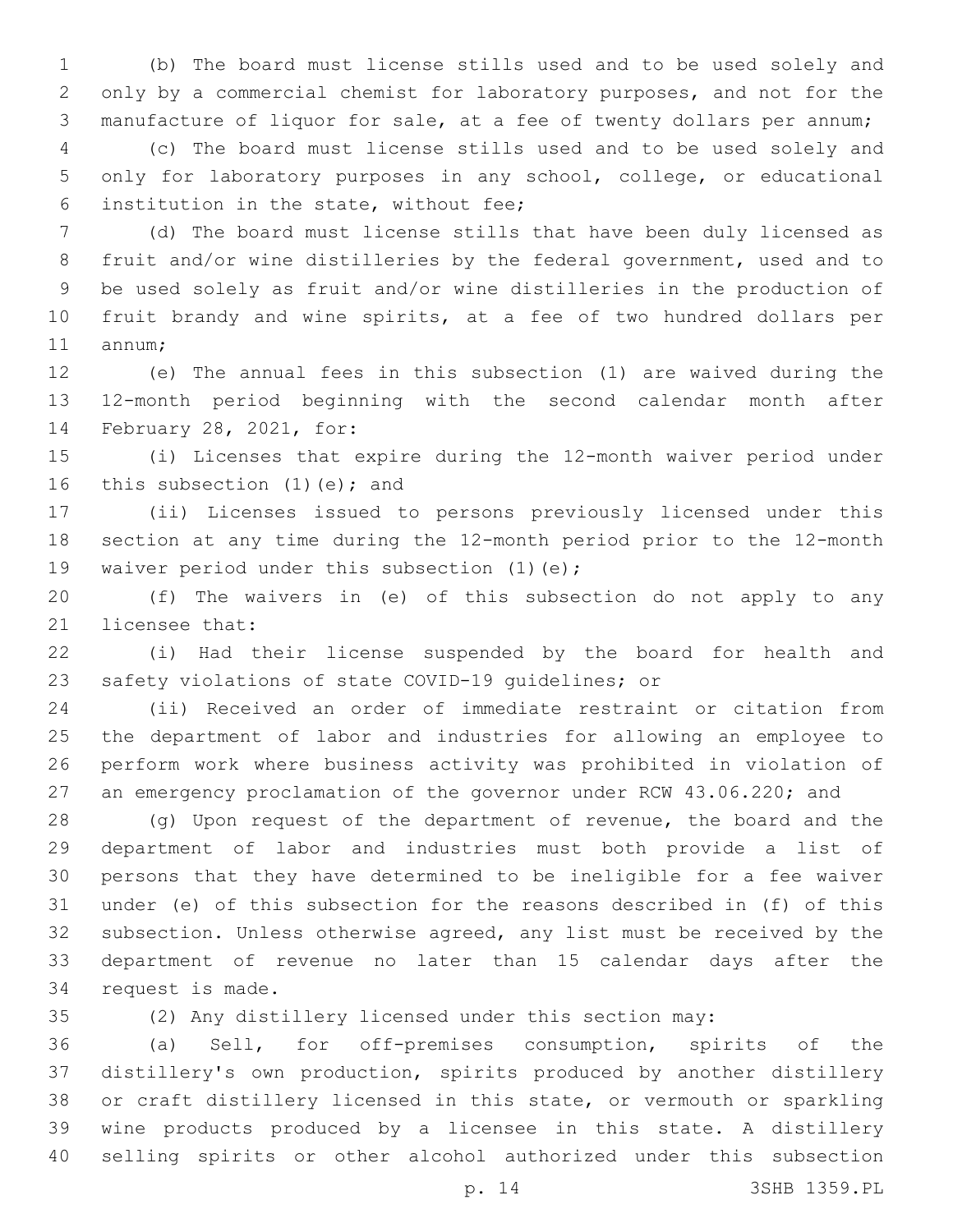(b) The board must license stills used and to be used solely and only by a commercial chemist for laboratory purposes, and not for the manufacture of liquor for sale, at a fee of twenty dollars per annum;

 (c) The board must license stills used and to be used solely and only for laboratory purposes in any school, college, or educational 6 institution in the state, without fee;

 (d) The board must license stills that have been duly licensed as fruit and/or wine distilleries by the federal government, used and to be used solely as fruit and/or wine distilleries in the production of fruit brandy and wine spirits, at a fee of two hundred dollars per 11 annum;

 (e) The annual fees in this subsection (1) are waived during the 12-month period beginning with the second calendar month after 14 February 28, 2021, for:

 (i) Licenses that expire during the 12-month waiver period under 16 this subsection  $(1)(e)$ ; and

 (ii) Licenses issued to persons previously licensed under this section at any time during the 12-month period prior to the 12-month 19 waiver period under this subsection (1)(e);

 (f) The waivers in (e) of this subsection do not apply to any 21 licensee that:

 (i) Had their license suspended by the board for health and safety violations of state COVID-19 guidelines; or

 (ii) Received an order of immediate restraint or citation from the department of labor and industries for allowing an employee to perform work where business activity was prohibited in violation of an emergency proclamation of the governor under RCW 43.06.220; and

 (g) Upon request of the department of revenue, the board and the department of labor and industries must both provide a list of persons that they have determined to be ineligible for a fee waiver under (e) of this subsection for the reasons described in (f) of this subsection. Unless otherwise agreed, any list must be received by the department of revenue no later than 15 calendar days after the 34 request is made.

(2) Any distillery licensed under this section may:

 (a) Sell, for off-premises consumption, spirits of the distillery's own production, spirits produced by another distillery or craft distillery licensed in this state, or vermouth or sparkling wine products produced by a licensee in this state. A distillery selling spirits or other alcohol authorized under this subsection

p. 14 3SHB 1359.PL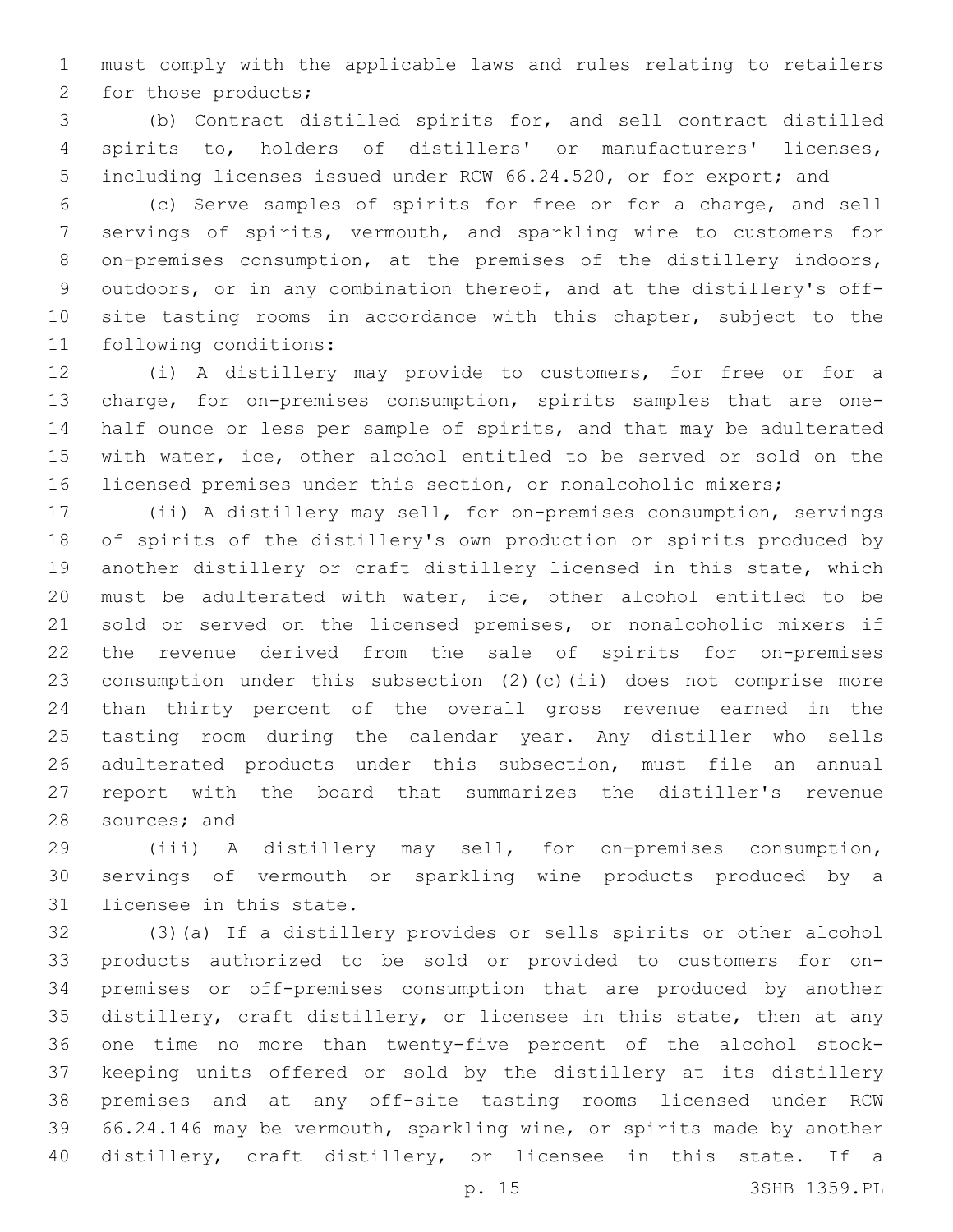must comply with the applicable laws and rules relating to retailers 2 for those products;

 (b) Contract distilled spirits for, and sell contract distilled spirits to, holders of distillers' or manufacturers' licenses, including licenses issued under RCW 66.24.520, or for export; and

 (c) Serve samples of spirits for free or for a charge, and sell servings of spirits, vermouth, and sparkling wine to customers for 8 on-premises consumption, at the premises of the distillery indoors, outdoors, or in any combination thereof, and at the distillery's off-10 site tasting rooms in accordance with this chapter, subject to the 11 following conditions:

 (i) A distillery may provide to customers, for free or for a charge, for on-premises consumption, spirits samples that are one- half ounce or less per sample of spirits, and that may be adulterated with water, ice, other alcohol entitled to be served or sold on the licensed premises under this section, or nonalcoholic mixers;

 (ii) A distillery may sell, for on-premises consumption, servings of spirits of the distillery's own production or spirits produced by another distillery or craft distillery licensed in this state, which must be adulterated with water, ice, other alcohol entitled to be sold or served on the licensed premises, or nonalcoholic mixers if the revenue derived from the sale of spirits for on-premises consumption under this subsection (2)(c)(ii) does not comprise more than thirty percent of the overall gross revenue earned in the tasting room during the calendar year. Any distiller who sells adulterated products under this subsection, must file an annual report with the board that summarizes the distiller's revenue 28 sources; and

 (iii) A distillery may sell, for on-premises consumption, servings of vermouth or sparkling wine products produced by a 31 licensee in this state.

 (3)(a) If a distillery provides or sells spirits or other alcohol products authorized to be sold or provided to customers for on- premises or off-premises consumption that are produced by another distillery, craft distillery, or licensee in this state, then at any one time no more than twenty-five percent of the alcohol stock- keeping units offered or sold by the distillery at its distillery premises and at any off-site tasting rooms licensed under RCW 66.24.146 may be vermouth, sparkling wine, or spirits made by another distillery, craft distillery, or licensee in this state. If a

p. 15 3SHB 1359.PL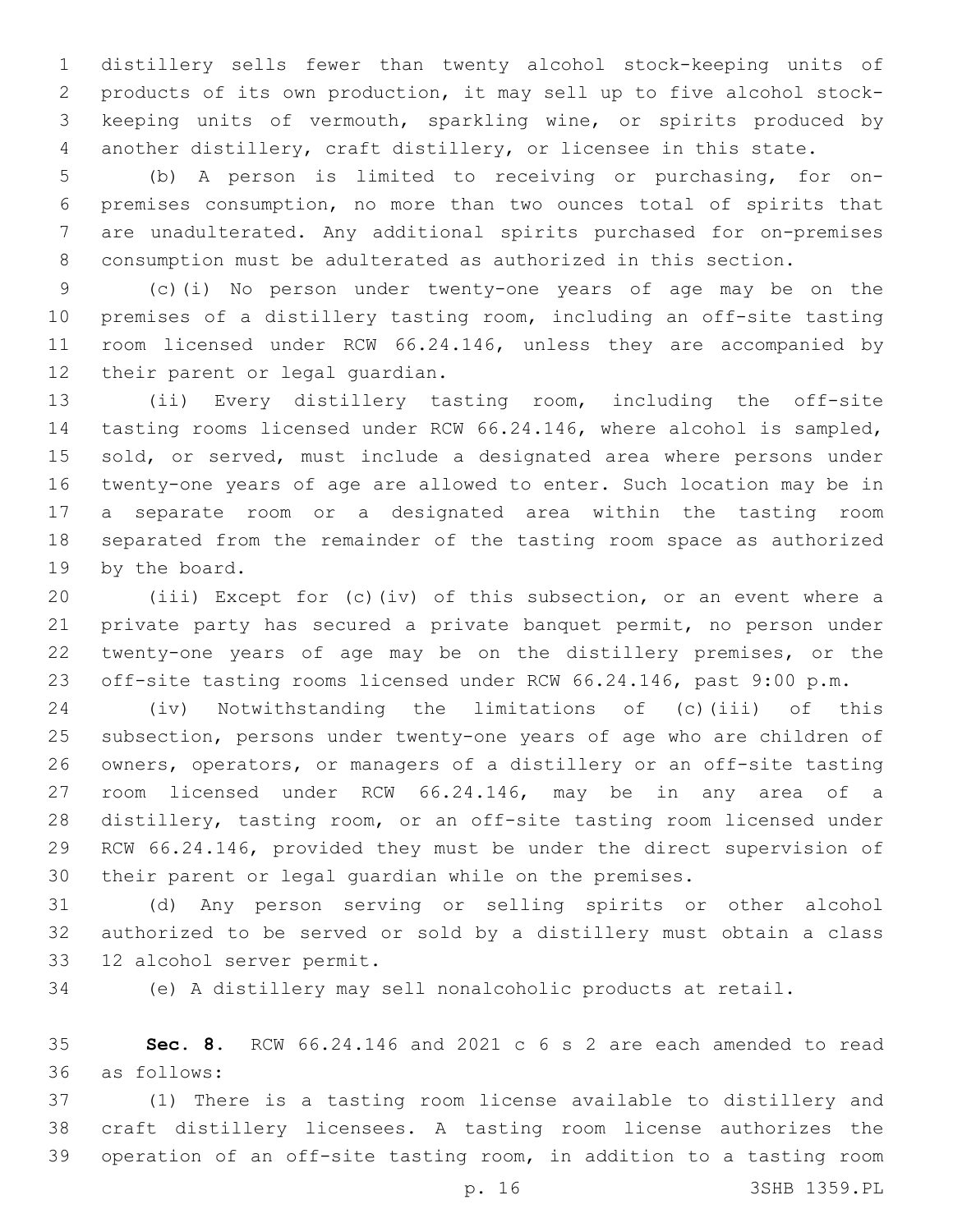distillery sells fewer than twenty alcohol stock-keeping units of products of its own production, it may sell up to five alcohol stock- keeping units of vermouth, sparkling wine, or spirits produced by another distillery, craft distillery, or licensee in this state.

 (b) A person is limited to receiving or purchasing, for on- premises consumption, no more than two ounces total of spirits that are unadulterated. Any additional spirits purchased for on-premises consumption must be adulterated as authorized in this section.

 (c)(i) No person under twenty-one years of age may be on the premises of a distillery tasting room, including an off-site tasting 11 room licensed under RCW 66.24.146, unless they are accompanied by 12 their parent or legal guardian.

 (ii) Every distillery tasting room, including the off-site tasting rooms licensed under RCW 66.24.146, where alcohol is sampled, 15 sold, or served, must include a designated area where persons under twenty-one years of age are allowed to enter. Such location may be in a separate room or a designated area within the tasting room separated from the remainder of the tasting room space as authorized 19 by the board.

 (iii) Except for (c)(iv) of this subsection, or an event where a private party has secured a private banquet permit, no person under twenty-one years of age may be on the distillery premises, or the off-site tasting rooms licensed under RCW 66.24.146, past 9:00 p.m.

 (iv) Notwithstanding the limitations of (c)(iii) of this subsection, persons under twenty-one years of age who are children of owners, operators, or managers of a distillery or an off-site tasting room licensed under RCW 66.24.146, may be in any area of a distillery, tasting room, or an off-site tasting room licensed under RCW 66.24.146, provided they must be under the direct supervision of their parent or legal guardian while on the premises.

 (d) Any person serving or selling spirits or other alcohol authorized to be served or sold by a distillery must obtain a class 33 12 alcohol server permit.

(e) A distillery may sell nonalcoholic products at retail.

 **Sec. 8.** RCW 66.24.146 and 2021 c 6 s 2 are each amended to read as follows:36

 (1) There is a tasting room license available to distillery and craft distillery licensees. A tasting room license authorizes the operation of an off-site tasting room, in addition to a tasting room

p. 16 3SHB 1359.PL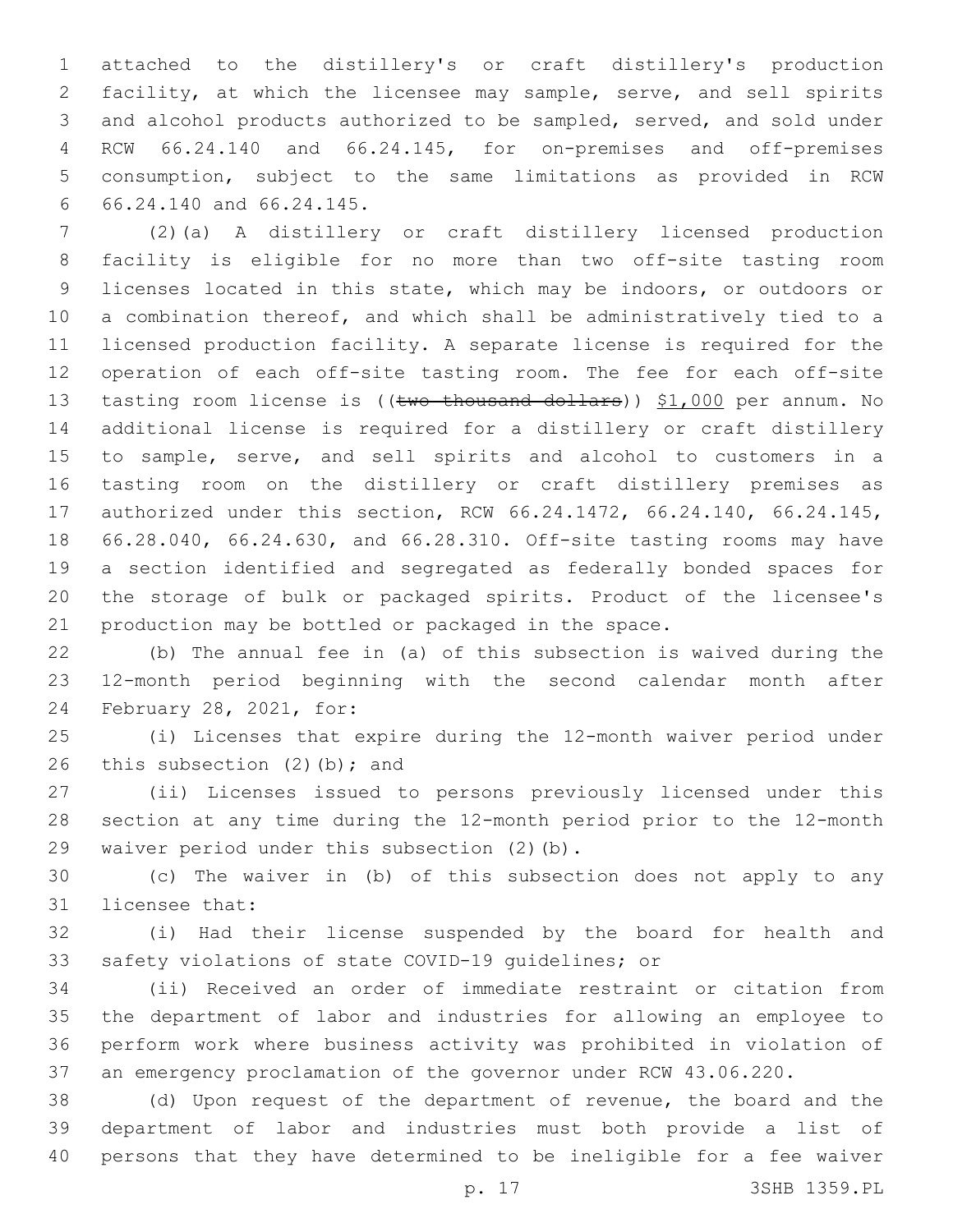attached to the distillery's or craft distillery's production facility, at which the licensee may sample, serve, and sell spirits and alcohol products authorized to be sampled, served, and sold under RCW 66.24.140 and 66.24.145, for on-premises and off-premises consumption, subject to the same limitations as provided in RCW 66.24.140 and 66.24.145.6

 (2)(a) A distillery or craft distillery licensed production facility is eligible for no more than two off-site tasting room licenses located in this state, which may be indoors, or outdoors or a combination thereof, and which shall be administratively tied to a licensed production facility. A separate license is required for the operation of each off-site tasting room. The fee for each off-site 13 tasting room license is ((two thousand dollars)) \$1,000 per annum. No additional license is required for a distillery or craft distillery to sample, serve, and sell spirits and alcohol to customers in a tasting room on the distillery or craft distillery premises as authorized under this section, RCW 66.24.1472, 66.24.140, 66.24.145, 66.28.040, 66.24.630, and 66.28.310. Off-site tasting rooms may have a section identified and segregated as federally bonded spaces for the storage of bulk or packaged spirits. Product of the licensee's production may be bottled or packaged in the space.

 (b) The annual fee in (a) of this subsection is waived during the 12-month period beginning with the second calendar month after 24 February 28, 2021, for:

 (i) Licenses that expire during the 12-month waiver period under 26 this subsection  $(2)$  (b); and

 (ii) Licenses issued to persons previously licensed under this section at any time during the 12-month period prior to the 12-month 29 waiver period under this subsection (2)(b).

 (c) The waiver in (b) of this subsection does not apply to any 31 licensee that:

 (i) Had their license suspended by the board for health and safety violations of state COVID-19 guidelines; or

 (ii) Received an order of immediate restraint or citation from the department of labor and industries for allowing an employee to perform work where business activity was prohibited in violation of an emergency proclamation of the governor under RCW 43.06.220.

 (d) Upon request of the department of revenue, the board and the department of labor and industries must both provide a list of persons that they have determined to be ineligible for a fee waiver

p. 17 3SHB 1359.PL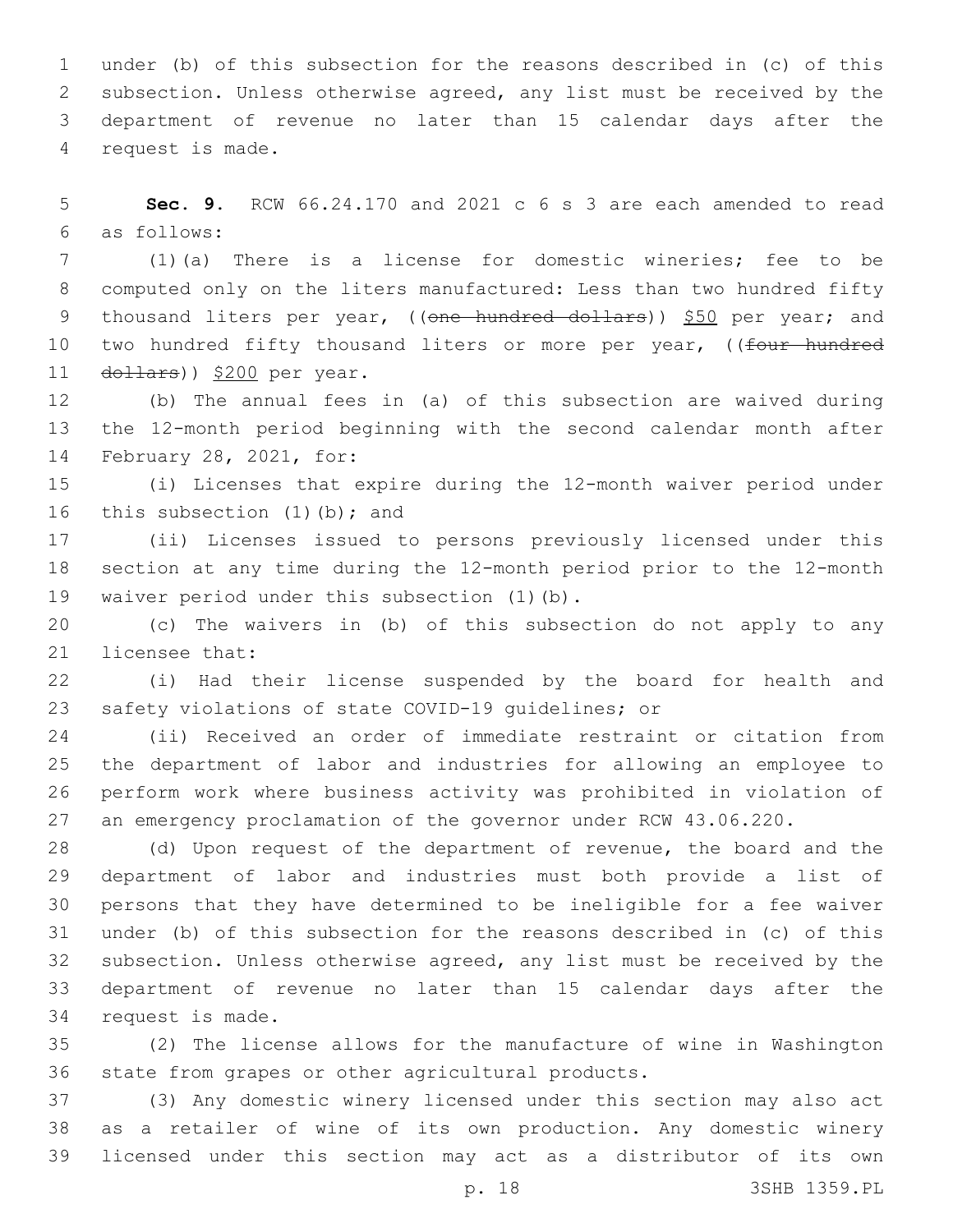under (b) of this subsection for the reasons described in (c) of this subsection. Unless otherwise agreed, any list must be received by the department of revenue no later than 15 calendar days after the 4 request is made.

 **Sec. 9.** RCW 66.24.170 and 2021 c 6 s 3 are each amended to read as follows:6

 (1)(a) There is a license for domestic wineries; fee to be computed only on the liters manufactured: Less than two hundred fifty 9 thousand liters per year, ((one hundred dollars)) \$50 per year; and 10 two hundred fifty thousand liters or more per year, ((four hundred 11 dollars)) \$200 per year.

 (b) The annual fees in (a) of this subsection are waived during the 12-month period beginning with the second calendar month after 14 February 28, 2021, for:

 (i) Licenses that expire during the 12-month waiver period under 16 this subsection  $(1)$  (b); and

 (ii) Licenses issued to persons previously licensed under this section at any time during the 12-month period prior to the 12-month 19 waiver period under this subsection (1)(b).

 (c) The waivers in (b) of this subsection do not apply to any 21 licensee that:

 (i) Had their license suspended by the board for health and safety violations of state COVID-19 guidelines; or

 (ii) Received an order of immediate restraint or citation from the department of labor and industries for allowing an employee to perform work where business activity was prohibited in violation of an emergency proclamation of the governor under RCW 43.06.220.

 (d) Upon request of the department of revenue, the board and the department of labor and industries must both provide a list of persons that they have determined to be ineligible for a fee waiver under (b) of this subsection for the reasons described in (c) of this subsection. Unless otherwise agreed, any list must be received by the department of revenue no later than 15 calendar days after the 34 request is made.

 (2) The license allows for the manufacture of wine in Washington 36 state from grapes or other agricultural products.

 (3) Any domestic winery licensed under this section may also act as a retailer of wine of its own production. Any domestic winery licensed under this section may act as a distributor of its own

p. 18 3SHB 1359.PL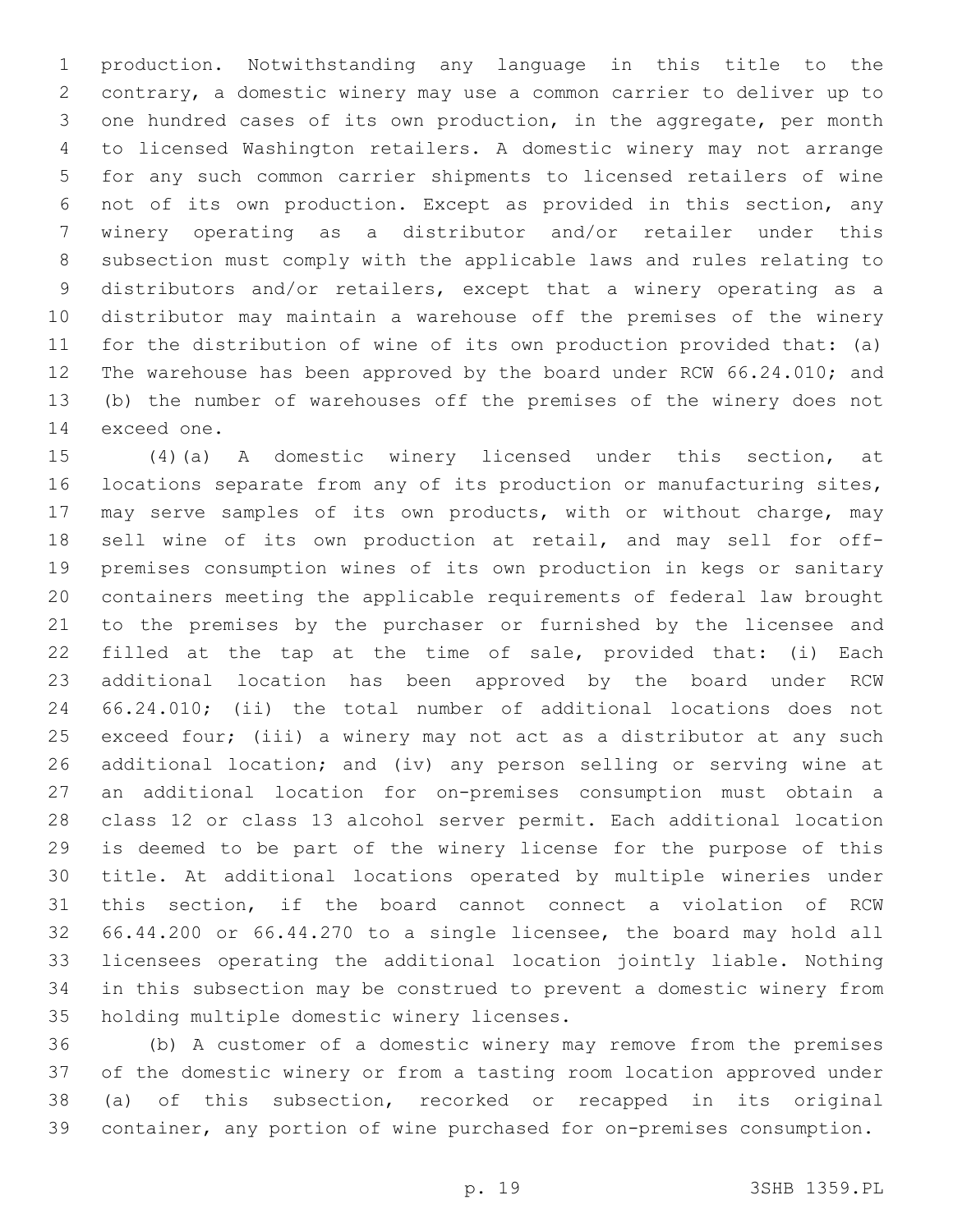production. Notwithstanding any language in this title to the contrary, a domestic winery may use a common carrier to deliver up to one hundred cases of its own production, in the aggregate, per month to licensed Washington retailers. A domestic winery may not arrange for any such common carrier shipments to licensed retailers of wine not of its own production. Except as provided in this section, any winery operating as a distributor and/or retailer under this subsection must comply with the applicable laws and rules relating to distributors and/or retailers, except that a winery operating as a distributor may maintain a warehouse off the premises of the winery for the distribution of wine of its own production provided that: (a) The warehouse has been approved by the board under RCW 66.24.010; and (b) the number of warehouses off the premises of the winery does not 14 exceed one.

 (4)(a) A domestic winery licensed under this section, at locations separate from any of its production or manufacturing sites, may serve samples of its own products, with or without charge, may sell wine of its own production at retail, and may sell for off- premises consumption wines of its own production in kegs or sanitary containers meeting the applicable requirements of federal law brought to the premises by the purchaser or furnished by the licensee and filled at the tap at the time of sale, provided that: (i) Each additional location has been approved by the board under RCW 66.24.010; (ii) the total number of additional locations does not exceed four; (iii) a winery may not act as a distributor at any such additional location; and (iv) any person selling or serving wine at an additional location for on-premises consumption must obtain a class 12 or class 13 alcohol server permit. Each additional location is deemed to be part of the winery license for the purpose of this title. At additional locations operated by multiple wineries under this section, if the board cannot connect a violation of RCW 66.44.200 or 66.44.270 to a single licensee, the board may hold all licensees operating the additional location jointly liable. Nothing in this subsection may be construed to prevent a domestic winery from 35 holding multiple domestic winery licenses.

 (b) A customer of a domestic winery may remove from the premises of the domestic winery or from a tasting room location approved under (a) of this subsection, recorked or recapped in its original container, any portion of wine purchased for on-premises consumption.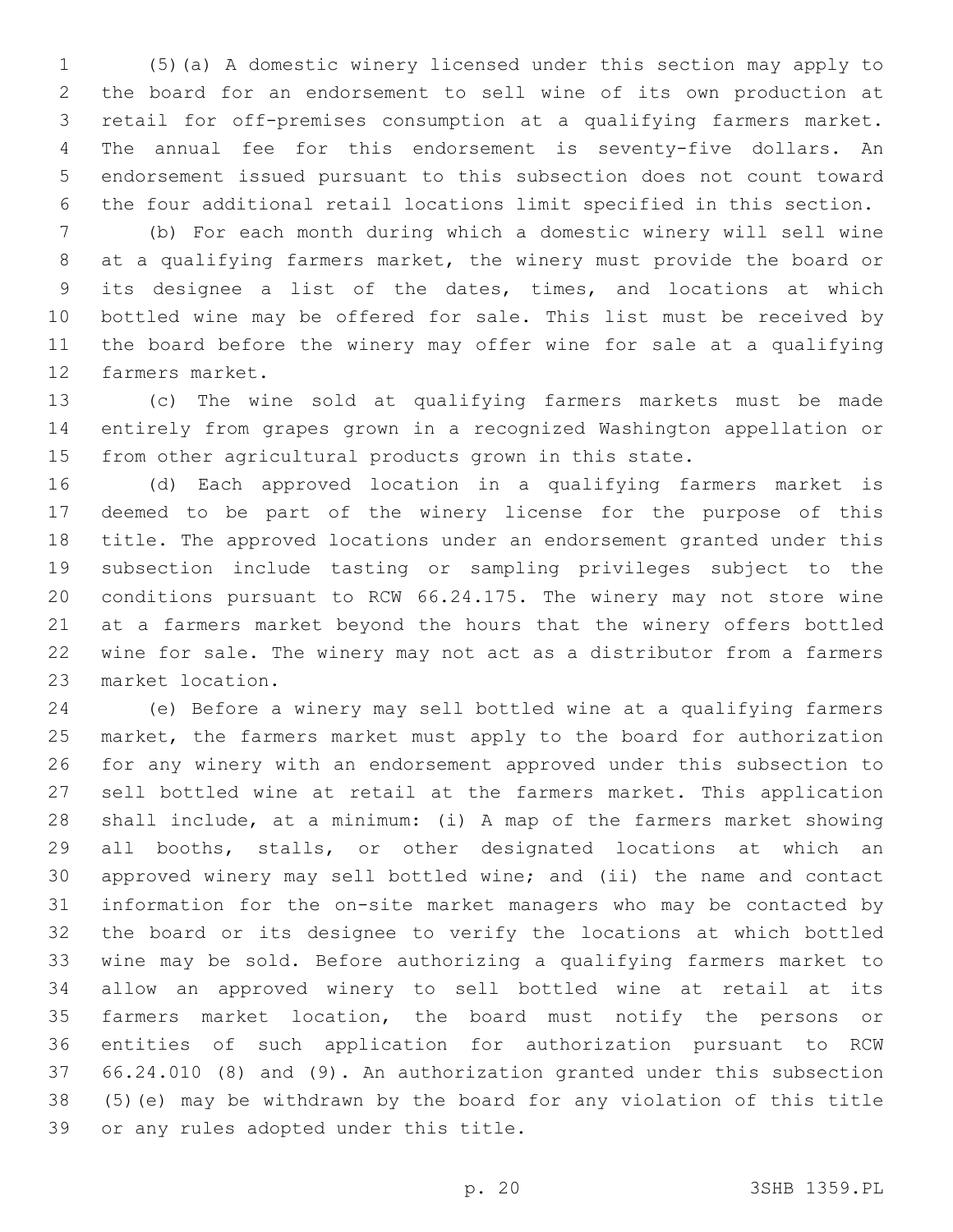(5)(a) A domestic winery licensed under this section may apply to the board for an endorsement to sell wine of its own production at retail for off-premises consumption at a qualifying farmers market. The annual fee for this endorsement is seventy-five dollars. An endorsement issued pursuant to this subsection does not count toward the four additional retail locations limit specified in this section.

 (b) For each month during which a domestic winery will sell wine at a qualifying farmers market, the winery must provide the board or its designee a list of the dates, times, and locations at which bottled wine may be offered for sale. This list must be received by the board before the winery may offer wine for sale at a qualifying 12 farmers market.

 (c) The wine sold at qualifying farmers markets must be made entirely from grapes grown in a recognized Washington appellation or from other agricultural products grown in this state.

 (d) Each approved location in a qualifying farmers market is deemed to be part of the winery license for the purpose of this title. The approved locations under an endorsement granted under this subsection include tasting or sampling privileges subject to the conditions pursuant to RCW 66.24.175. The winery may not store wine at a farmers market beyond the hours that the winery offers bottled wine for sale. The winery may not act as a distributor from a farmers 23 market location.

 (e) Before a winery may sell bottled wine at a qualifying farmers market, the farmers market must apply to the board for authorization for any winery with an endorsement approved under this subsection to sell bottled wine at retail at the farmers market. This application shall include, at a minimum: (i) A map of the farmers market showing all booths, stalls, or other designated locations at which an approved winery may sell bottled wine; and (ii) the name and contact information for the on-site market managers who may be contacted by the board or its designee to verify the locations at which bottled wine may be sold. Before authorizing a qualifying farmers market to allow an approved winery to sell bottled wine at retail at its farmers market location, the board must notify the persons or entities of such application for authorization pursuant to RCW 66.24.010 (8) and (9). An authorization granted under this subsection (5)(e) may be withdrawn by the board for any violation of this title 39 or any rules adopted under this title.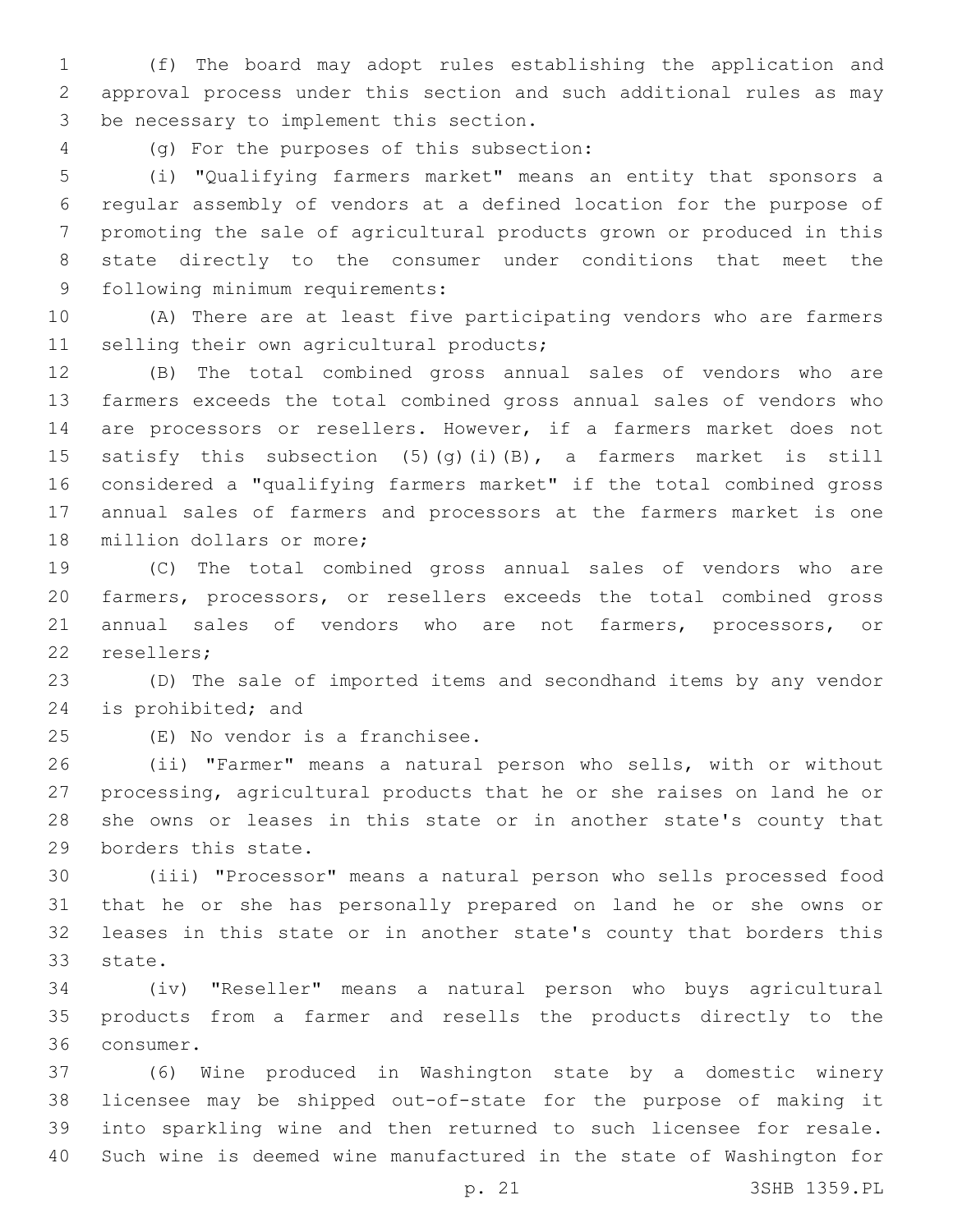(f) The board may adopt rules establishing the application and approval process under this section and such additional rules as may 3 be necessary to implement this section.

(g) For the purposes of this subsection:4

 (i) "Qualifying farmers market" means an entity that sponsors a regular assembly of vendors at a defined location for the purpose of promoting the sale of agricultural products grown or produced in this state directly to the consumer under conditions that meet the 9 following minimum requirements:

 (A) There are at least five participating vendors who are farmers 11 selling their own agricultural products;

 (B) The total combined gross annual sales of vendors who are farmers exceeds the total combined gross annual sales of vendors who are processors or resellers. However, if a farmers market does not 15 satisfy this subsection  $(5)(q)(i)(B)$ , a farmers market is still considered a "qualifying farmers market" if the total combined gross annual sales of farmers and processors at the farmers market is one 18 million dollars or more;

 (C) The total combined gross annual sales of vendors who are farmers, processors, or resellers exceeds the total combined gross annual sales of vendors who are not farmers, processors, or 22 resellers;

 (D) The sale of imported items and secondhand items by any vendor 24 is prohibited; and

25 (E) No vendor is a franchisee.

 (ii) "Farmer" means a natural person who sells, with or without processing, agricultural products that he or she raises on land he or she owns or leases in this state or in another state's county that 29 borders this state.

 (iii) "Processor" means a natural person who sells processed food that he or she has personally prepared on land he or she owns or leases in this state or in another state's county that borders this 33 state.

 (iv) "Reseller" means a natural person who buys agricultural products from a farmer and resells the products directly to the 36 consumer.

 (6) Wine produced in Washington state by a domestic winery licensee may be shipped out-of-state for the purpose of making it into sparkling wine and then returned to such licensee for resale. Such wine is deemed wine manufactured in the state of Washington for

p. 21 3SHB 1359.PL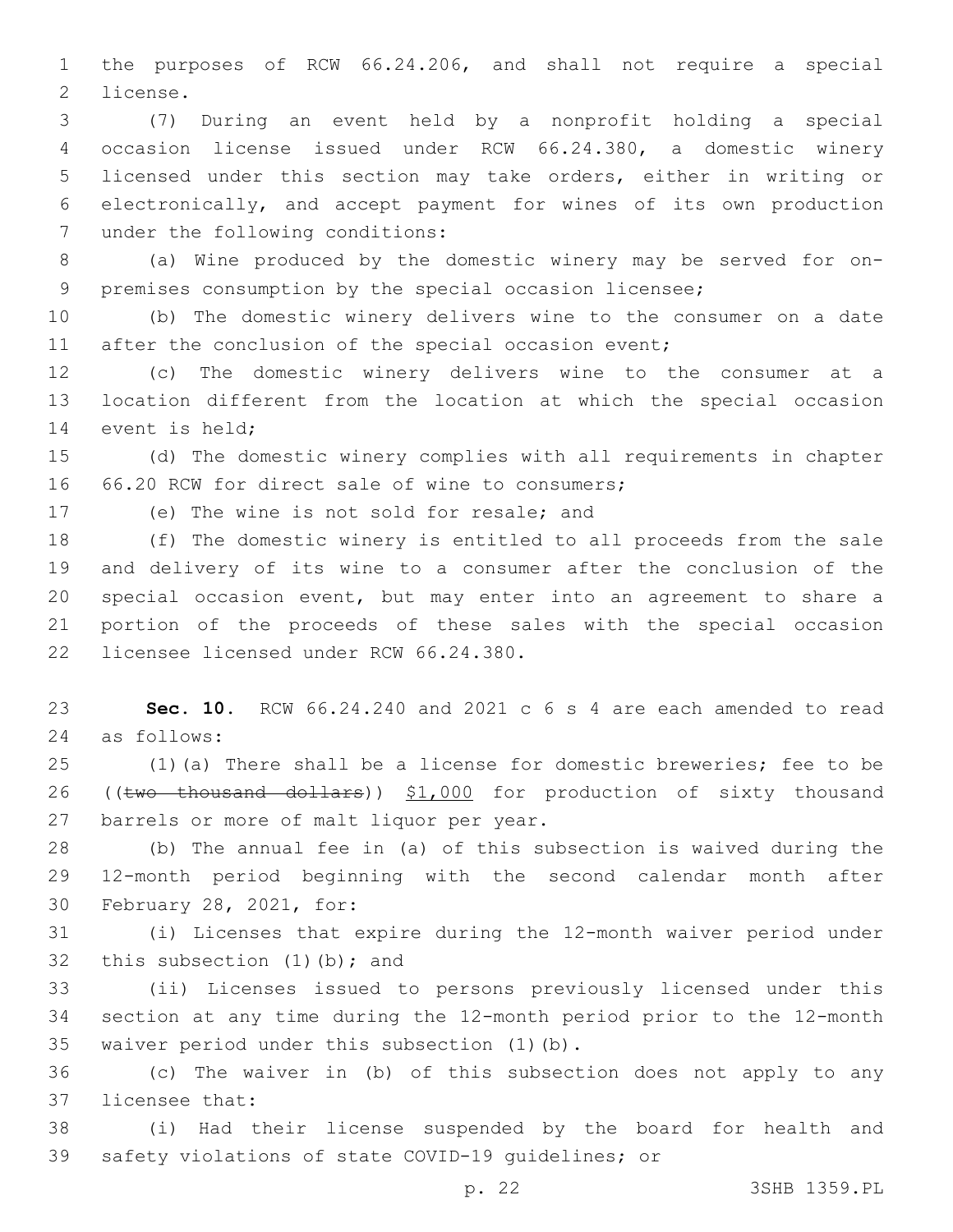the purposes of RCW 66.24.206, and shall not require a special 2 license.

 (7) During an event held by a nonprofit holding a special occasion license issued under RCW 66.24.380, a domestic winery licensed under this section may take orders, either in writing or electronically, and accept payment for wines of its own production 7 under the following conditions:

 (a) Wine produced by the domestic winery may be served for on-premises consumption by the special occasion licensee;

 (b) The domestic winery delivers wine to the consumer on a date 11 after the conclusion of the special occasion event;

 (c) The domestic winery delivers wine to the consumer at a location different from the location at which the special occasion 14 event is held;

 (d) The domestic winery complies with all requirements in chapter 16 66.20 RCW for direct sale of wine to consumers:

17 (e) The wine is not sold for resale; and

 (f) The domestic winery is entitled to all proceeds from the sale and delivery of its wine to a consumer after the conclusion of the special occasion event, but may enter into an agreement to share a portion of the proceeds of these sales with the special occasion 22 licensee licensed under RCW 66.24.380.

 **Sec. 10.** RCW 66.24.240 and 2021 c 6 s 4 are each amended to read as follows:24

 (1)(a) There shall be a license for domestic breweries; fee to be 26 ((two thousand dollars)) \$1,000 for production of sixty thousand 27 barrels or more of malt liquor per year.

 (b) The annual fee in (a) of this subsection is waived during the 12-month period beginning with the second calendar month after 30 February 28, 2021, for:

 (i) Licenses that expire during the 12-month waiver period under 32 this subsection  $(1)$   $(b)$ ; and

 (ii) Licenses issued to persons previously licensed under this section at any time during the 12-month period prior to the 12-month 35 waiver period under this subsection (1)(b).

 (c) The waiver in (b) of this subsection does not apply to any 37 licensee that:

 (i) Had their license suspended by the board for health and safety violations of state COVID-19 guidelines; or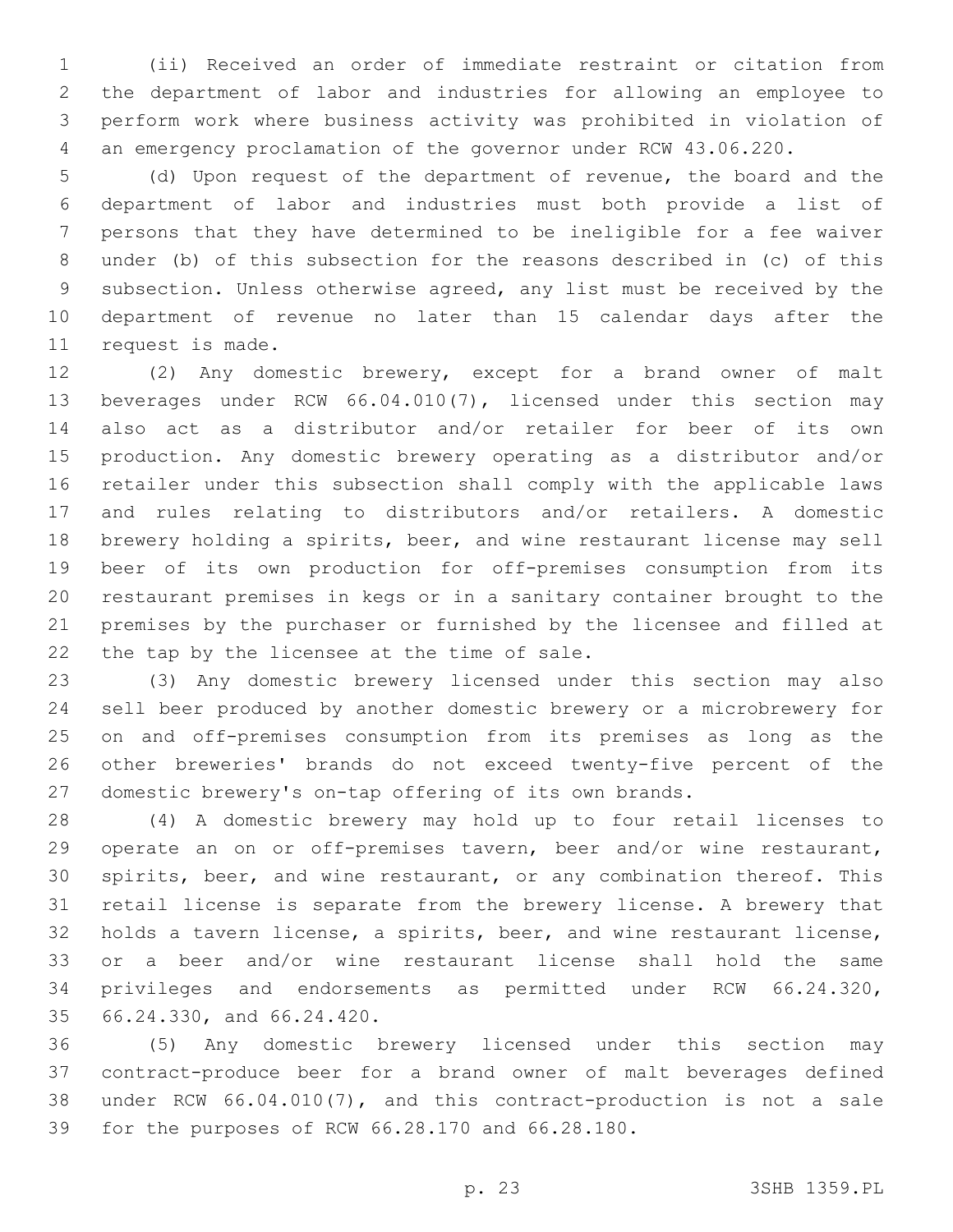(ii) Received an order of immediate restraint or citation from the department of labor and industries for allowing an employee to perform work where business activity was prohibited in violation of an emergency proclamation of the governor under RCW 43.06.220.

 (d) Upon request of the department of revenue, the board and the department of labor and industries must both provide a list of persons that they have determined to be ineligible for a fee waiver under (b) of this subsection for the reasons described in (c) of this subsection. Unless otherwise agreed, any list must be received by the department of revenue no later than 15 calendar days after the 11 request is made.

 (2) Any domestic brewery, except for a brand owner of malt beverages under RCW 66.04.010(7), licensed under this section may also act as a distributor and/or retailer for beer of its own production. Any domestic brewery operating as a distributor and/or retailer under this subsection shall comply with the applicable laws and rules relating to distributors and/or retailers. A domestic brewery holding a spirits, beer, and wine restaurant license may sell beer of its own production for off-premises consumption from its restaurant premises in kegs or in a sanitary container brought to the premises by the purchaser or furnished by the licensee and filled at 22 the tap by the licensee at the time of sale.

 (3) Any domestic brewery licensed under this section may also sell beer produced by another domestic brewery or a microbrewery for on and off-premises consumption from its premises as long as the other breweries' brands do not exceed twenty-five percent of the domestic brewery's on-tap offering of its own brands.

 (4) A domestic brewery may hold up to four retail licenses to operate an on or off-premises tavern, beer and/or wine restaurant, spirits, beer, and wine restaurant, or any combination thereof. This retail license is separate from the brewery license. A brewery that holds a tavern license, a spirits, beer, and wine restaurant license, or a beer and/or wine restaurant license shall hold the same privileges and endorsements as permitted under RCW 66.24.320, 35 66.24.330, and 66.24.420.

 (5) Any domestic brewery licensed under this section may contract-produce beer for a brand owner of malt beverages defined under RCW 66.04.010(7), and this contract-production is not a sale 39 for the purposes of RCW 66.28.170 and 66.28.180.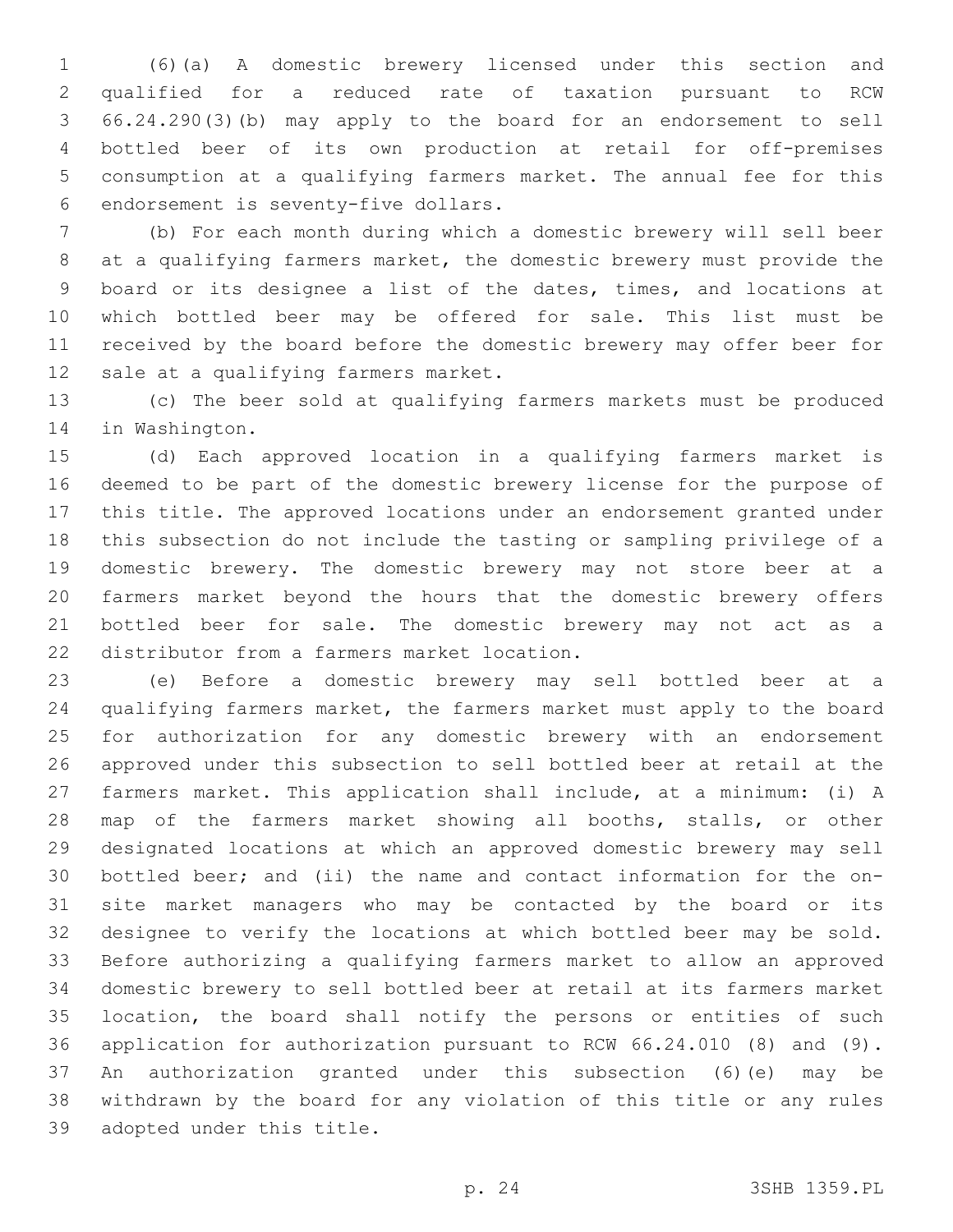(6)(a) A domestic brewery licensed under this section and qualified for a reduced rate of taxation pursuant to RCW 66.24.290(3)(b) may apply to the board for an endorsement to sell bottled beer of its own production at retail for off-premises consumption at a qualifying farmers market. The annual fee for this 6 endorsement is seventy-five dollars.

 (b) For each month during which a domestic brewery will sell beer at a qualifying farmers market, the domestic brewery must provide the board or its designee a list of the dates, times, and locations at which bottled beer may be offered for sale. This list must be received by the board before the domestic brewery may offer beer for 12 sale at a qualifying farmers market.

 (c) The beer sold at qualifying farmers markets must be produced 14 in Washington.

 (d) Each approved location in a qualifying farmers market is deemed to be part of the domestic brewery license for the purpose of this title. The approved locations under an endorsement granted under this subsection do not include the tasting or sampling privilege of a domestic brewery. The domestic brewery may not store beer at a farmers market beyond the hours that the domestic brewery offers bottled beer for sale. The domestic brewery may not act as a 22 distributor from a farmers market location.

 (e) Before a domestic brewery may sell bottled beer at a qualifying farmers market, the farmers market must apply to the board for authorization for any domestic brewery with an endorsement approved under this subsection to sell bottled beer at retail at the farmers market. This application shall include, at a minimum: (i) A map of the farmers market showing all booths, stalls, or other designated locations at which an approved domestic brewery may sell bottled beer; and (ii) the name and contact information for the on- site market managers who may be contacted by the board or its designee to verify the locations at which bottled beer may be sold. Before authorizing a qualifying farmers market to allow an approved domestic brewery to sell bottled beer at retail at its farmers market location, the board shall notify the persons or entities of such application for authorization pursuant to RCW 66.24.010 (8) and (9). An authorization granted under this subsection (6)(e) may be withdrawn by the board for any violation of this title or any rules 39 adopted under this title.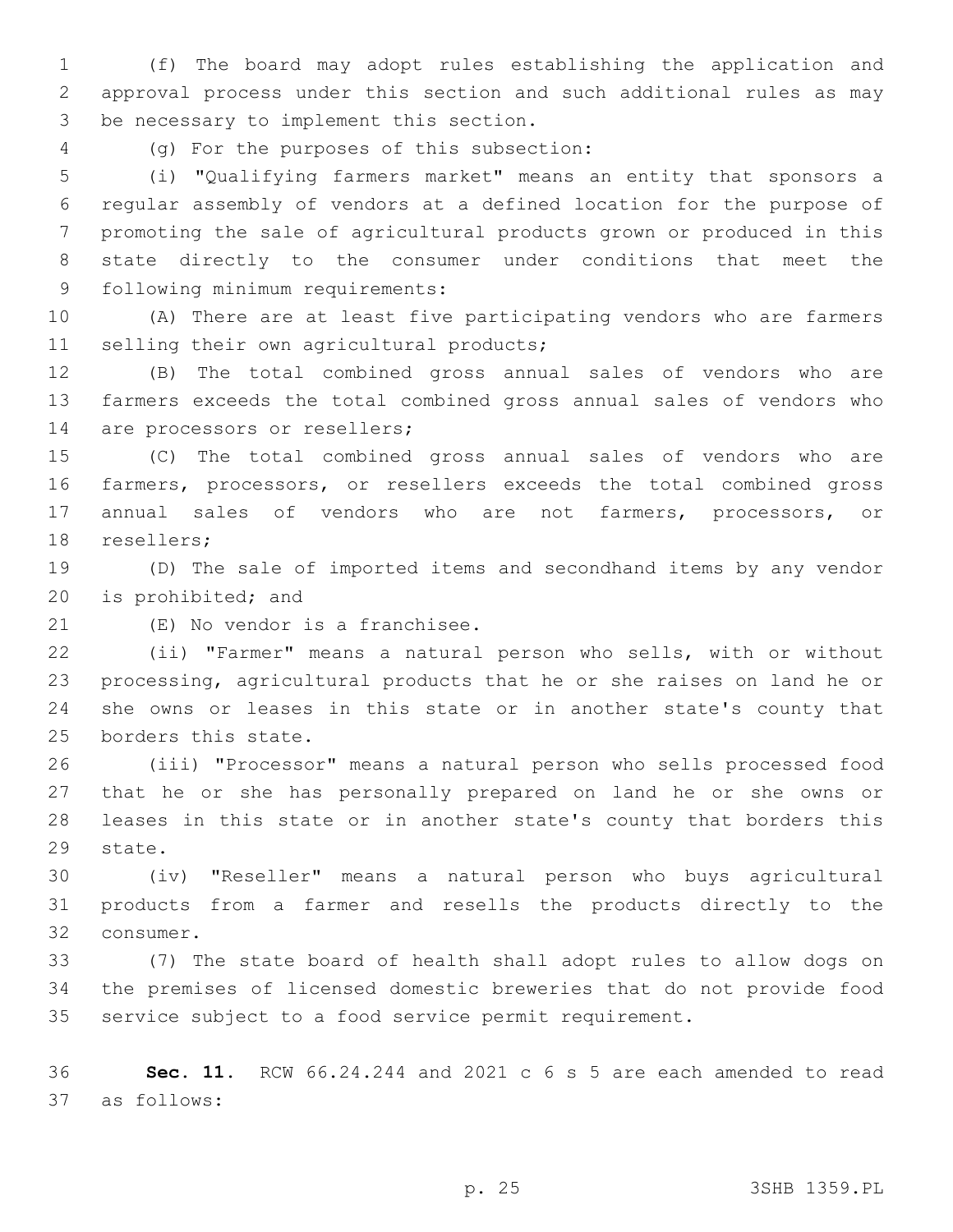(f) The board may adopt rules establishing the application and approval process under this section and such additional rules as may 3 be necessary to implement this section.

(g) For the purposes of this subsection:4

 (i) "Qualifying farmers market" means an entity that sponsors a regular assembly of vendors at a defined location for the purpose of promoting the sale of agricultural products grown or produced in this state directly to the consumer under conditions that meet the 9 following minimum requirements:

 (A) There are at least five participating vendors who are farmers 11 selling their own agricultural products;

 (B) The total combined gross annual sales of vendors who are farmers exceeds the total combined gross annual sales of vendors who 14 are processors or resellers;

 (C) The total combined gross annual sales of vendors who are farmers, processors, or resellers exceeds the total combined gross annual sales of vendors who are not farmers, processors, or 18 resellers;

 (D) The sale of imported items and secondhand items by any vendor 20 is prohibited; and

21 (E) No vendor is a franchisee.

 (ii) "Farmer" means a natural person who sells, with or without processing, agricultural products that he or she raises on land he or she owns or leases in this state or in another state's county that 25 borders this state.

 (iii) "Processor" means a natural person who sells processed food that he or she has personally prepared on land he or she owns or leases in this state or in another state's county that borders this 29 state.

 (iv) "Reseller" means a natural person who buys agricultural products from a farmer and resells the products directly to the 32 consumer.

 (7) The state board of health shall adopt rules to allow dogs on the premises of licensed domestic breweries that do not provide food service subject to a food service permit requirement.

 **Sec. 11.** RCW 66.24.244 and 2021 c 6 s 5 are each amended to read as follows:37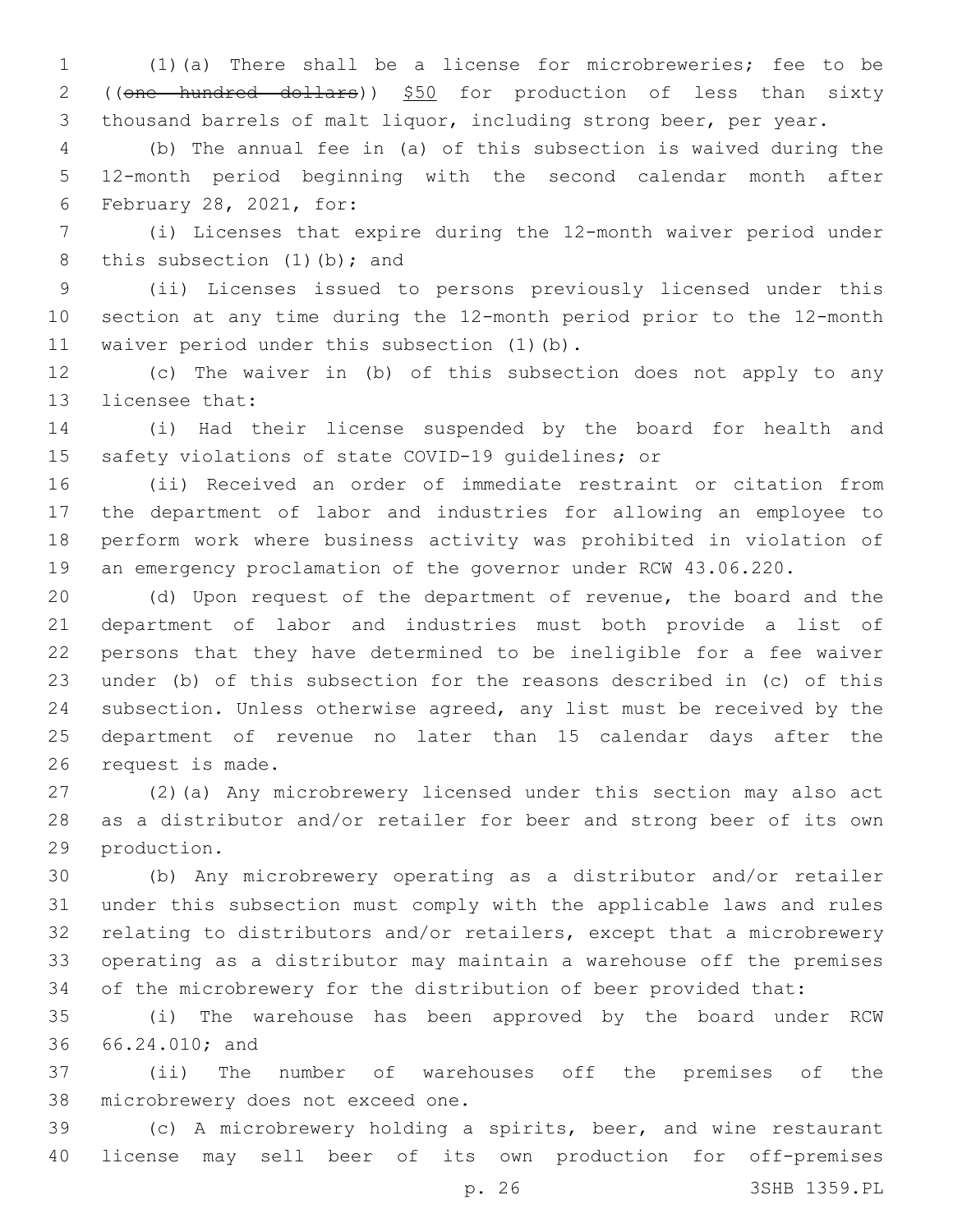(1)(a) There shall be a license for microbreweries; fee to be 2 ((one hundred dollars)) \$50 for production of less than sixty thousand barrels of malt liquor, including strong beer, per year.

 (b) The annual fee in (a) of this subsection is waived during the 12-month period beginning with the second calendar month after 6 February 28, 2021, for:

 (i) Licenses that expire during the 12-month waiver period under 8 this subsection  $(1)$  (b); and

 (ii) Licenses issued to persons previously licensed under this section at any time during the 12-month period prior to the 12-month 11 waiver period under this subsection (1)(b).

 (c) The waiver in (b) of this subsection does not apply to any 13 licensee that:

 (i) Had their license suspended by the board for health and safety violations of state COVID-19 guidelines; or

 (ii) Received an order of immediate restraint or citation from the department of labor and industries for allowing an employee to perform work where business activity was prohibited in violation of an emergency proclamation of the governor under RCW 43.06.220.

 (d) Upon request of the department of revenue, the board and the department of labor and industries must both provide a list of persons that they have determined to be ineligible for a fee waiver under (b) of this subsection for the reasons described in (c) of this subsection. Unless otherwise agreed, any list must be received by the department of revenue no later than 15 calendar days after the 26 request is made.

 (2)(a) Any microbrewery licensed under this section may also act as a distributor and/or retailer for beer and strong beer of its own 29 production.

 (b) Any microbrewery operating as a distributor and/or retailer under this subsection must comply with the applicable laws and rules relating to distributors and/or retailers, except that a microbrewery operating as a distributor may maintain a warehouse off the premises of the microbrewery for the distribution of beer provided that:

 (i) The warehouse has been approved by the board under RCW 36 66.24.010; and

 (ii) The number of warehouses off the premises of the 38 microbrewery does not exceed one.

 (c) A microbrewery holding a spirits, beer, and wine restaurant license may sell beer of its own production for off-premises

p. 26 3SHB 1359.PL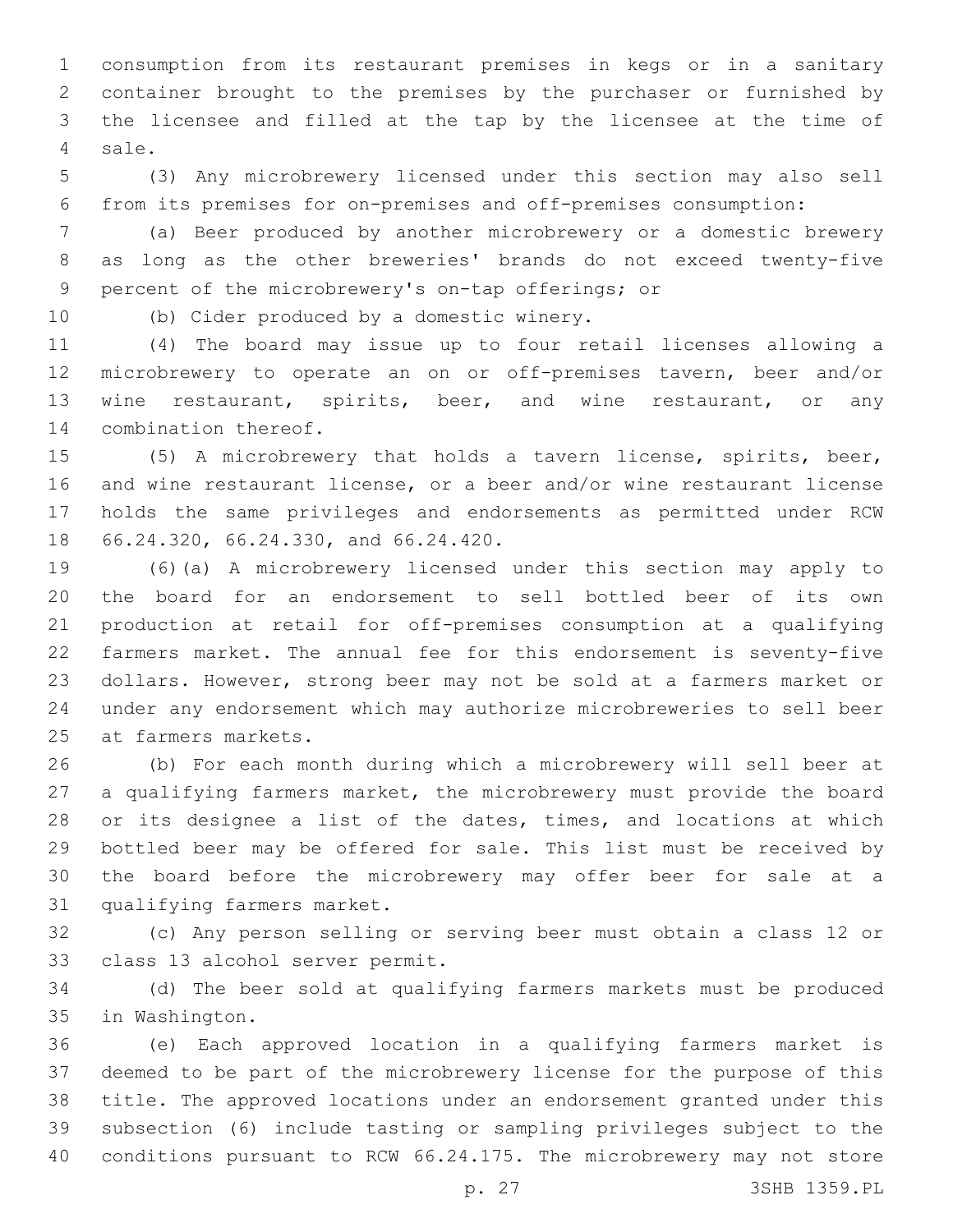consumption from its restaurant premises in kegs or in a sanitary container brought to the premises by the purchaser or furnished by the licensee and filled at the tap by the licensee at the time of 4 sale.

 (3) Any microbrewery licensed under this section may also sell from its premises for on-premises and off-premises consumption:

 (a) Beer produced by another microbrewery or a domestic brewery as long as the other breweries' brands do not exceed twenty-five 9 percent of the microbrewery's on-tap offerings; or

10 (b) Cider produced by a domestic winery.

 (4) The board may issue up to four retail licenses allowing a microbrewery to operate an on or off-premises tavern, beer and/or wine restaurant, spirits, beer, and wine restaurant, or any 14 combination thereof.

 (5) A microbrewery that holds a tavern license, spirits, beer, and wine restaurant license, or a beer and/or wine restaurant license holds the same privileges and endorsements as permitted under RCW 18 66.24.320, 66.24.330, and 66.24.420.

 (6)(a) A microbrewery licensed under this section may apply to the board for an endorsement to sell bottled beer of its own production at retail for off-premises consumption at a qualifying farmers market. The annual fee for this endorsement is seventy-five dollars. However, strong beer may not be sold at a farmers market or under any endorsement which may authorize microbreweries to sell beer 25 at farmers markets.

 (b) For each month during which a microbrewery will sell beer at a qualifying farmers market, the microbrewery must provide the board or its designee a list of the dates, times, and locations at which bottled beer may be offered for sale. This list must be received by the board before the microbrewery may offer beer for sale at a 31 qualifying farmers market.

 (c) Any person selling or serving beer must obtain a class 12 or 33 class 13 alcohol server permit.

 (d) The beer sold at qualifying farmers markets must be produced 35 in Washington.

 (e) Each approved location in a qualifying farmers market is deemed to be part of the microbrewery license for the purpose of this title. The approved locations under an endorsement granted under this subsection (6) include tasting or sampling privileges subject to the conditions pursuant to RCW 66.24.175. The microbrewery may not store

p. 27 3SHB 1359.PL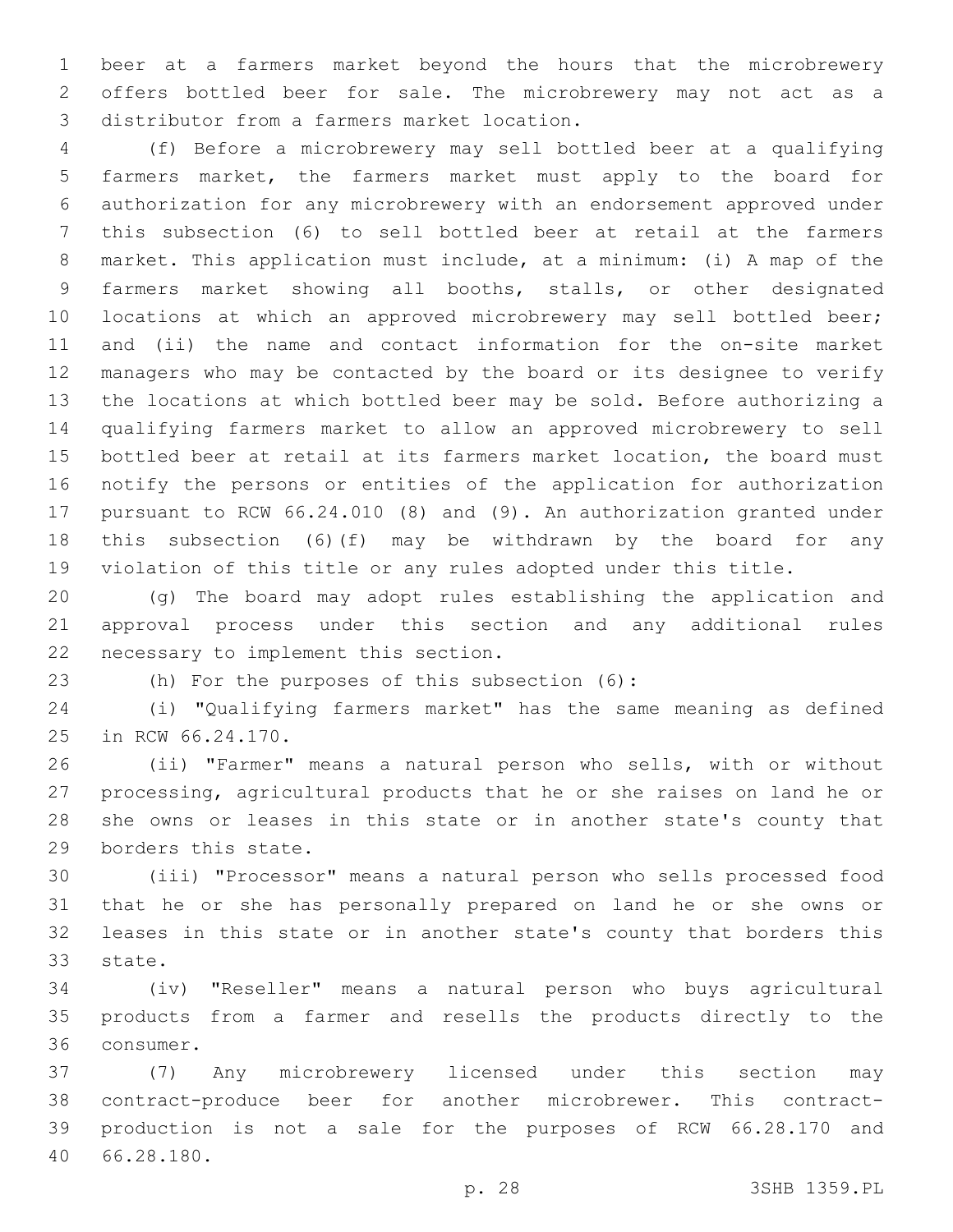beer at a farmers market beyond the hours that the microbrewery offers bottled beer for sale. The microbrewery may not act as a 3 distributor from a farmers market location.

 (f) Before a microbrewery may sell bottled beer at a qualifying farmers market, the farmers market must apply to the board for authorization for any microbrewery with an endorsement approved under this subsection (6) to sell bottled beer at retail at the farmers market. This application must include, at a minimum: (i) A map of the farmers market showing all booths, stalls, or other designated 10 locations at which an approved microbrewery may sell bottled beer; and (ii) the name and contact information for the on-site market managers who may be contacted by the board or its designee to verify the locations at which bottled beer may be sold. Before authorizing a qualifying farmers market to allow an approved microbrewery to sell bottled beer at retail at its farmers market location, the board must notify the persons or entities of the application for authorization pursuant to RCW 66.24.010 (8) and (9). An authorization granted under this subsection (6)(f) may be withdrawn by the board for any violation of this title or any rules adopted under this title.

 (g) The board may adopt rules establishing the application and approval process under this section and any additional rules 22 necessary to implement this section.

(h) For the purposes of this subsection (6):23

 (i) "Qualifying farmers market" has the same meaning as defined 25 in RCW 66.24.170.

 (ii) "Farmer" means a natural person who sells, with or without processing, agricultural products that he or she raises on land he or she owns or leases in this state or in another state's county that 29 borders this state.

 (iii) "Processor" means a natural person who sells processed food that he or she has personally prepared on land he or she owns or leases in this state or in another state's county that borders this 33 state.

 (iv) "Reseller" means a natural person who buys agricultural products from a farmer and resells the products directly to the 36 consumer.

 (7) Any microbrewery licensed under this section may contract-produce beer for another microbrewer. This contract- production is not a sale for the purposes of RCW 66.28.170 and 66.28.180.40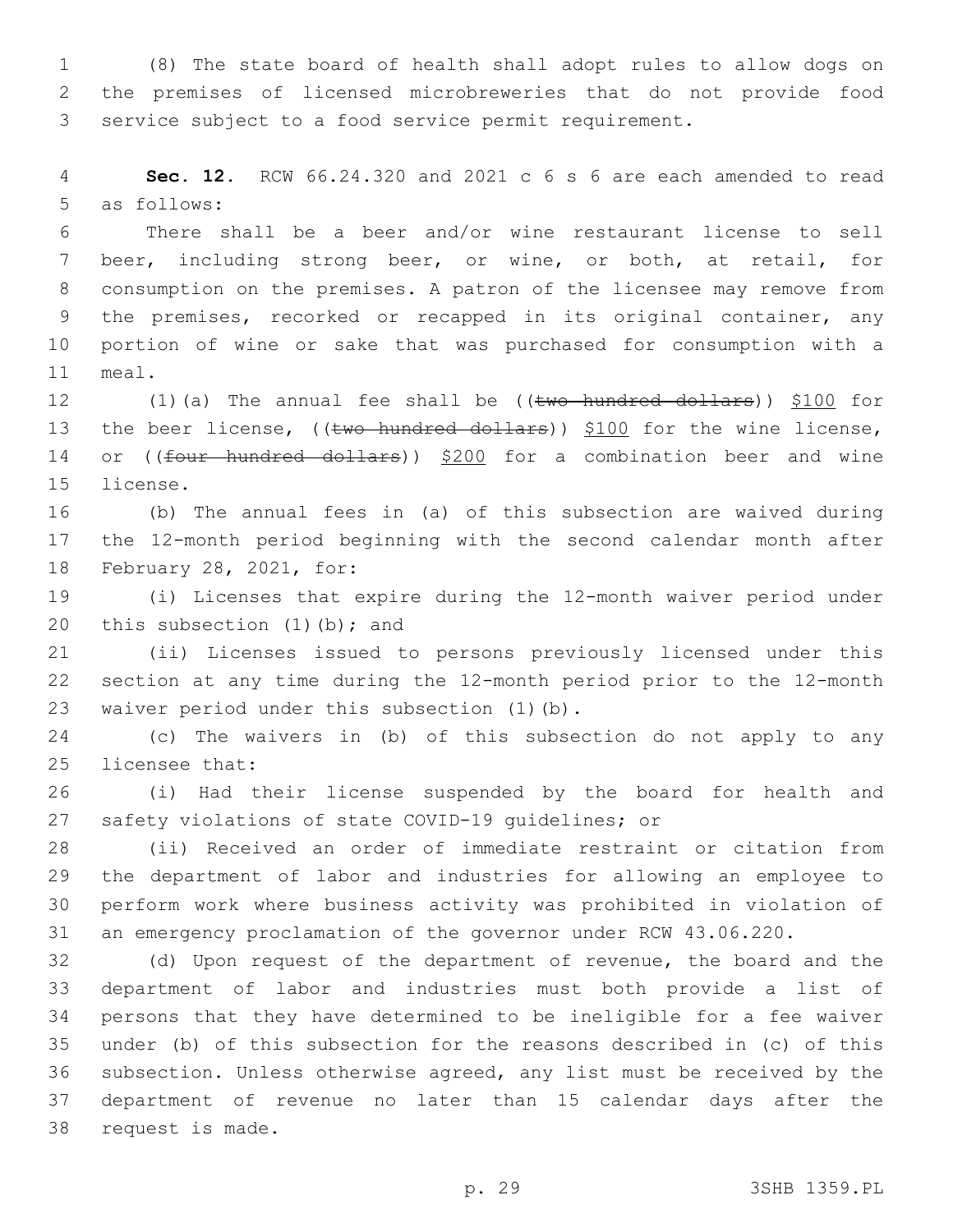(8) The state board of health shall adopt rules to allow dogs on the premises of licensed microbreweries that do not provide food service subject to a food service permit requirement.

 **Sec. 12.** RCW 66.24.320 and 2021 c 6 s 6 are each amended to read 5 as follows:

 There shall be a beer and/or wine restaurant license to sell beer, including strong beer, or wine, or both, at retail, for consumption on the premises. A patron of the licensee may remove from the premises, recorked or recapped in its original container, any portion of wine or sake that was purchased for consumption with a 11 meal.

12  $(1)(a)$  The annual fee shall be  $((two-hundred dollars))$  \$100 for 13 the beer license, ((two hundred dollars)) \$100 for the wine license, 14 or ((four hundred dollars)) \$200 for a combination beer and wine 15 license.

 (b) The annual fees in (a) of this subsection are waived during the 12-month period beginning with the second calendar month after 18 February 28, 2021, for:

 (i) Licenses that expire during the 12-month waiver period under 20 this subsection  $(1)$  (b); and

 (ii) Licenses issued to persons previously licensed under this section at any time during the 12-month period prior to the 12-month 23 waiver period under this subsection (1)(b).

 (c) The waivers in (b) of this subsection do not apply to any 25 licensee that:

 (i) Had their license suspended by the board for health and safety violations of state COVID-19 guidelines; or

 (ii) Received an order of immediate restraint or citation from the department of labor and industries for allowing an employee to perform work where business activity was prohibited in violation of an emergency proclamation of the governor under RCW 43.06.220.

 (d) Upon request of the department of revenue, the board and the department of labor and industries must both provide a list of persons that they have determined to be ineligible for a fee waiver under (b) of this subsection for the reasons described in (c) of this subsection. Unless otherwise agreed, any list must be received by the department of revenue no later than 15 calendar days after the 38 request is made.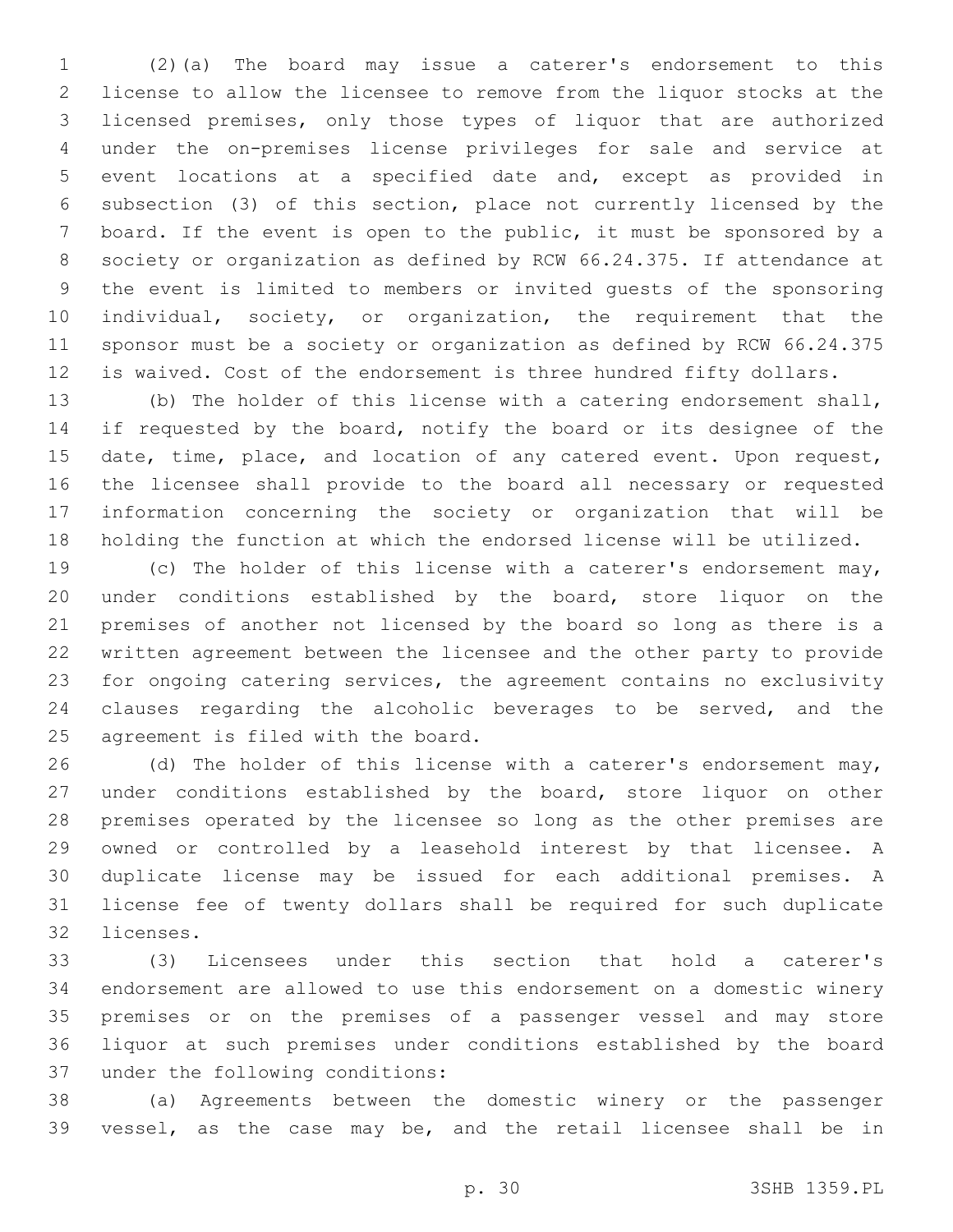(2)(a) The board may issue a caterer's endorsement to this license to allow the licensee to remove from the liquor stocks at the licensed premises, only those types of liquor that are authorized under the on-premises license privileges for sale and service at event locations at a specified date and, except as provided in subsection (3) of this section, place not currently licensed by the board. If the event is open to the public, it must be sponsored by a society or organization as defined by RCW 66.24.375. If attendance at the event is limited to members or invited guests of the sponsoring individual, society, or organization, the requirement that the sponsor must be a society or organization as defined by RCW 66.24.375 is waived. Cost of the endorsement is three hundred fifty dollars.

 (b) The holder of this license with a catering endorsement shall, 14 if requested by the board, notify the board or its designee of the 15 date, time, place, and location of any catered event. Upon request, the licensee shall provide to the board all necessary or requested information concerning the society or organization that will be holding the function at which the endorsed license will be utilized.

 (c) The holder of this license with a caterer's endorsement may, under conditions established by the board, store liquor on the premises of another not licensed by the board so long as there is a written agreement between the licensee and the other party to provide for ongoing catering services, the agreement contains no exclusivity clauses regarding the alcoholic beverages to be served, and the 25 agreement is filed with the board.

26 (d) The holder of this license with a caterer's endorsement may, under conditions established by the board, store liquor on other premises operated by the licensee so long as the other premises are owned or controlled by a leasehold interest by that licensee. A duplicate license may be issued for each additional premises. A license fee of twenty dollars shall be required for such duplicate 32 licenses.

 (3) Licensees under this section that hold a caterer's endorsement are allowed to use this endorsement on a domestic winery premises or on the premises of a passenger vessel and may store liquor at such premises under conditions established by the board 37 under the following conditions:

 (a) Agreements between the domestic winery or the passenger vessel, as the case may be, and the retail licensee shall be in

p. 30 3SHB 1359.PL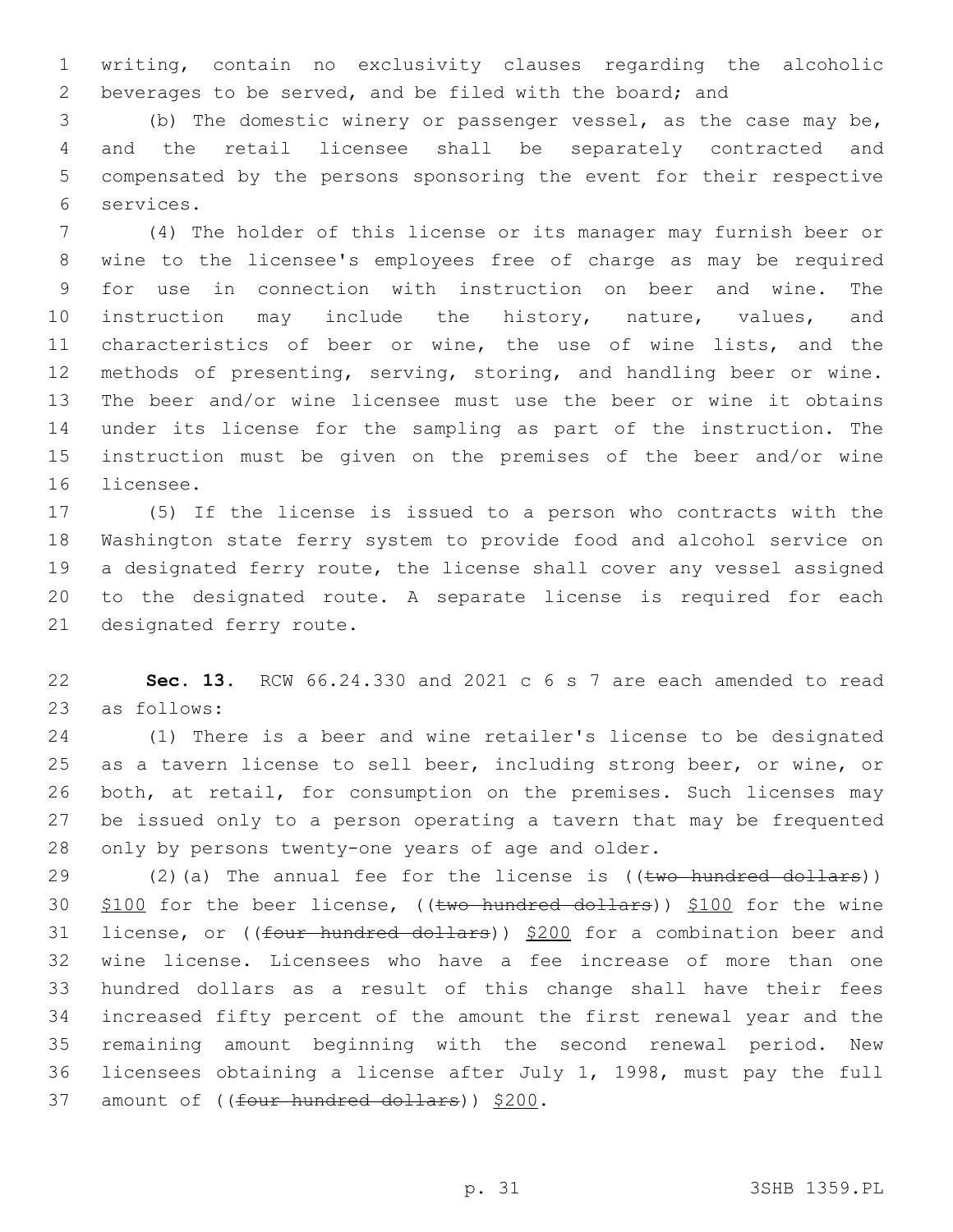writing, contain no exclusivity clauses regarding the alcoholic beverages to be served, and be filed with the board; and

 (b) The domestic winery or passenger vessel, as the case may be, and the retail licensee shall be separately contracted and compensated by the persons sponsoring the event for their respective services.6

 (4) The holder of this license or its manager may furnish beer or wine to the licensee's employees free of charge as may be required for use in connection with instruction on beer and wine. The 10 instruction may include the history, nature, values, and characteristics of beer or wine, the use of wine lists, and the methods of presenting, serving, storing, and handling beer or wine. The beer and/or wine licensee must use the beer or wine it obtains under its license for the sampling as part of the instruction. The instruction must be given on the premises of the beer and/or wine 16 licensee.

 (5) If the license is issued to a person who contracts with the Washington state ferry system to provide food and alcohol service on a designated ferry route, the license shall cover any vessel assigned to the designated route. A separate license is required for each 21 designated ferry route.

 **Sec. 13.** RCW 66.24.330 and 2021 c 6 s 7 are each amended to read 23 as follows:

 (1) There is a beer and wine retailer's license to be designated as a tavern license to sell beer, including strong beer, or wine, or both, at retail, for consumption on the premises. Such licenses may be issued only to a person operating a tavern that may be frequented only by persons twenty-one years of age and older.

 $(2)(a)$  The annual fee for the license is  $((two hundred dollars))$ 30 \$100 for the beer license, ((two hundred dollars)) \$100 for the wine 31 license, or ((four hundred dollars)) \$200 for a combination beer and wine license. Licensees who have a fee increase of more than one hundred dollars as a result of this change shall have their fees increased fifty percent of the amount the first renewal year and the remaining amount beginning with the second renewal period. New licensees obtaining a license after July 1, 1998, must pay the full 37 amount of ((four hundred dollars)) \$200.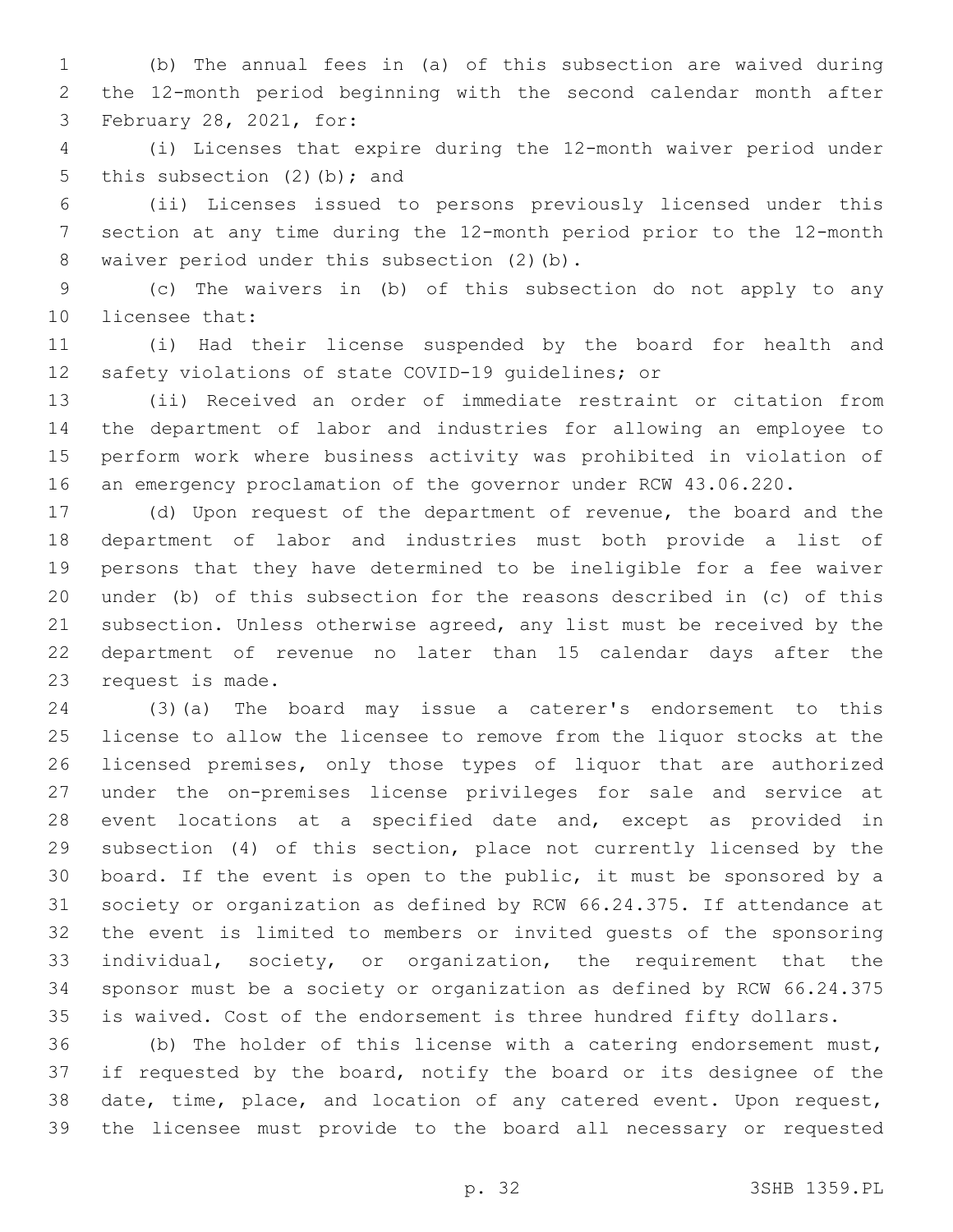(b) The annual fees in (a) of this subsection are waived during the 12-month period beginning with the second calendar month after 3 February 28, 2021, for:

 (i) Licenses that expire during the 12-month waiver period under 5 this subsection  $(2)$  (b); and

 (ii) Licenses issued to persons previously licensed under this section at any time during the 12-month period prior to the 12-month 8 waiver period under this subsection (2)(b).

 (c) The waivers in (b) of this subsection do not apply to any 10 licensee that:

 (i) Had their license suspended by the board for health and safety violations of state COVID-19 guidelines; or

 (ii) Received an order of immediate restraint or citation from the department of labor and industries for allowing an employee to perform work where business activity was prohibited in violation of an emergency proclamation of the governor under RCW 43.06.220.

 (d) Upon request of the department of revenue, the board and the department of labor and industries must both provide a list of persons that they have determined to be ineligible for a fee waiver under (b) of this subsection for the reasons described in (c) of this subsection. Unless otherwise agreed, any list must be received by the department of revenue no later than 15 calendar days after the 23 request is made.

 (3)(a) The board may issue a caterer's endorsement to this license to allow the licensee to remove from the liquor stocks at the licensed premises, only those types of liquor that are authorized under the on-premises license privileges for sale and service at event locations at a specified date and, except as provided in subsection (4) of this section, place not currently licensed by the board. If the event is open to the public, it must be sponsored by a society or organization as defined by RCW 66.24.375. If attendance at the event is limited to members or invited guests of the sponsoring individual, society, or organization, the requirement that the sponsor must be a society or organization as defined by RCW 66.24.375 is waived. Cost of the endorsement is three hundred fifty dollars.

 (b) The holder of this license with a catering endorsement must, if requested by the board, notify the board or its designee of the date, time, place, and location of any catered event. Upon request, the licensee must provide to the board all necessary or requested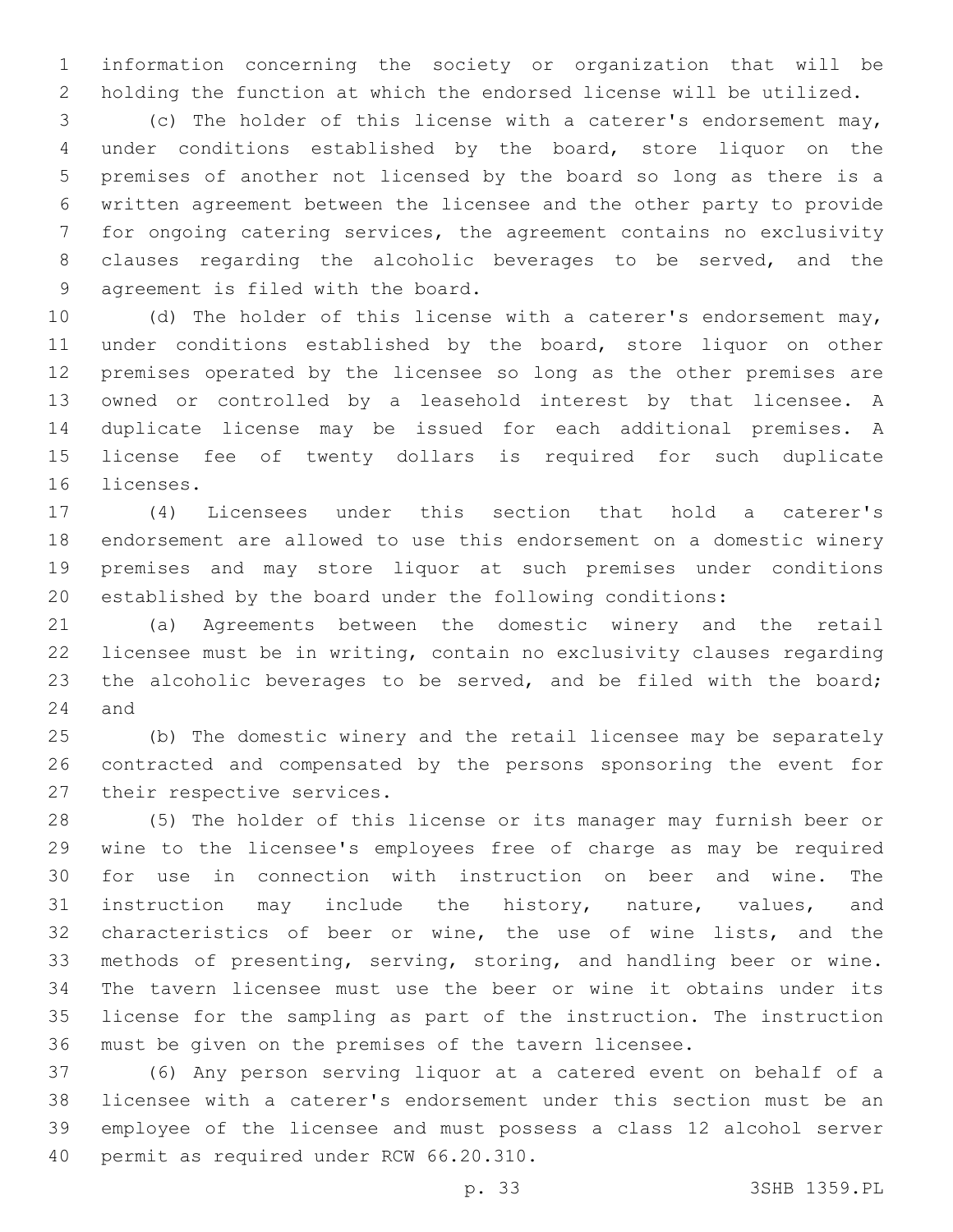information concerning the society or organization that will be holding the function at which the endorsed license will be utilized.

 (c) The holder of this license with a caterer's endorsement may, under conditions established by the board, store liquor on the premises of another not licensed by the board so long as there is a written agreement between the licensee and the other party to provide for ongoing catering services, the agreement contains no exclusivity clauses regarding the alcoholic beverages to be served, and the 9 agreement is filed with the board.

 (d) The holder of this license with a caterer's endorsement may, under conditions established by the board, store liquor on other premises operated by the licensee so long as the other premises are owned or controlled by a leasehold interest by that licensee. A duplicate license may be issued for each additional premises. A license fee of twenty dollars is required for such duplicate 16 licenses.

 (4) Licensees under this section that hold a caterer's endorsement are allowed to use this endorsement on a domestic winery premises and may store liquor at such premises under conditions established by the board under the following conditions:

 (a) Agreements between the domestic winery and the retail licensee must be in writing, contain no exclusivity clauses regarding 23 the alcoholic beverages to be served, and be filed with the board; 24 and

 (b) The domestic winery and the retail licensee may be separately contracted and compensated by the persons sponsoring the event for 27 their respective services.

 (5) The holder of this license or its manager may furnish beer or wine to the licensee's employees free of charge as may be required for use in connection with instruction on beer and wine. The instruction may include the history, nature, values, and characteristics of beer or wine, the use of wine lists, and the methods of presenting, serving, storing, and handling beer or wine. The tavern licensee must use the beer or wine it obtains under its license for the sampling as part of the instruction. The instruction must be given on the premises of the tavern licensee.

 (6) Any person serving liquor at a catered event on behalf of a licensee with a caterer's endorsement under this section must be an employee of the licensee and must possess a class 12 alcohol server 40 permit as required under RCW 66.20.310.

p. 33 3SHB 1359.PL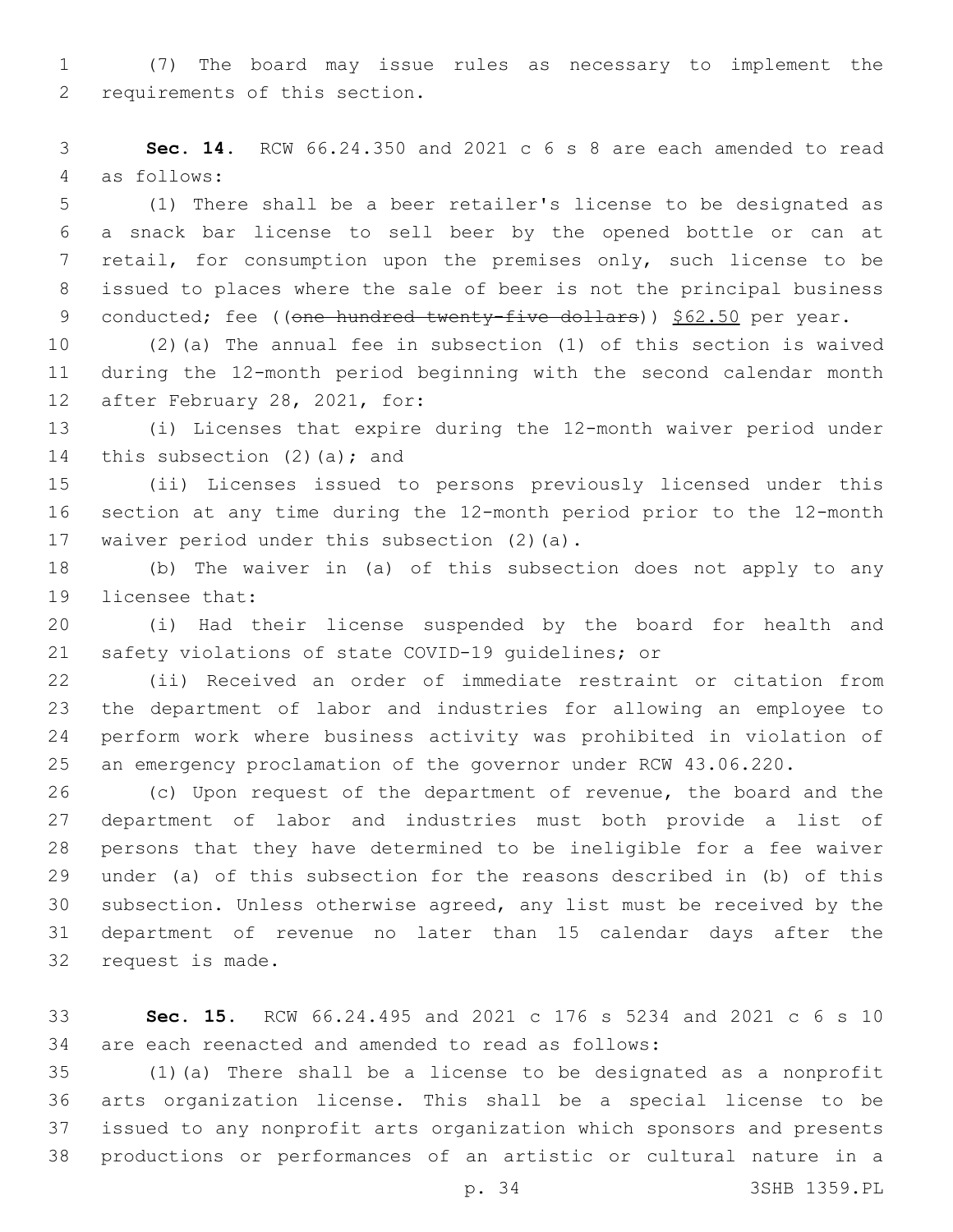(7) The board may issue rules as necessary to implement the 2 requirements of this section.

 **Sec. 14.** RCW 66.24.350 and 2021 c 6 s 8 are each amended to read 4 as follows:

 (1) There shall be a beer retailer's license to be designated as a snack bar license to sell beer by the opened bottle or can at retail, for consumption upon the premises only, such license to be issued to places where the sale of beer is not the principal business 9 conducted; fee ((one hundred twenty-five dollars)) \$62.50 per year.

 (2)(a) The annual fee in subsection (1) of this section is waived during the 12-month period beginning with the second calendar month 12 after February 28, 2021, for:

 (i) Licenses that expire during the 12-month waiver period under 14 this subsection  $(2)$   $(a)$ ; and

 (ii) Licenses issued to persons previously licensed under this section at any time during the 12-month period prior to the 12-month 17 waiver period under this subsection (2)(a).

 (b) The waiver in (a) of this subsection does not apply to any 19 licensee that:

 (i) Had their license suspended by the board for health and safety violations of state COVID-19 guidelines; or

 (ii) Received an order of immediate restraint or citation from the department of labor and industries for allowing an employee to perform work where business activity was prohibited in violation of an emergency proclamation of the governor under RCW 43.06.220.

 (c) Upon request of the department of revenue, the board and the department of labor and industries must both provide a list of persons that they have determined to be ineligible for a fee waiver under (a) of this subsection for the reasons described in (b) of this subsection. Unless otherwise agreed, any list must be received by the department of revenue no later than 15 calendar days after the 32 request is made.

 **Sec. 15.** RCW 66.24.495 and 2021 c 176 s 5234 and 2021 c 6 s 10 are each reenacted and amended to read as follows:

 (1)(a) There shall be a license to be designated as a nonprofit arts organization license. This shall be a special license to be issued to any nonprofit arts organization which sponsors and presents productions or performances of an artistic or cultural nature in a

p. 34 3SHB 1359.PL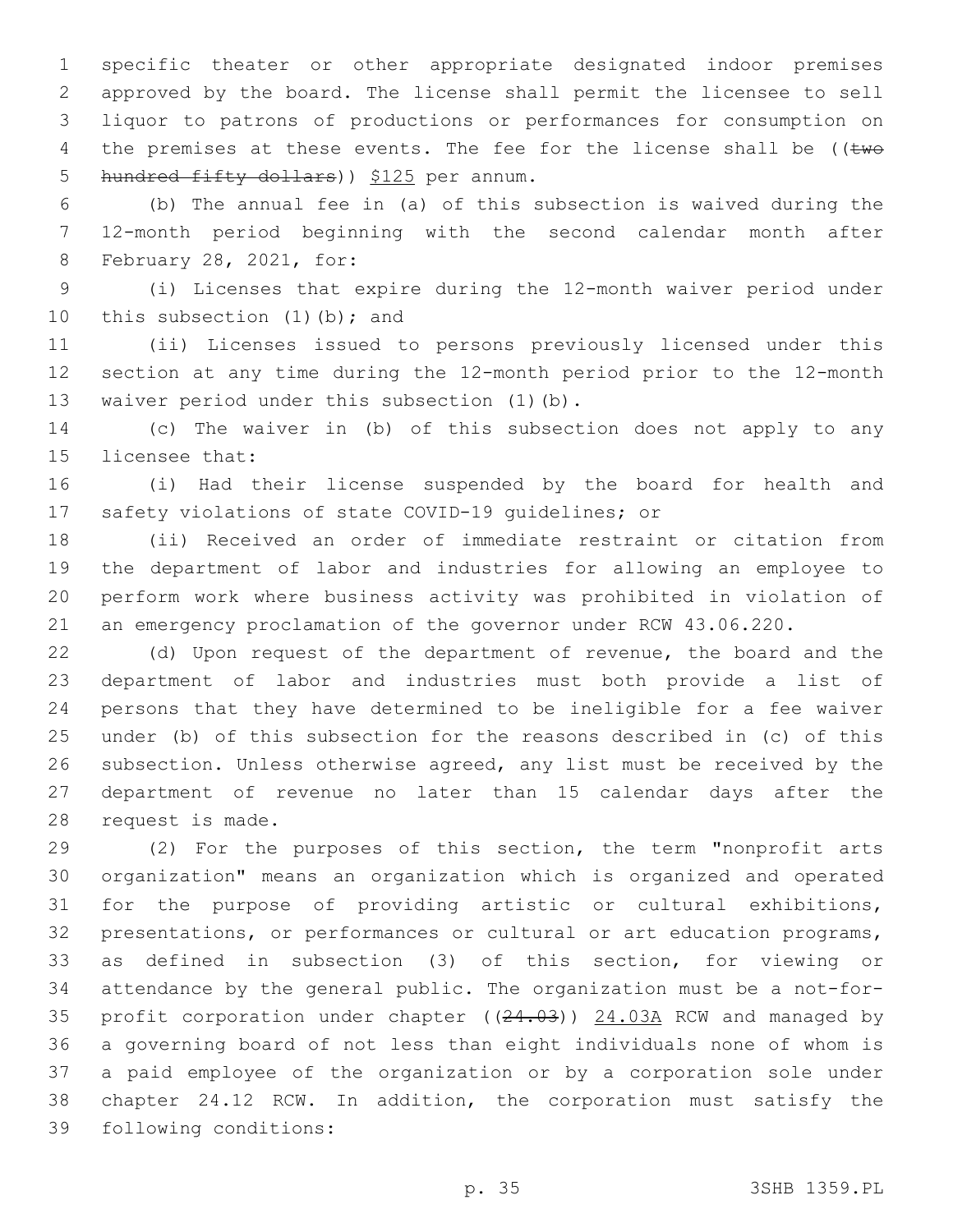specific theater or other appropriate designated indoor premises approved by the board. The license shall permit the licensee to sell liquor to patrons of productions or performances for consumption on 4 the premises at these events. The fee for the license shall be ( $\text{true}$ 5 hundred fifty dollars) ) \$125 per annum.

 (b) The annual fee in (a) of this subsection is waived during the 12-month period beginning with the second calendar month after 8 February 28, 2021, for:

 (i) Licenses that expire during the 12-month waiver period under 10 this subsection  $(1)$  (b); and

 (ii) Licenses issued to persons previously licensed under this section at any time during the 12-month period prior to the 12-month 13 waiver period under this subsection (1)(b).

 (c) The waiver in (b) of this subsection does not apply to any 15 licensee that:

 (i) Had their license suspended by the board for health and safety violations of state COVID-19 guidelines; or

 (ii) Received an order of immediate restraint or citation from the department of labor and industries for allowing an employee to perform work where business activity was prohibited in violation of an emergency proclamation of the governor under RCW 43.06.220.

 (d) Upon request of the department of revenue, the board and the department of labor and industries must both provide a list of persons that they have determined to be ineligible for a fee waiver under (b) of this subsection for the reasons described in (c) of this subsection. Unless otherwise agreed, any list must be received by the department of revenue no later than 15 calendar days after the 28 request is made.

 (2) For the purposes of this section, the term "nonprofit arts organization" means an organization which is organized and operated for the purpose of providing artistic or cultural exhibitions, presentations, or performances or cultural or art education programs, as defined in subsection (3) of this section, for viewing or attendance by the general public. The organization must be a not-for-35 profit corporation under chapter ((24.03)) 24.03A RCW and managed by a governing board of not less than eight individuals none of whom is a paid employee of the organization or by a corporation sole under chapter 24.12 RCW. In addition, the corporation must satisfy the 39 following conditions: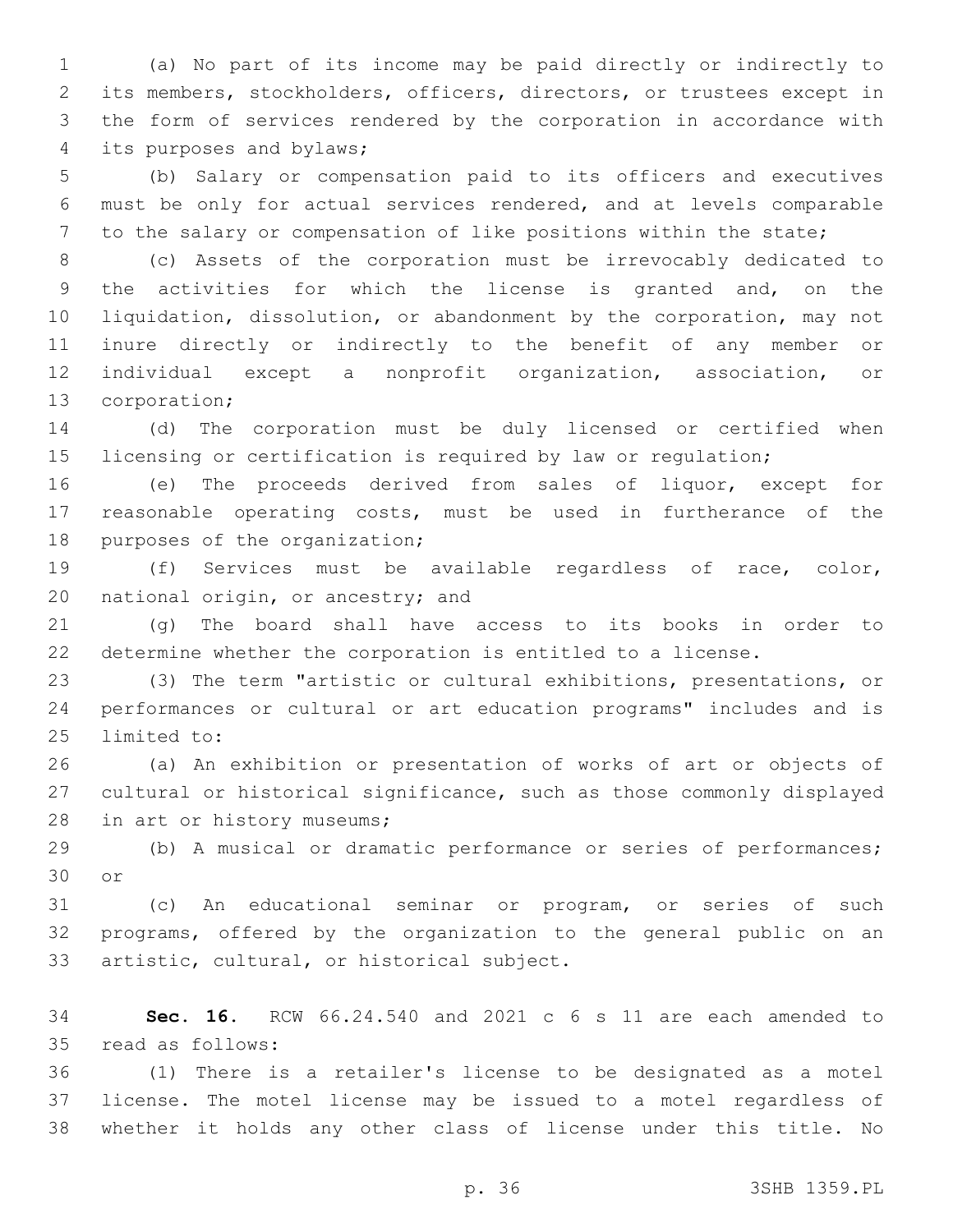(a) No part of its income may be paid directly or indirectly to its members, stockholders, officers, directors, or trustees except in the form of services rendered by the corporation in accordance with 4 its purposes and bylaws;

 (b) Salary or compensation paid to its officers and executives must be only for actual services rendered, and at levels comparable to the salary or compensation of like positions within the state;

 (c) Assets of the corporation must be irrevocably dedicated to the activities for which the license is granted and, on the liquidation, dissolution, or abandonment by the corporation, may not inure directly or indirectly to the benefit of any member or individual except a nonprofit organization, association, or 13 corporation;

 (d) The corporation must be duly licensed or certified when licensing or certification is required by law or regulation;

 (e) The proceeds derived from sales of liquor, except for reasonable operating costs, must be used in furtherance of the 18 purposes of the organization;

 (f) Services must be available regardless of race, color, 20 national origin, or ancestry; and

 (g) The board shall have access to its books in order to determine whether the corporation is entitled to a license.

 (3) The term "artistic or cultural exhibitions, presentations, or performances or cultural or art education programs" includes and is 25 limited to:

 (a) An exhibition or presentation of works of art or objects of cultural or historical significance, such as those commonly displayed 28 in art or history museums;

 (b) A musical or dramatic performance or series of performances; 30 or

 (c) An educational seminar or program, or series of such programs, offered by the organization to the general public on an 33 artistic, cultural, or historical subject.

 **Sec. 16.** RCW 66.24.540 and 2021 c 6 s 11 are each amended to 35 read as follows:

 (1) There is a retailer's license to be designated as a motel license. The motel license may be issued to a motel regardless of whether it holds any other class of license under this title. No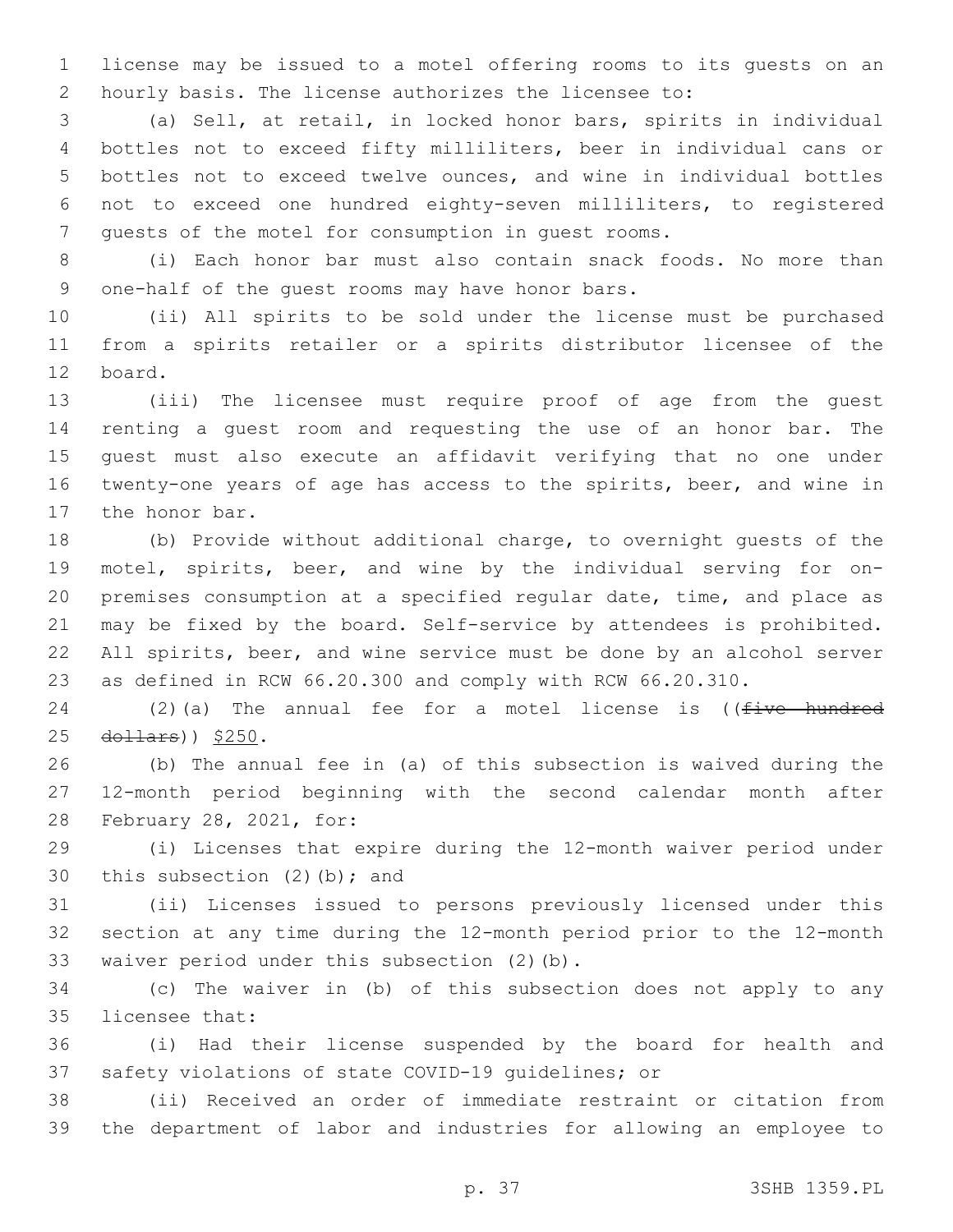license may be issued to a motel offering rooms to its guests on an hourly basis. The license authorizes the licensee to:

 (a) Sell, at retail, in locked honor bars, spirits in individual bottles not to exceed fifty milliliters, beer in individual cans or bottles not to exceed twelve ounces, and wine in individual bottles not to exceed one hundred eighty-seven milliliters, to registered guests of the motel for consumption in guest rooms.

 (i) Each honor bar must also contain snack foods. No more than 9 one-half of the quest rooms may have honor bars.

 (ii) All spirits to be sold under the license must be purchased from a spirits retailer or a spirits distributor licensee of the 12 board.

 (iii) The licensee must require proof of age from the guest renting a guest room and requesting the use of an honor bar. The guest must also execute an affidavit verifying that no one under twenty-one years of age has access to the spirits, beer, and wine in 17 the honor bar.

 (b) Provide without additional charge, to overnight guests of the motel, spirits, beer, and wine by the individual serving for on- premises consumption at a specified regular date, time, and place as may be fixed by the board. Self-service by attendees is prohibited. All spirits, beer, and wine service must be done by an alcohol server as defined in RCW 66.20.300 and comply with RCW 66.20.310.

24 (2)(a) The annual fee for a motel license is ( $f$ ive hundred 25 dollars)) \$250.

 (b) The annual fee in (a) of this subsection is waived during the 12-month period beginning with the second calendar month after 28 February 28, 2021, for:

 (i) Licenses that expire during the 12-month waiver period under 30 this subsection  $(2)$  (b); and

 (ii) Licenses issued to persons previously licensed under this section at any time during the 12-month period prior to the 12-month 33 waiver period under this subsection (2)(b).

 (c) The waiver in (b) of this subsection does not apply to any 35 licensee that:

 (i) Had their license suspended by the board for health and safety violations of state COVID-19 guidelines; or

 (ii) Received an order of immediate restraint or citation from the department of labor and industries for allowing an employee to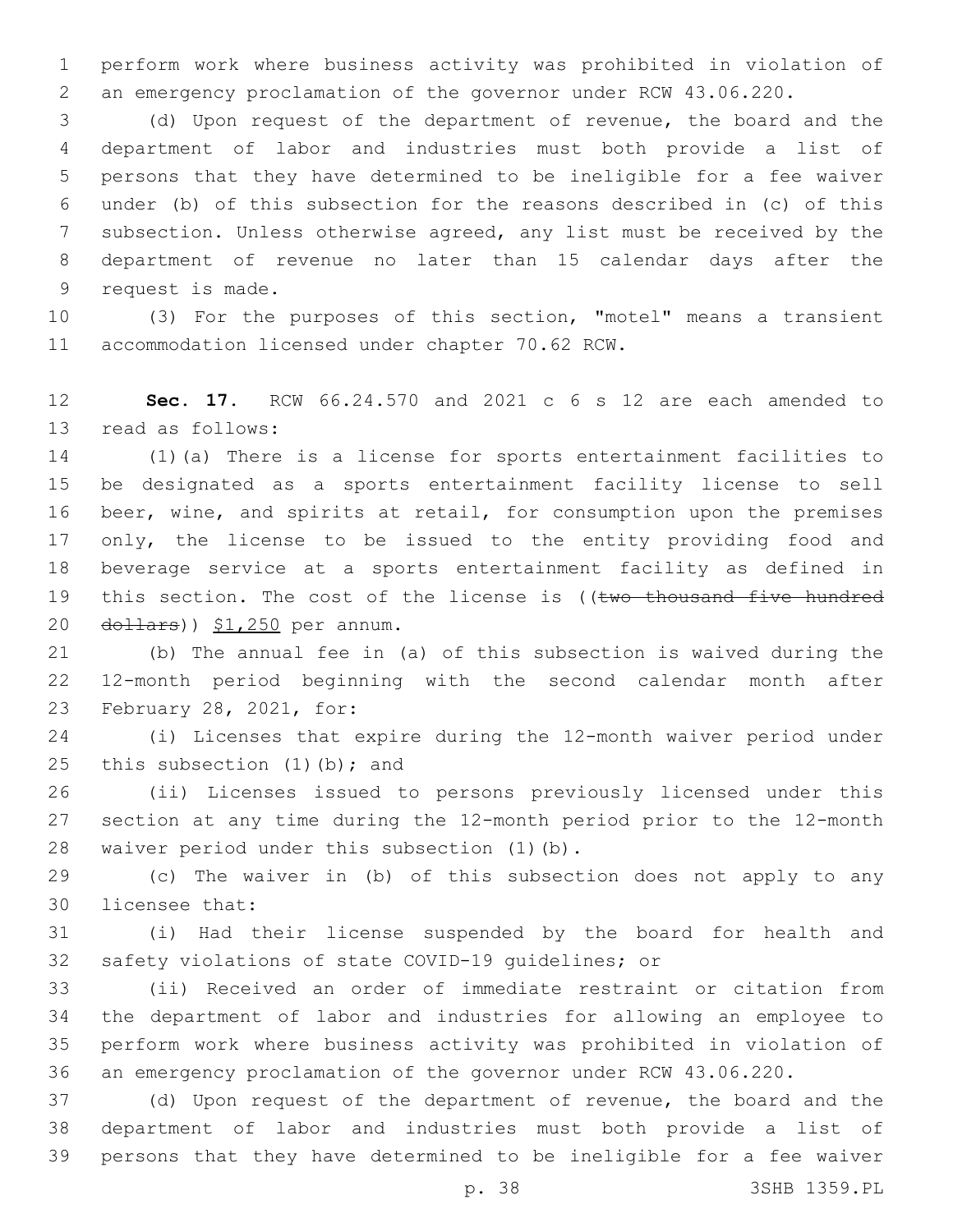perform work where business activity was prohibited in violation of an emergency proclamation of the governor under RCW 43.06.220.

 (d) Upon request of the department of revenue, the board and the department of labor and industries must both provide a list of persons that they have determined to be ineligible for a fee waiver under (b) of this subsection for the reasons described in (c) of this subsection. Unless otherwise agreed, any list must be received by the department of revenue no later than 15 calendar days after the 9 request is made.

 (3) For the purposes of this section, "motel" means a transient 11 accommodation licensed under chapter 70.62 RCW.

 **Sec. 17.** RCW 66.24.570 and 2021 c 6 s 12 are each amended to 13 read as follows:

 (1)(a) There is a license for sports entertainment facilities to be designated as a sports entertainment facility license to sell beer, wine, and spirits at retail, for consumption upon the premises 17 only, the license to be issued to the entity providing food and beverage service at a sports entertainment facility as defined in 19 this section. The cost of the license is ((two thousand five hundred dollars))  $$1,250$  per annum.

 (b) The annual fee in (a) of this subsection is waived during the 12-month period beginning with the second calendar month after 23 February 28, 2021, for:

 (i) Licenses that expire during the 12-month waiver period under 25 this subsection  $(1)$  (b); and

 (ii) Licenses issued to persons previously licensed under this section at any time during the 12-month period prior to the 12-month 28 waiver period under this subsection (1)(b).

 (c) The waiver in (b) of this subsection does not apply to any 30 licensee that:

 (i) Had their license suspended by the board for health and safety violations of state COVID-19 guidelines; or

 (ii) Received an order of immediate restraint or citation from the department of labor and industries for allowing an employee to perform work where business activity was prohibited in violation of an emergency proclamation of the governor under RCW 43.06.220.

 (d) Upon request of the department of revenue, the board and the department of labor and industries must both provide a list of persons that they have determined to be ineligible for a fee waiver

p. 38 3SHB 1359.PL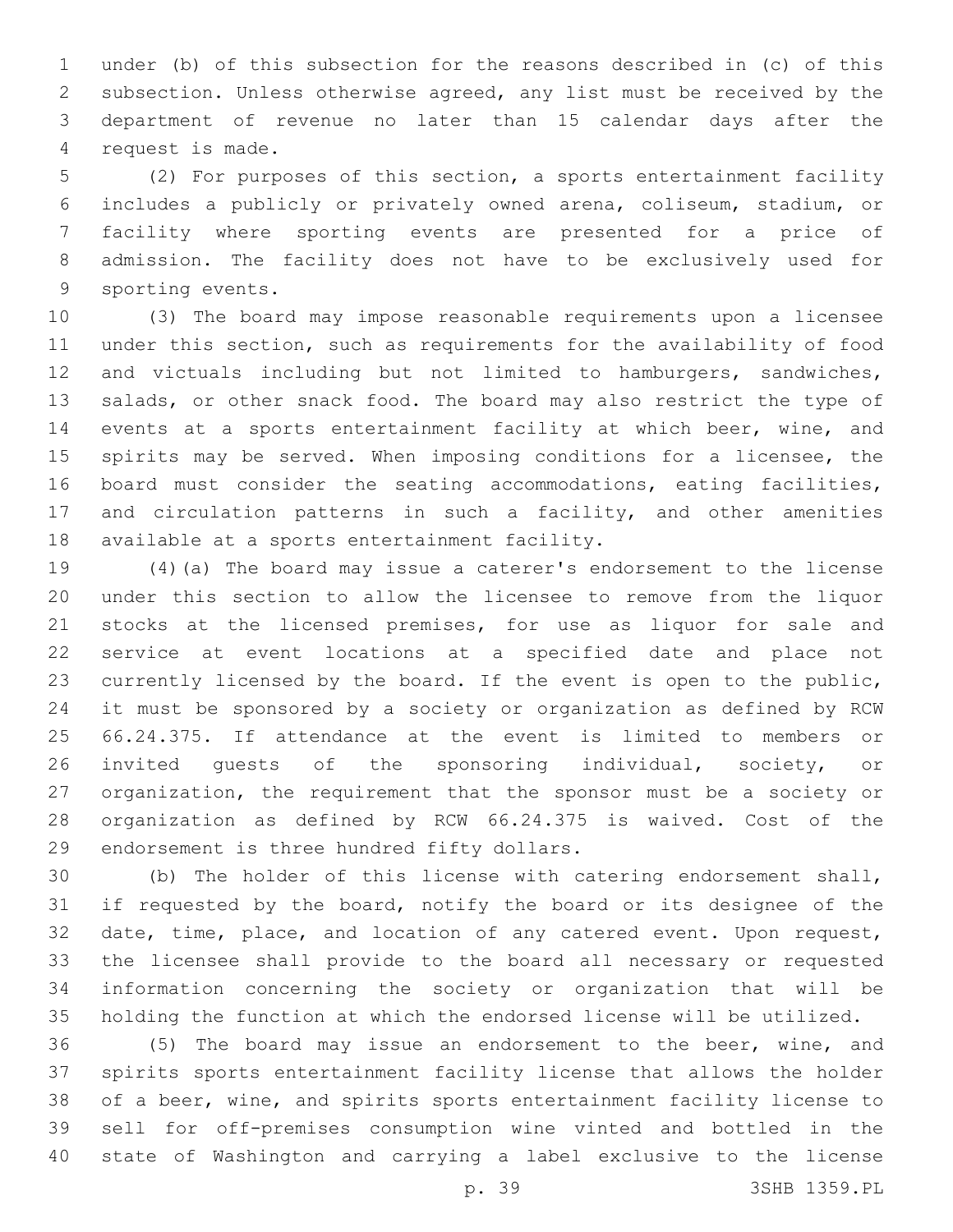under (b) of this subsection for the reasons described in (c) of this subsection. Unless otherwise agreed, any list must be received by the department of revenue no later than 15 calendar days after the 4 request is made.

 (2) For purposes of this section, a sports entertainment facility includes a publicly or privately owned arena, coliseum, stadium, or facility where sporting events are presented for a price of admission. The facility does not have to be exclusively used for 9 sporting events.

 (3) The board may impose reasonable requirements upon a licensee under this section, such as requirements for the availability of food and victuals including but not limited to hamburgers, sandwiches, 13 salads, or other snack food. The board may also restrict the type of events at a sports entertainment facility at which beer, wine, and spirits may be served. When imposing conditions for a licensee, the board must consider the seating accommodations, eating facilities, and circulation patterns in such a facility, and other amenities 18 available at a sports entertainment facility.

 (4)(a) The board may issue a caterer's endorsement to the license under this section to allow the licensee to remove from the liquor stocks at the licensed premises, for use as liquor for sale and service at event locations at a specified date and place not currently licensed by the board. If the event is open to the public, it must be sponsored by a society or organization as defined by RCW 66.24.375. If attendance at the event is limited to members or 26 invited guests of the sponsoring individual, society, or organization, the requirement that the sponsor must be a society or organization as defined by RCW 66.24.375 is waived. Cost of the 29 endorsement is three hundred fifty dollars.

 (b) The holder of this license with catering endorsement shall, if requested by the board, notify the board or its designee of the date, time, place, and location of any catered event. Upon request, the licensee shall provide to the board all necessary or requested information concerning the society or organization that will be holding the function at which the endorsed license will be utilized.

 (5) The board may issue an endorsement to the beer, wine, and spirits sports entertainment facility license that allows the holder of a beer, wine, and spirits sports entertainment facility license to sell for off-premises consumption wine vinted and bottled in the state of Washington and carrying a label exclusive to the license

p. 39 3SHB 1359.PL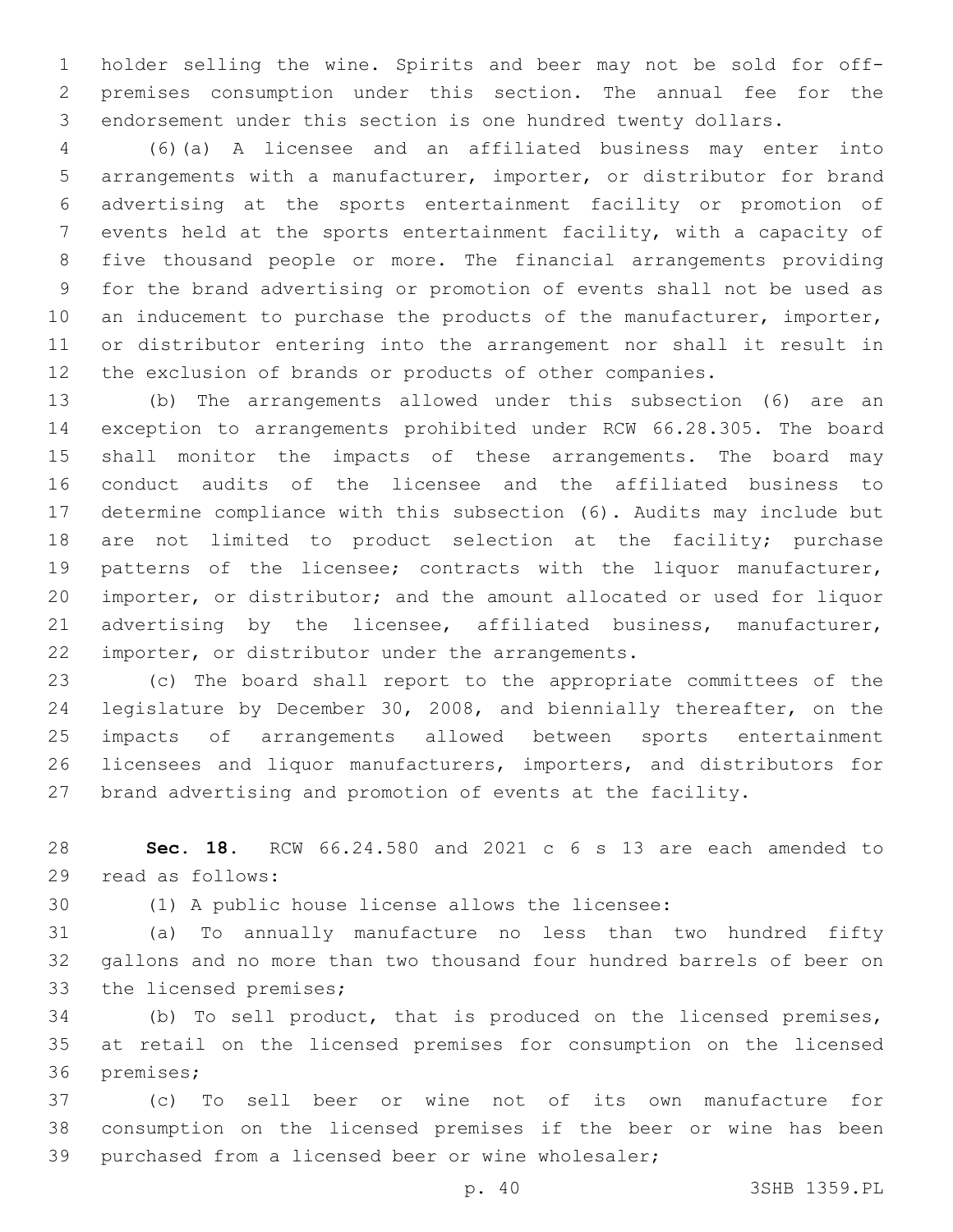holder selling the wine. Spirits and beer may not be sold for off- premises consumption under this section. The annual fee for the endorsement under this section is one hundred twenty dollars.

 (6)(a) A licensee and an affiliated business may enter into arrangements with a manufacturer, importer, or distributor for brand advertising at the sports entertainment facility or promotion of events held at the sports entertainment facility, with a capacity of five thousand people or more. The financial arrangements providing for the brand advertising or promotion of events shall not be used as 10 an inducement to purchase the products of the manufacturer, importer, or distributor entering into the arrangement nor shall it result in the exclusion of brands or products of other companies.

 (b) The arrangements allowed under this subsection (6) are an exception to arrangements prohibited under RCW 66.28.305. The board shall monitor the impacts of these arrangements. The board may conduct audits of the licensee and the affiliated business to determine compliance with this subsection (6). Audits may include but are not limited to product selection at the facility; purchase patterns of the licensee; contracts with the liquor manufacturer, importer, or distributor; and the amount allocated or used for liquor advertising by the licensee, affiliated business, manufacturer, 22 importer, or distributor under the arrangements.

 (c) The board shall report to the appropriate committees of the legislature by December 30, 2008, and biennially thereafter, on the impacts of arrangements allowed between sports entertainment licensees and liquor manufacturers, importers, and distributors for brand advertising and promotion of events at the facility.

 **Sec. 18.** RCW 66.24.580 and 2021 c 6 s 13 are each amended to read as follows:29

(1) A public house license allows the licensee:

 (a) To annually manufacture no less than two hundred fifty gallons and no more than two thousand four hundred barrels of beer on 33 the licensed premises;

 (b) To sell product, that is produced on the licensed premises, at retail on the licensed premises for consumption on the licensed 36 premises;

 (c) To sell beer or wine not of its own manufacture for consumption on the licensed premises if the beer or wine has been purchased from a licensed beer or wine wholesaler;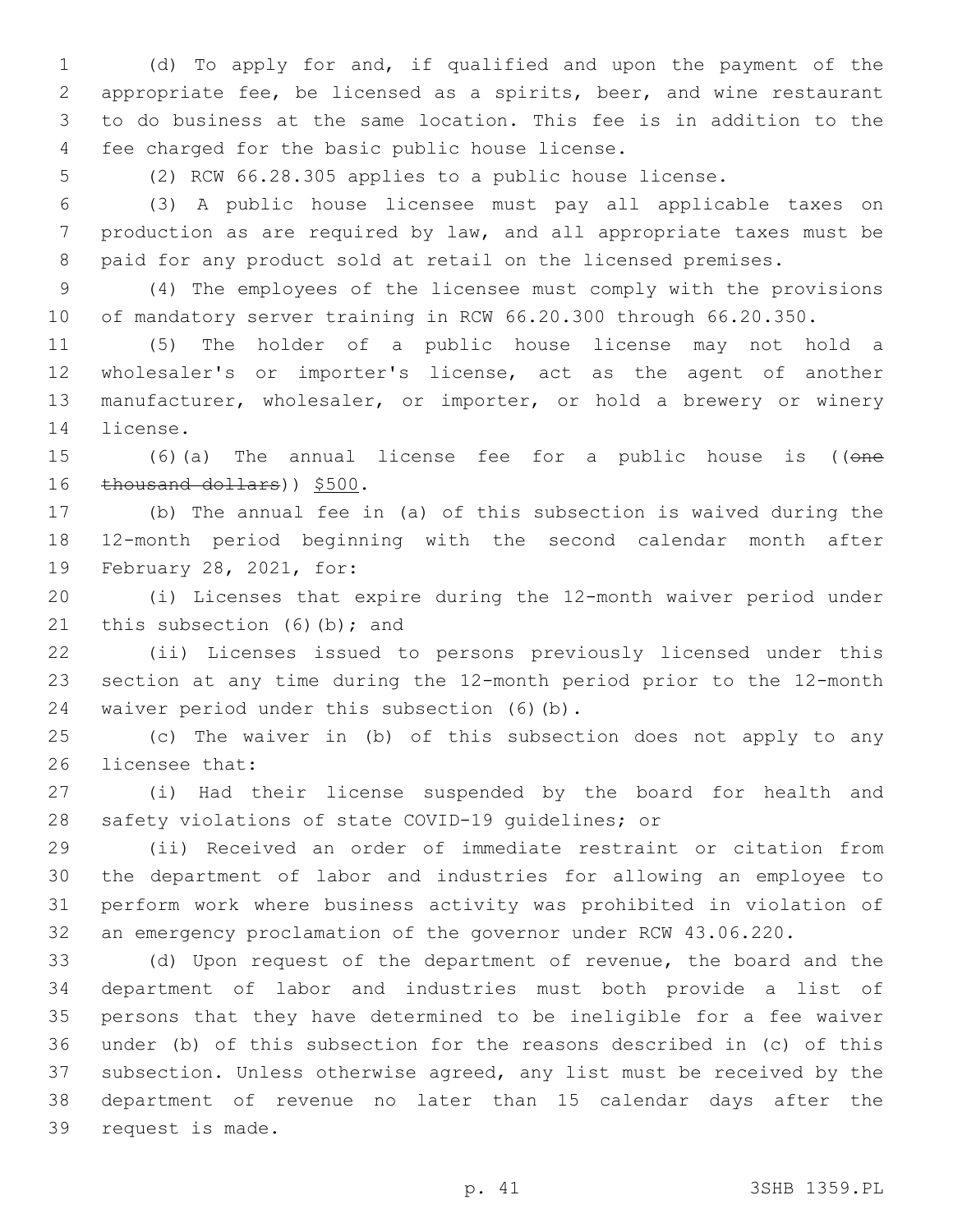(d) To apply for and, if qualified and upon the payment of the appropriate fee, be licensed as a spirits, beer, and wine restaurant to do business at the same location. This fee is in addition to the 4 fee charged for the basic public house license.

(2) RCW 66.28.305 applies to a public house license.

 (3) A public house licensee must pay all applicable taxes on production as are required by law, and all appropriate taxes must be paid for any product sold at retail on the licensed premises.

 (4) The employees of the licensee must comply with the provisions of mandatory server training in RCW 66.20.300 through 66.20.350.

 (5) The holder of a public house license may not hold a wholesaler's or importer's license, act as the agent of another manufacturer, wholesaler, or importer, or hold a brewery or winery 14 license.

15 (6)(a) The annual license fee for a public house is ((one 16 thousand dollars)) \$500.

 (b) The annual fee in (a) of this subsection is waived during the 12-month period beginning with the second calendar month after 19 February 28, 2021, for:

 (i) Licenses that expire during the 12-month waiver period under 21 this subsection  $(6)(b)$ ; and

 (ii) Licenses issued to persons previously licensed under this section at any time during the 12-month period prior to the 12-month 24 waiver period under this subsection (6)(b).

 (c) The waiver in (b) of this subsection does not apply to any 26 licensee that:

 (i) Had their license suspended by the board for health and safety violations of state COVID-19 guidelines; or

 (ii) Received an order of immediate restraint or citation from the department of labor and industries for allowing an employee to perform work where business activity was prohibited in violation of an emergency proclamation of the governor under RCW 43.06.220.

 (d) Upon request of the department of revenue, the board and the department of labor and industries must both provide a list of persons that they have determined to be ineligible for a fee waiver under (b) of this subsection for the reasons described in (c) of this subsection. Unless otherwise agreed, any list must be received by the department of revenue no later than 15 calendar days after the 39 request is made.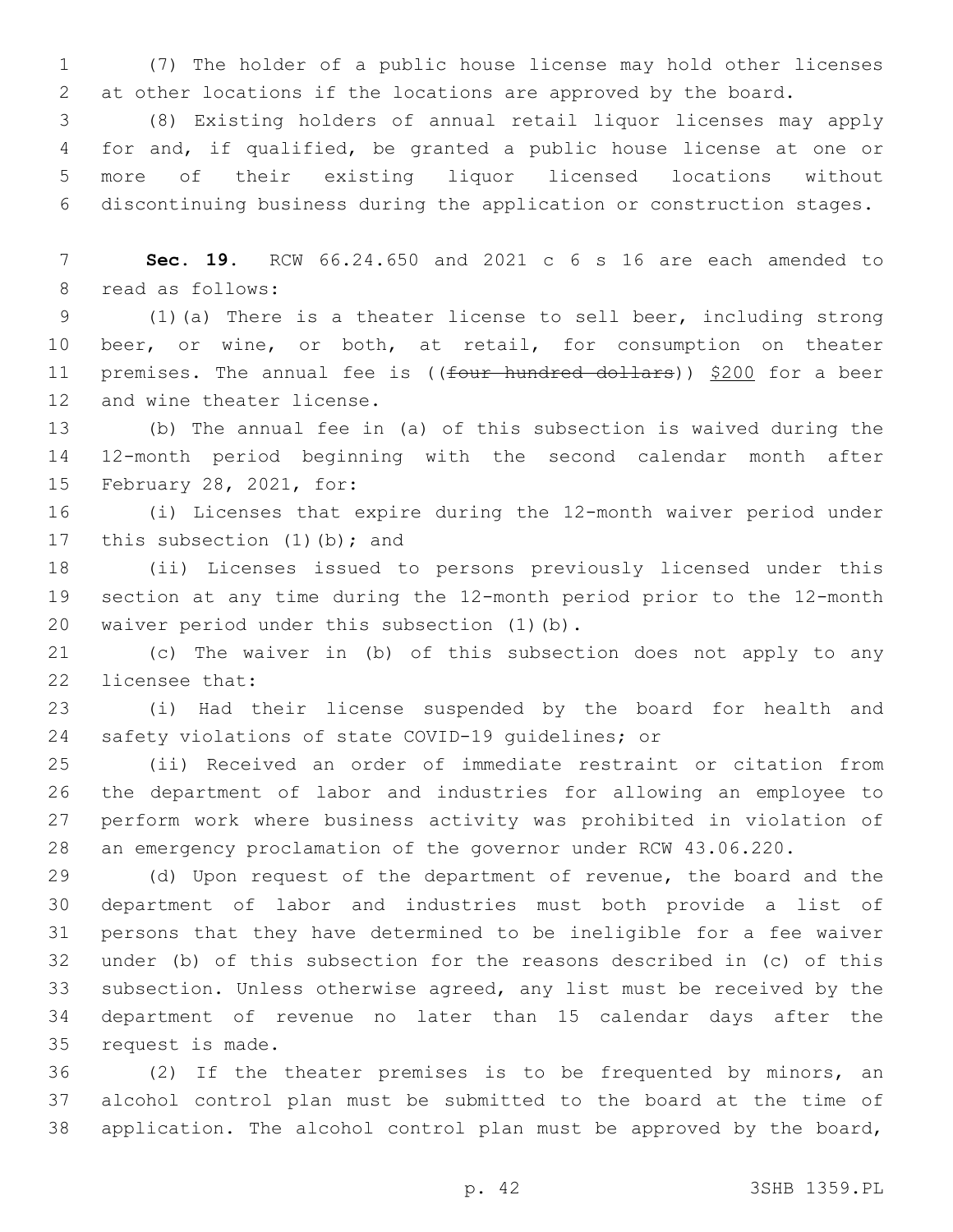(7) The holder of a public house license may hold other licenses at other locations if the locations are approved by the board.

 (8) Existing holders of annual retail liquor licenses may apply for and, if qualified, be granted a public house license at one or more of their existing liquor licensed locations without discontinuing business during the application or construction stages.

 **Sec. 19.** RCW 66.24.650 and 2021 c 6 s 16 are each amended to 8 read as follows:

 (1)(a) There is a theater license to sell beer, including strong beer, or wine, or both, at retail, for consumption on theater 11 premises. The annual fee is ((four hundred dollars)) \$200 for a beer 12 and wine theater license.

 (b) The annual fee in (a) of this subsection is waived during the 12-month period beginning with the second calendar month after 15 February 28, 2021, for:

 (i) Licenses that expire during the 12-month waiver period under 17 this subsection (1)(b); and

 (ii) Licenses issued to persons previously licensed under this section at any time during the 12-month period prior to the 12-month 20 waiver period under this subsection (1)(b).

 (c) The waiver in (b) of this subsection does not apply to any 22 licensee that:

 (i) Had their license suspended by the board for health and safety violations of state COVID-19 guidelines; or

 (ii) Received an order of immediate restraint or citation from the department of labor and industries for allowing an employee to perform work where business activity was prohibited in violation of an emergency proclamation of the governor under RCW 43.06.220.

 (d) Upon request of the department of revenue, the board and the department of labor and industries must both provide a list of persons that they have determined to be ineligible for a fee waiver under (b) of this subsection for the reasons described in (c) of this subsection. Unless otherwise agreed, any list must be received by the department of revenue no later than 15 calendar days after the 35 request is made.

 (2) If the theater premises is to be frequented by minors, an alcohol control plan must be submitted to the board at the time of application. The alcohol control plan must be approved by the board,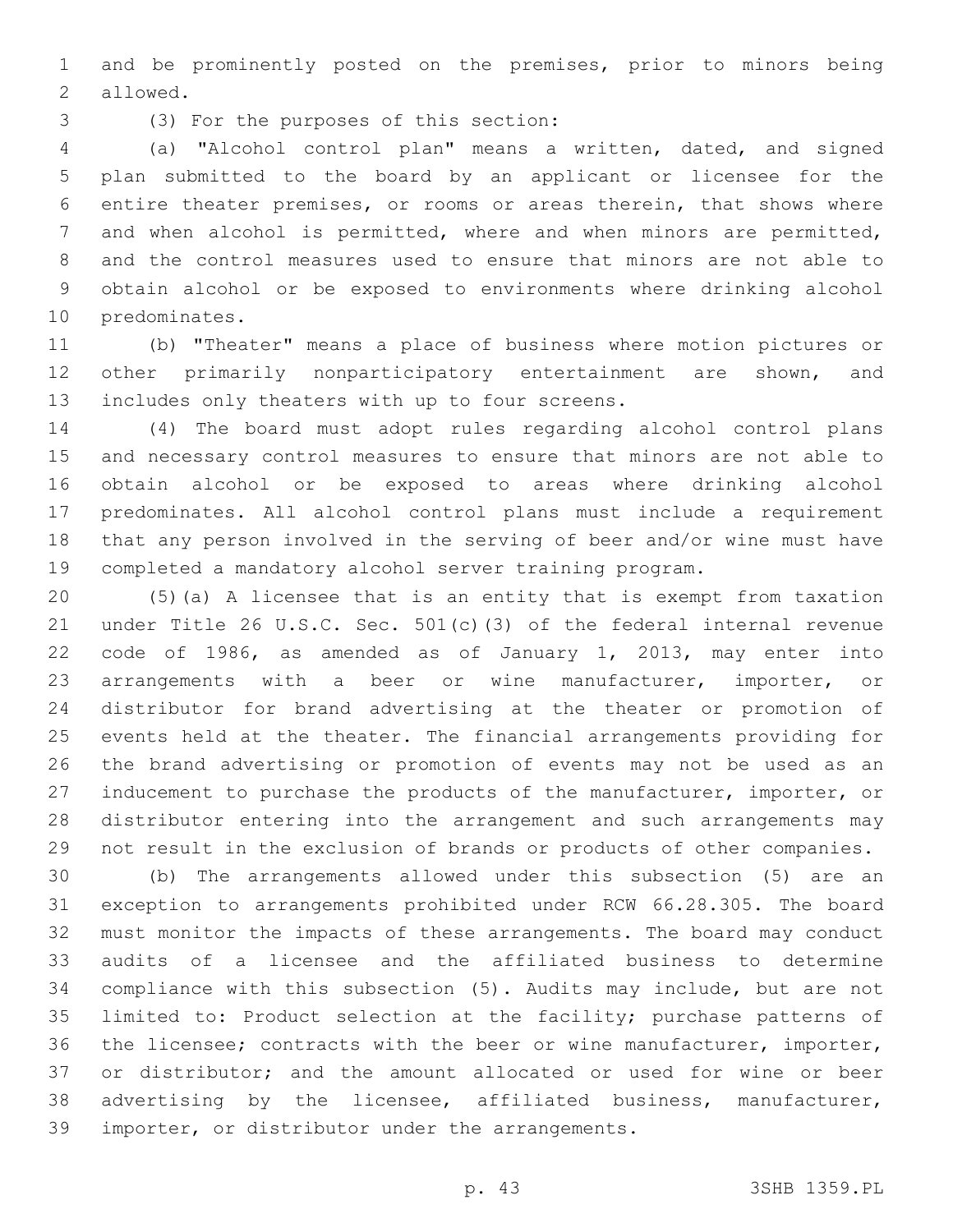and be prominently posted on the premises, prior to minors being 2 allowed.

(3) For the purposes of this section:3

 (a) "Alcohol control plan" means a written, dated, and signed plan submitted to the board by an applicant or licensee for the entire theater premises, or rooms or areas therein, that shows where and when alcohol is permitted, where and when minors are permitted, and the control measures used to ensure that minors are not able to obtain alcohol or be exposed to environments where drinking alcohol 10 predominates.

 (b) "Theater" means a place of business where motion pictures or other primarily nonparticipatory entertainment are shown, and 13 includes only theaters with up to four screens.

 (4) The board must adopt rules regarding alcohol control plans and necessary control measures to ensure that minors are not able to obtain alcohol or be exposed to areas where drinking alcohol predominates. All alcohol control plans must include a requirement that any person involved in the serving of beer and/or wine must have completed a mandatory alcohol server training program.

 (5)(a) A licensee that is an entity that is exempt from taxation under Title 26 U.S.C. Sec. 501(c)(3) of the federal internal revenue code of 1986, as amended as of January 1, 2013, may enter into arrangements with a beer or wine manufacturer, importer, or distributor for brand advertising at the theater or promotion of events held at the theater. The financial arrangements providing for the brand advertising or promotion of events may not be used as an inducement to purchase the products of the manufacturer, importer, or distributor entering into the arrangement and such arrangements may not result in the exclusion of brands or products of other companies.

 (b) The arrangements allowed under this subsection (5) are an exception to arrangements prohibited under RCW 66.28.305. The board must monitor the impacts of these arrangements. The board may conduct audits of a licensee and the affiliated business to determine compliance with this subsection (5). Audits may include, but are not limited to: Product selection at the facility; purchase patterns of the licensee; contracts with the beer or wine manufacturer, importer, or distributor; and the amount allocated or used for wine or beer advertising by the licensee, affiliated business, manufacturer, 39 importer, or distributor under the arrangements.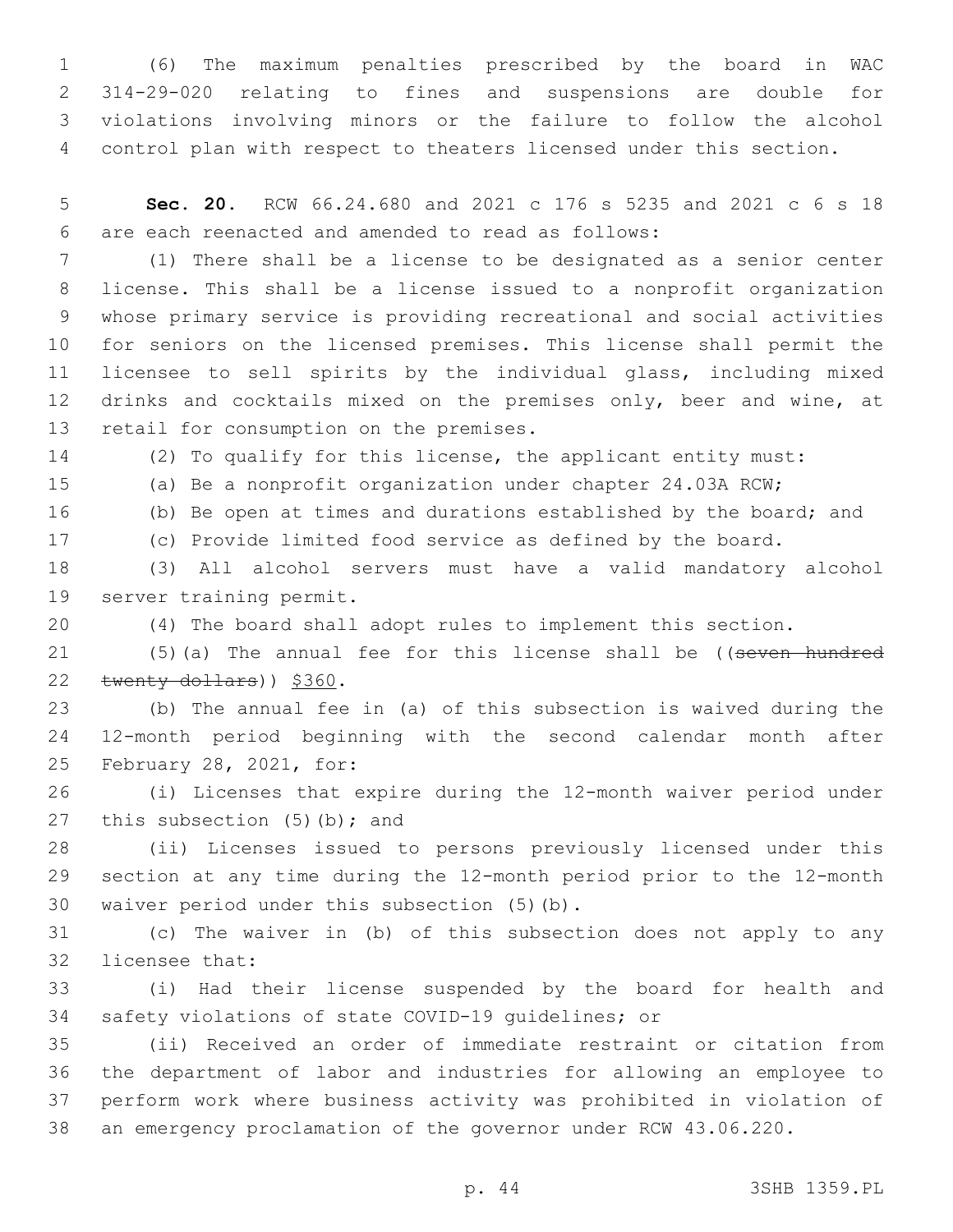(6) The maximum penalties prescribed by the board in WAC 314-29-020 relating to fines and suspensions are double for violations involving minors or the failure to follow the alcohol control plan with respect to theaters licensed under this section.

 **Sec. 20.** RCW 66.24.680 and 2021 c 176 s 5235 and 2021 c 6 s 18 are each reenacted and amended to read as follows:6

 (1) There shall be a license to be designated as a senior center license. This shall be a license issued to a nonprofit organization whose primary service is providing recreational and social activities for seniors on the licensed premises. This license shall permit the licensee to sell spirits by the individual glass, including mixed 12 drinks and cocktails mixed on the premises only, beer and wine, at 13 retail for consumption on the premises.

(2) To qualify for this license, the applicant entity must:

(a) Be a nonprofit organization under chapter 24.03A RCW;

(b) Be open at times and durations established by the board; and

(c) Provide limited food service as defined by the board.

 (3) All alcohol servers must have a valid mandatory alcohol 19 server training permit.

(4) The board shall adopt rules to implement this section.

21 (5)(a) The annual fee for this license shall be ((seven hundred 22 twenty dollars)) \$360.

 (b) The annual fee in (a) of this subsection is waived during the 12-month period beginning with the second calendar month after 25 February 28, 2021, for:

 (i) Licenses that expire during the 12-month waiver period under 27 this subsection  $(5)$  (b); and

 (ii) Licenses issued to persons previously licensed under this section at any time during the 12-month period prior to the 12-month 30 waiver period under this subsection  $(5)(b)$ .

 (c) The waiver in (b) of this subsection does not apply to any 32 licensee that:

 (i) Had their license suspended by the board for health and safety violations of state COVID-19 guidelines; or

 (ii) Received an order of immediate restraint or citation from the department of labor and industries for allowing an employee to perform work where business activity was prohibited in violation of an emergency proclamation of the governor under RCW 43.06.220.